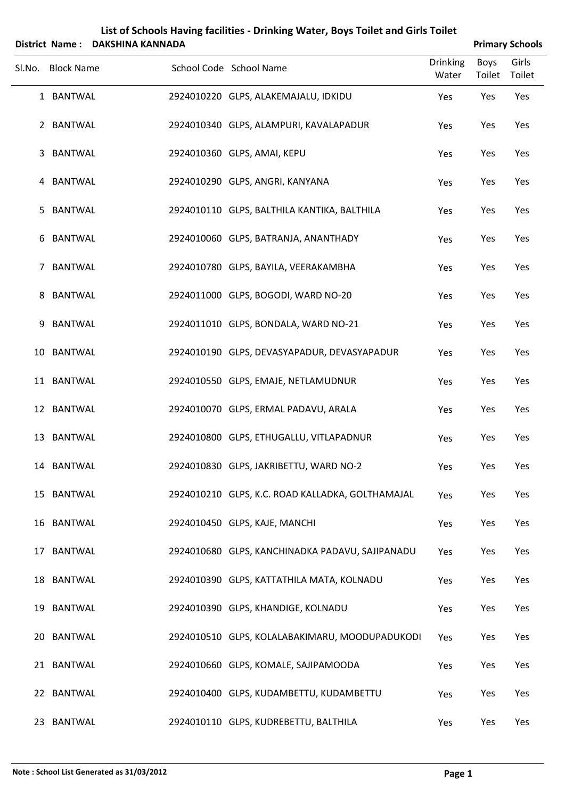|        |                   | District Name: DAKSHINA KANNADA |                                                  |                          |                       | <b>Primary Schools</b> |
|--------|-------------------|---------------------------------|--------------------------------------------------|--------------------------|-----------------------|------------------------|
| Sl.No. | <b>Block Name</b> |                                 | School Code School Name                          | <b>Drinking</b><br>Water | <b>Boys</b><br>Toilet | Girls<br>Toilet        |
|        | 1 BANTWAL         |                                 | 2924010220 GLPS, ALAKEMAJALU, IDKIDU             | Yes                      | Yes                   | Yes                    |
|        | 2 BANTWAL         |                                 | 2924010340 GLPS, ALAMPURI, KAVALAPADUR           | Yes                      | Yes                   | Yes                    |
| 3      | <b>BANTWAL</b>    |                                 | 2924010360 GLPS, AMAI, KEPU                      | Yes                      | Yes                   | Yes                    |
| 4      | <b>BANTWAL</b>    |                                 | 2924010290 GLPS, ANGRI, KANYANA                  | Yes                      | Yes                   | Yes                    |
| 5      | <b>BANTWAL</b>    |                                 | 2924010110 GLPS, BALTHILA KANTIKA, BALTHILA      | Yes                      | Yes                   | Yes                    |
| 6      | <b>BANTWAL</b>    |                                 | 2924010060 GLPS, BATRANJA, ANANTHADY             | Yes                      | Yes                   | Yes                    |
| 7      | <b>BANTWAL</b>    |                                 | 2924010780 GLPS, BAYILA, VEERAKAMBHA             | Yes                      | Yes                   | Yes                    |
| 8      | <b>BANTWAL</b>    |                                 | 2924011000 GLPS, BOGODI, WARD NO-20              | Yes                      | Yes                   | Yes                    |
| 9      | <b>BANTWAL</b>    |                                 | 2924011010 GLPS, BONDALA, WARD NO-21             | Yes                      | Yes                   | Yes                    |
|        | 10 BANTWAL        |                                 | 2924010190 GLPS, DEVASYAPADUR, DEVASYAPADUR      | Yes                      | Yes                   | Yes                    |
|        | 11 BANTWAL        |                                 | 2924010550 GLPS, EMAJE, NETLAMUDNUR              | Yes                      | Yes                   | Yes                    |
|        | 12 BANTWAL        |                                 | 2924010070 GLPS, ERMAL PADAVU, ARALA             | Yes                      | Yes                   | Yes                    |
|        | 13 BANTWAL        |                                 | 2924010800 GLPS, ETHUGALLU, VITLAPADNUR          | Yes                      | Yes                   | Yes                    |
|        | 14 BANTWAL        |                                 | 2924010830 GLPS, JAKRIBETTU, WARD NO-2           | Yes                      | Yes                   | Yes                    |
|        | 15 BANTWAL        |                                 | 2924010210 GLPS, K.C. ROAD KALLADKA, GOLTHAMAJAL | Yes                      | Yes                   | Yes                    |
|        | 16 BANTWAL        |                                 | 2924010450 GLPS, KAJE, MANCHI                    | Yes                      | Yes                   | Yes                    |
|        | 17 BANTWAL        |                                 | 2924010680 GLPS, KANCHINADKA PADAVU, SAJIPANADU  | Yes                      | Yes                   | Yes                    |
|        | 18 BANTWAL        |                                 | 2924010390 GLPS, KATTATHILA MATA, KOLNADU        | Yes                      | Yes                   | Yes                    |
|        | 19 BANTWAL        |                                 | 2924010390 GLPS, KHANDIGE, KOLNADU               | Yes                      | Yes                   | Yes                    |
|        | 20 BANTWAL        |                                 | 2924010510 GLPS, KOLALABAKIMARU, MOODUPADUKODI   | Yes                      | Yes                   | Yes                    |
|        | 21 BANTWAL        |                                 | 2924010660 GLPS, KOMALE, SAJIPAMOODA             | Yes                      | Yes                   | Yes                    |
|        | 22 BANTWAL        |                                 | 2924010400 GLPS, KUDAMBETTU, KUDAMBETTU          | Yes                      | Yes                   | Yes                    |
|        | 23 BANTWAL        |                                 | 2924010110 GLPS, KUDREBETTU, BALTHILA            | Yes                      | Yes                   | Yes                    |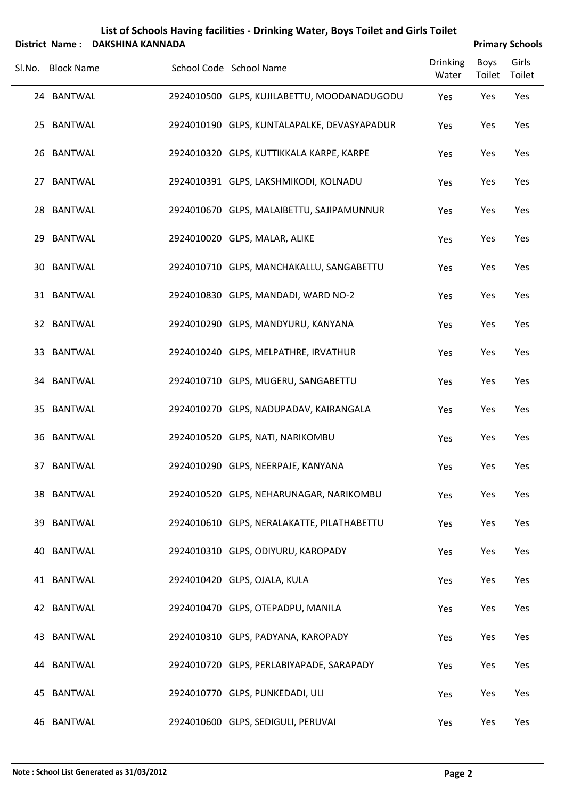|        | District Name:    | <b>DAKSHINA KANNADA</b> |                                             |                          |                       | <b>Primary Schools</b> |
|--------|-------------------|-------------------------|---------------------------------------------|--------------------------|-----------------------|------------------------|
| Sl.No. | <b>Block Name</b> |                         | School Code School Name                     | <b>Drinking</b><br>Water | <b>Boys</b><br>Toilet | Girls<br>Toilet        |
|        | 24 BANTWAL        |                         | 2924010500 GLPS, KUJILABETTU, MOODANADUGODU | Yes                      | Yes                   | Yes                    |
|        | 25 BANTWAL        |                         | 2924010190 GLPS, KUNTALAPALKE, DEVASYAPADUR | Yes                      | Yes                   | Yes                    |
|        | 26 BANTWAL        |                         | 2924010320 GLPS, KUTTIKKALA KARPE, KARPE    | Yes                      | Yes                   | Yes                    |
| 27     | <b>BANTWAL</b>    |                         | 2924010391 GLPS, LAKSHMIKODI, KOLNADU       | Yes                      | Yes                   | Yes                    |
|        | 28 BANTWAL        |                         | 2924010670 GLPS, MALAIBETTU, SAJIPAMUNNUR   | Yes                      | Yes                   | Yes                    |
|        | 29 BANTWAL        |                         | 2924010020 GLPS, MALAR, ALIKE               | Yes                      | Yes                   | Yes                    |
|        | 30 BANTWAL        |                         | 2924010710 GLPS, MANCHAKALLU, SANGABETTU    | Yes                      | Yes                   | Yes                    |
|        | 31 BANTWAL        |                         | 2924010830 GLPS, MANDADI, WARD NO-2         | Yes                      | Yes                   | Yes                    |
|        | 32 BANTWAL        |                         | 2924010290 GLPS, MANDYURU, KANYANA          | Yes                      | Yes                   | Yes                    |
|        | 33 BANTWAL        |                         | 2924010240 GLPS, MELPATHRE, IRVATHUR        | Yes                      | Yes                   | Yes                    |
|        | 34 BANTWAL        |                         | 2924010710 GLPS, MUGERU, SANGABETTU         | Yes                      | Yes                   | Yes                    |
|        | 35 BANTWAL        |                         | 2924010270 GLPS, NADUPADAV, KAIRANGALA      | Yes                      | Yes                   | Yes                    |
| 36     | <b>BANTWAL</b>    |                         | 2924010520 GLPS, NATI, NARIKOMBU            | Yes                      | Yes                   | Yes                    |
|        | 37 BANTWAL        |                         | 2924010290 GLPS, NEERPAJE, KANYANA          | Yes                      | Yes                   | Yes                    |
|        | 38 BANTWAL        |                         | 2924010520 GLPS, NEHARUNAGAR, NARIKOMBU     | Yes                      | Yes                   | Yes                    |
|        | 39 BANTWAL        |                         | 2924010610 GLPS, NERALAKATTE, PILATHABETTU  | Yes                      | Yes                   | Yes                    |
|        | 40 BANTWAL        |                         | 2924010310 GLPS, ODIYURU, KAROPADY          | Yes                      | Yes                   | Yes                    |
|        | 41 BANTWAL        |                         | 2924010420 GLPS, OJALA, KULA                | Yes                      | Yes                   | Yes                    |
|        | 42 BANTWAL        |                         | 2924010470 GLPS, OTEPADPU, MANILA           | Yes                      | Yes                   | Yes                    |
|        | 43 BANTWAL        |                         | 2924010310 GLPS, PADYANA, KAROPADY          | Yes                      | Yes                   | Yes                    |
|        | 44 BANTWAL        |                         | 2924010720 GLPS, PERLABIYAPADE, SARAPADY    | Yes                      | Yes                   | Yes                    |
|        | 45 BANTWAL        |                         | 2924010770 GLPS, PUNKEDADI, ULI             | Yes                      | Yes                   | Yes                    |
|        | 46 BANTWAL        |                         | 2924010600 GLPS, SEDIGULI, PERUVAI          | Yes                      | Yes                   | Yes                    |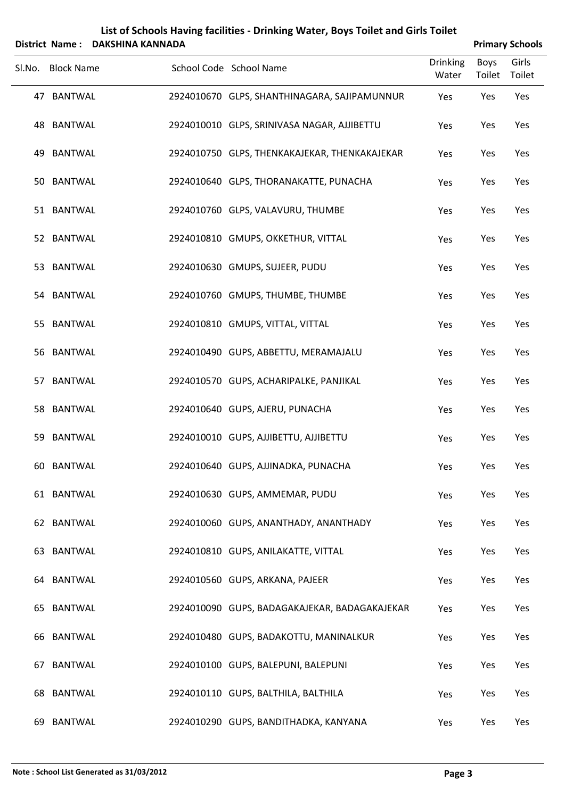|        | District Name:    | <b>DAKSHINA KANNADA</b> |                                               |                          |                       | <b>Primary Schools</b> |
|--------|-------------------|-------------------------|-----------------------------------------------|--------------------------|-----------------------|------------------------|
| Sl.No. | <b>Block Name</b> |                         | School Code School Name                       | <b>Drinking</b><br>Water | <b>Boys</b><br>Toilet | Girls<br>Toilet        |
|        | 47 BANTWAL        |                         | 2924010670 GLPS, SHANTHINAGARA, SAJIPAMUNNUR  | Yes                      | Yes                   | Yes                    |
|        | 48 BANTWAL        |                         | 2924010010 GLPS, SRINIVASA NAGAR, AJJIBETTU   | Yes                      | Yes                   | Yes                    |
| 49     | <b>BANTWAL</b>    |                         | 2924010750 GLPS, THENKAKAJEKAR, THENKAKAJEKAR | Yes                      | Yes                   | Yes                    |
|        | 50 BANTWAL        |                         | 2924010640 GLPS, THORANAKATTE, PUNACHA        | Yes                      | Yes                   | Yes                    |
|        | 51 BANTWAL        |                         | 2924010760 GLPS, VALAVURU, THUMBE             | Yes                      | Yes                   | Yes                    |
|        | 52 BANTWAL        |                         | 2924010810 GMUPS, OKKETHUR, VITTAL            | Yes                      | Yes                   | Yes                    |
|        | 53 BANTWAL        |                         | 2924010630 GMUPS, SUJEER, PUDU                | Yes                      | Yes                   | Yes                    |
|        | 54 BANTWAL        |                         | 2924010760 GMUPS, THUMBE, THUMBE              | Yes                      | Yes                   | Yes                    |
| 55     | <b>BANTWAL</b>    |                         | 2924010810 GMUPS, VITTAL, VITTAL              | Yes                      | Yes                   | Yes                    |
|        | 56 BANTWAL        |                         | 2924010490 GUPS, ABBETTU, MERAMAJALU          | Yes                      | Yes                   | Yes                    |
|        | 57 BANTWAL        |                         | 2924010570 GUPS, ACHARIPALKE, PANJIKAL        | Yes                      | Yes                   | Yes                    |
|        | 58 BANTWAL        |                         | 2924010640 GUPS, AJERU, PUNACHA               | Yes                      | Yes                   | Yes                    |
| 59     | <b>BANTWAL</b>    |                         | 2924010010 GUPS, AJJIBETTU, AJJIBETTU         | Yes                      | Yes                   | Yes                    |
|        | 60 BANTWAL        |                         | 2924010640 GUPS, AJJINADKA, PUNACHA           | Yes                      | Yes                   | Yes                    |
|        | 61 BANTWAL        |                         | 2924010630 GUPS, AMMEMAR, PUDU                | Yes                      | Yes                   | Yes                    |
|        | 62 BANTWAL        |                         | 2924010060 GUPS, ANANTHADY, ANANTHADY         | Yes                      | Yes                   | Yes                    |
|        | 63 BANTWAL        |                         | 2924010810 GUPS, ANILAKATTE, VITTAL           | Yes                      | Yes                   | Yes                    |
|        | 64 BANTWAL        |                         | 2924010560 GUPS, ARKANA, PAJEER               | Yes                      | Yes                   | Yes                    |
|        | 65 BANTWAL        |                         | 2924010090 GUPS, BADAGAKAJEKAR, BADAGAKAJEKAR | Yes                      | Yes                   | Yes                    |
|        | 66 BANTWAL        |                         | 2924010480 GUPS, BADAKOTTU, MANINALKUR        | Yes                      | Yes                   | Yes                    |
| 67     | <b>BANTWAL</b>    |                         | 2924010100 GUPS, BALEPUNI, BALEPUNI           | Yes                      | Yes                   | Yes                    |
|        | 68 BANTWAL        |                         | 2924010110 GUPS, BALTHILA, BALTHILA           | Yes                      | Yes                   | Yes                    |
|        | 69 BANTWAL        |                         | 2924010290 GUPS, BANDITHADKA, KANYANA         | Yes                      | Yes                   | Yes                    |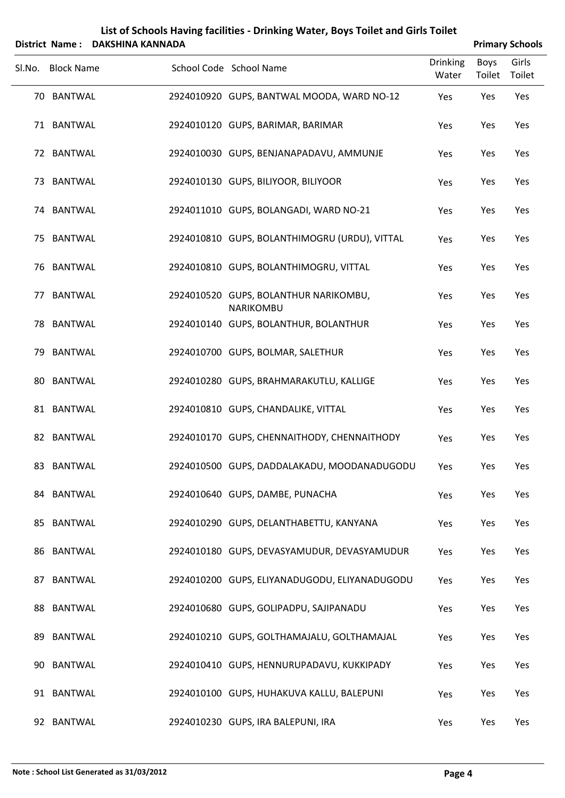|        | District Name:    | <b>DAKSHINA KANNADA</b> |                                                    |                          |                | <b>Primary Schools</b> |
|--------|-------------------|-------------------------|----------------------------------------------------|--------------------------|----------------|------------------------|
| Sl.No. | <b>Block Name</b> |                         | School Code School Name                            | <b>Drinking</b><br>Water | Boys<br>Toilet | Girls<br>Toilet        |
|        | 70 BANTWAL        |                         | 2924010920 GUPS, BANTWAL MOODA, WARD NO-12         | Yes                      | Yes            | Yes                    |
|        | 71 BANTWAL        |                         | 2924010120 GUPS, BARIMAR, BARIMAR                  | Yes                      | Yes            | Yes                    |
|        | 72 BANTWAL        |                         | 2924010030 GUPS, BENJANAPADAVU, AMMUNJE            | Yes                      | Yes            | Yes                    |
|        | 73 BANTWAL        |                         | 2924010130 GUPS, BILIYOOR, BILIYOOR                | Yes                      | Yes            | Yes                    |
|        | 74 BANTWAL        |                         | 2924011010 GUPS, BOLANGADI, WARD NO-21             | Yes                      | Yes            | Yes                    |
| 75     | <b>BANTWAL</b>    |                         | 2924010810 GUPS, BOLANTHIMOGRU (URDU), VITTAL      | Yes                      | Yes            | Yes                    |
| 76     | <b>BANTWAL</b>    |                         | 2924010810 GUPS, BOLANTHIMOGRU, VITTAL             | Yes                      | Yes            | Yes                    |
| 77     | <b>BANTWAL</b>    |                         | 2924010520 GUPS, BOLANTHUR NARIKOMBU,<br>NARIKOMBU | Yes                      | Yes            | Yes                    |
| 78     | <b>BANTWAL</b>    |                         | 2924010140 GUPS, BOLANTHUR, BOLANTHUR              | Yes                      | Yes            | Yes                    |
| 79     | <b>BANTWAL</b>    |                         | 2924010700 GUPS, BOLMAR, SALETHUR                  | Yes                      | Yes            | Yes                    |
| 80     | <b>BANTWAL</b>    |                         | 2924010280 GUPS, BRAHMARAKUTLU, KALLIGE            | Yes                      | Yes            | Yes                    |
|        | 81 BANTWAL        |                         | 2924010810 GUPS, CHANDALIKE, VITTAL                | Yes                      | Yes            | Yes                    |
|        | 82 BANTWAL        |                         | 2924010170 GUPS, CHENNAITHODY, CHENNAITHODY        | Yes                      | Yes            | Yes                    |
|        | 83 BANTWAL        |                         | 2924010500 GUPS, DADDALAKADU, MOODANADUGODU        | Yes                      | Yes            | Yes                    |
|        | 84 BANTWAL        |                         | 2924010640 GUPS, DAMBE, PUNACHA                    | Yes                      | Yes            | Yes                    |
| 85     | <b>BANTWAL</b>    |                         | 2924010290 GUPS, DELANTHABETTU, KANYANA            | Yes                      | Yes            | Yes                    |
| 86     | <b>BANTWAL</b>    |                         | 2924010180 GUPS, DEVASYAMUDUR, DEVASYAMUDUR        | Yes                      | Yes            | Yes                    |
| 87     | <b>BANTWAL</b>    |                         | 2924010200 GUPS, ELIYANADUGODU, ELIYANADUGODU      | Yes                      | Yes            | Yes                    |
|        | 88 BANTWAL        |                         | 2924010680 GUPS, GOLIPADPU, SAJIPANADU             | Yes                      | Yes            | Yes                    |
| 89     | <b>BANTWAL</b>    |                         | 2924010210 GUPS, GOLTHAMAJALU, GOLTHAMAJAL         | Yes                      | Yes            | Yes                    |
| 90     | <b>BANTWAL</b>    |                         | 2924010410 GUPS, HENNURUPADAVU, KUKKIPADY          | Yes                      | Yes            | Yes                    |
|        | 91 BANTWAL        |                         | 2924010100 GUPS, HUHAKUVA KALLU, BALEPUNI          | Yes                      | Yes            | Yes                    |
|        | 92 BANTWAL        |                         | 2924010230 GUPS, IRA BALEPUNI, IRA                 | Yes                      | Yes            | Yes                    |

 $\overline{a}$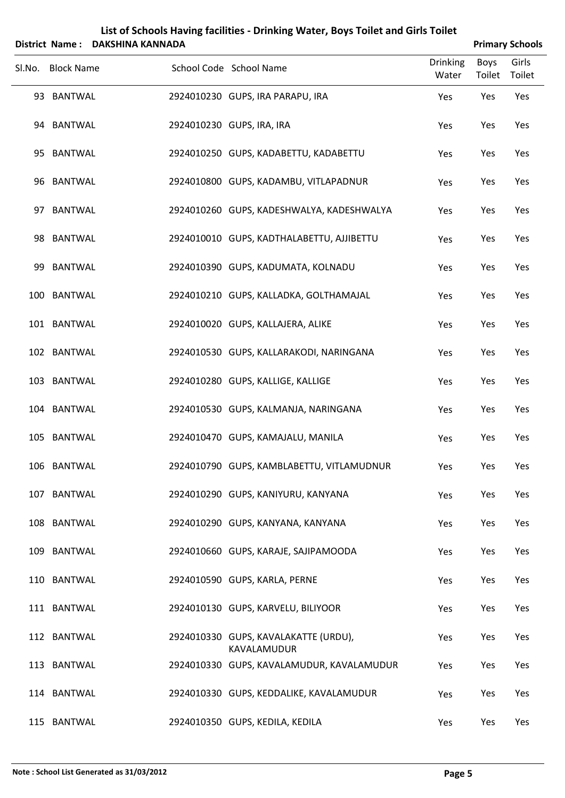|        |                   | District Name: DAKSHINA KANNADA |                                                     |                          |                | <b>Primary Schools</b> |
|--------|-------------------|---------------------------------|-----------------------------------------------------|--------------------------|----------------|------------------------|
| SI.No. | <b>Block Name</b> |                                 | School Code School Name                             | <b>Drinking</b><br>Water | Boys<br>Toilet | Girls<br>Toilet        |
|        | 93 BANTWAL        |                                 | 2924010230 GUPS, IRA PARAPU, IRA                    | Yes                      | Yes            | Yes                    |
|        | 94 BANTWAL        |                                 | 2924010230 GUPS, IRA, IRA                           | Yes                      | Yes            | Yes                    |
|        | 95 BANTWAL        |                                 | 2924010250 GUPS, KADABETTU, KADABETTU               | Yes                      | Yes            | Yes                    |
|        | 96 BANTWAL        |                                 | 2924010800 GUPS, KADAMBU, VITLAPADNUR               | Yes                      | Yes            | Yes                    |
|        | 97 BANTWAL        |                                 | 2924010260 GUPS, KADESHWALYA, KADESHWALYA           | Yes                      | Yes            | Yes                    |
|        | 98 BANTWAL        |                                 | 2924010010 GUPS, KADTHALABETTU, AJJIBETTU           | Yes                      | Yes            | Yes                    |
|        | 99 BANTWAL        |                                 | 2924010390 GUPS, KADUMATA, KOLNADU                  | Yes                      | Yes            | Yes                    |
|        | 100 BANTWAL       |                                 | 2924010210 GUPS, KALLADKA, GOLTHAMAJAL              | Yes                      | Yes            | Yes                    |
|        | 101 BANTWAL       |                                 | 2924010020 GUPS, KALLAJERA, ALIKE                   | Yes                      | Yes            | Yes                    |
|        | 102 BANTWAL       |                                 | 2924010530 GUPS, KALLARAKODI, NARINGANA             | Yes                      | Yes            | Yes                    |
|        | 103 BANTWAL       |                                 | 2924010280 GUPS, KALLIGE, KALLIGE                   | Yes                      | Yes            | Yes                    |
|        | 104 BANTWAL       |                                 | 2924010530 GUPS, KALMANJA, NARINGANA                | Yes                      | Yes            | Yes                    |
|        | 105 BANTWAL       |                                 | 2924010470 GUPS, KAMAJALU, MANILA                   | Yes                      | Yes            | Yes                    |
|        | 106 BANTWAL       |                                 | 2924010790 GUPS, KAMBLABETTU, VITLAMUDNUR           | Yes                      | Yes            | Yes                    |
|        | 107 BANTWAL       |                                 | 2924010290 GUPS, KANIYURU, KANYANA                  | Yes                      | Yes            | Yes                    |
|        | 108 BANTWAL       |                                 | 2924010290 GUPS, KANYANA, KANYANA                   | Yes                      | Yes            | Yes                    |
|        | 109 BANTWAL       |                                 | 2924010660 GUPS, KARAJE, SAJIPAMOODA                | Yes                      | Yes            | Yes                    |
|        | 110 BANTWAL       |                                 | 2924010590 GUPS, KARLA, PERNE                       | Yes                      | Yes            | Yes                    |
|        | 111 BANTWAL       |                                 | 2924010130 GUPS, KARVELU, BILIYOOR                  | Yes                      | Yes            | Yes                    |
|        | 112 BANTWAL       |                                 | 2924010330 GUPS, KAVALAKATTE (URDU),<br>KAVALAMUDUR | Yes                      | Yes            | Yes                    |
|        | 113 BANTWAL       |                                 | 2924010330 GUPS, KAVALAMUDUR, KAVALAMUDUR           | Yes                      | Yes            | Yes                    |
|        | 114 BANTWAL       |                                 | 2924010330 GUPS, KEDDALIKE, KAVALAMUDUR             | Yes                      | Yes            | Yes                    |
|        | 115 BANTWAL       |                                 | 2924010350 GUPS, KEDILA, KEDILA                     | Yes                      | Yes            | Yes                    |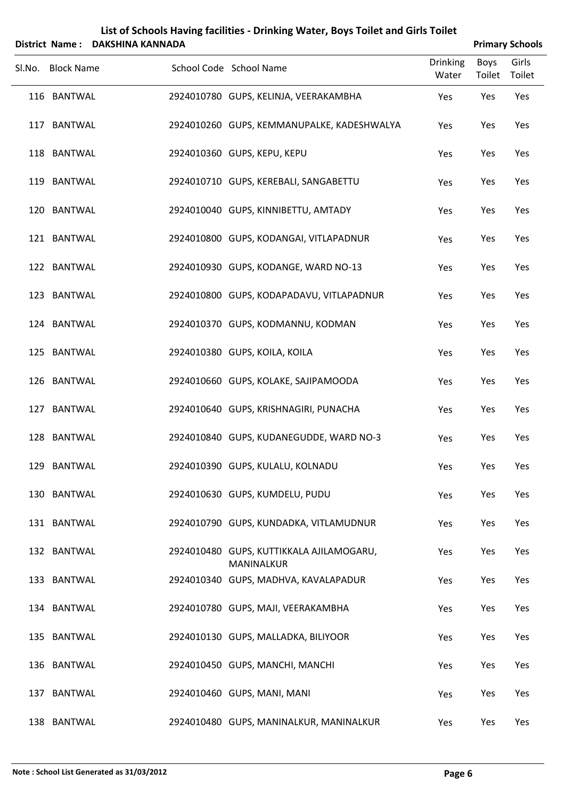|        | District Name:    | <b>DAKSHINA KANNADA</b> |                                                    |                          |                | <b>Primary Schools</b> |
|--------|-------------------|-------------------------|----------------------------------------------------|--------------------------|----------------|------------------------|
| Sl.No. | <b>Block Name</b> |                         | School Code School Name                            | <b>Drinking</b><br>Water | Boys<br>Toilet | Girls<br>Toilet        |
|        | 116 BANTWAL       |                         | 2924010780 GUPS, KELINJA, VEERAKAMBHA              | Yes                      | Yes            | Yes                    |
|        | 117 BANTWAL       |                         | 2924010260 GUPS, KEMMANUPALKE, KADESHWALYA         | Yes                      | Yes            | Yes                    |
|        | 118 BANTWAL       |                         | 2924010360 GUPS, KEPU, KEPU                        | Yes                      | Yes            | Yes                    |
|        | 119 BANTWAL       |                         | 2924010710 GUPS, KEREBALI, SANGABETTU              | Yes                      | Yes            | Yes                    |
|        | 120 BANTWAL       |                         | 2924010040 GUPS, KINNIBETTU, AMTADY                | Yes                      | Yes            | Yes                    |
|        | 121 BANTWAL       |                         | 2924010800 GUPS, KODANGAI, VITLAPADNUR             | Yes                      | Yes            | Yes                    |
|        | 122 BANTWAL       |                         | 2924010930 GUPS, KODANGE, WARD NO-13               | Yes                      | Yes            | Yes                    |
|        | 123 BANTWAL       |                         | 2924010800 GUPS, KODAPADAVU, VITLAPADNUR           | Yes                      | Yes            | Yes                    |
|        | 124 BANTWAL       |                         | 2924010370 GUPS, KODMANNU, KODMAN                  | Yes                      | Yes            | Yes                    |
|        | 125 BANTWAL       |                         | 2924010380 GUPS, KOILA, KOILA                      | Yes                      | Yes            | Yes                    |
|        | 126 BANTWAL       |                         | 2924010660 GUPS, KOLAKE, SAJIPAMOODA               | Yes                      | Yes            | Yes                    |
|        | 127 BANTWAL       |                         | 2924010640 GUPS, KRISHNAGIRI, PUNACHA              | Yes                      | Yes            | Yes                    |
|        | 128 BANTWAL       |                         | 2924010840 GUPS, KUDANEGUDDE, WARD NO-3            | Yes                      | Yes            | Yes                    |
|        | 129 BANTWAL       |                         | 2924010390 GUPS, KULALU, KOLNADU                   | Yes                      | Yes            | Yes                    |
|        | 130 BANTWAL       |                         | 2924010630 GUPS, KUMDELU, PUDU                     | Yes                      | Yes            | Yes                    |
|        | 131 BANTWAL       |                         | 2924010790 GUPS, KUNDADKA, VITLAMUDNUR             | Yes                      | Yes            | Yes                    |
|        | 132 BANTWAL       |                         | 2924010480 GUPS, KUTTIKKALA AJILAMOGARU,           | Yes                      | Yes            | Yes                    |
|        | 133 BANTWAL       |                         | MANINALKUR<br>2924010340 GUPS, MADHVA, KAVALAPADUR | Yes                      | Yes            | Yes                    |
|        | 134 BANTWAL       |                         | 2924010780 GUPS, MAJI, VEERAKAMBHA                 | Yes                      | Yes            | Yes                    |
|        | 135 BANTWAL       |                         | 2924010130 GUPS, MALLADKA, BILIYOOR                | Yes                      | Yes            | Yes                    |
|        | 136 BANTWAL       |                         | 2924010450 GUPS, MANCHI, MANCHI                    | Yes                      | Yes            | Yes                    |
|        | 137 BANTWAL       |                         | 2924010460 GUPS, MANI, MANI                        | Yes                      | Yes            | Yes                    |
|        | 138 BANTWAL       |                         | 2924010480 GUPS, MANINALKUR, MANINALKUR            | Yes                      | Yes            | Yes                    |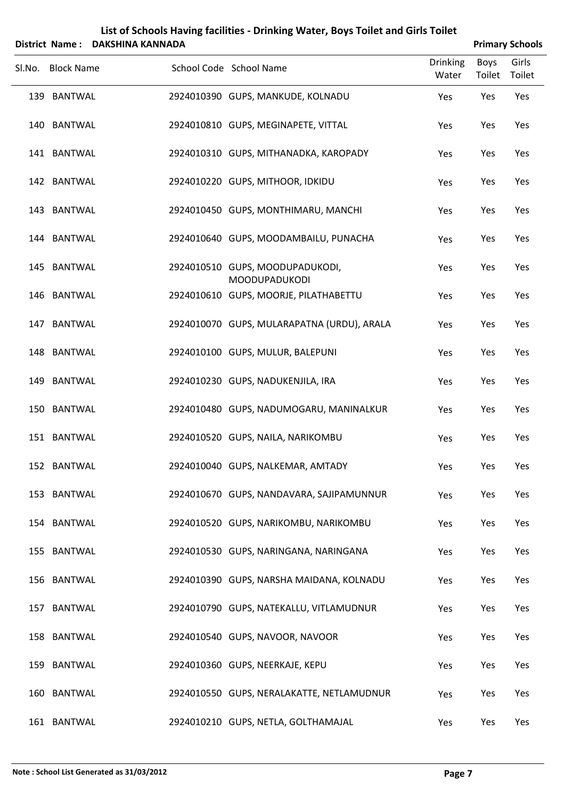|                   | District Name: DAKSHINA KANNADA |                                                         |                          |                              | <b>Primary Schools</b> |
|-------------------|---------------------------------|---------------------------------------------------------|--------------------------|------------------------------|------------------------|
| Sl.No. Block Name |                                 | School Code School Name                                 | <b>Drinking</b><br>Water | <b>Boys</b><br>Toilet Toilet | Girls                  |
| 139 BANTWAL       |                                 | 2924010390 GUPS, MANKUDE, KOLNADU                       | Yes                      | Yes                          | Yes                    |
| 140 BANTWAL       |                                 | 2924010810 GUPS, MEGINAPETE, VITTAL                     | Yes                      | Yes                          | Yes                    |
| 141 BANTWAL       |                                 | 2924010310 GUPS, MITHANADKA, KAROPADY                   | Yes                      | Yes                          | Yes                    |
| 142 BANTWAL       |                                 | 2924010220 GUPS, MITHOOR, IDKIDU                        | Yes                      | Yes                          | Yes                    |
| 143 BANTWAL       |                                 | 2924010450 GUPS, MONTHIMARU, MANCHI                     | Yes                      | Yes                          | Yes                    |
| 144 BANTWAL       |                                 | 2924010640 GUPS, MOODAMBAILU, PUNACHA                   | Yes                      | Yes                          | Yes                    |
| 145 BANTWAL       |                                 | 2924010510 GUPS, MOODUPADUKODI,<br><b>MOODUPADUKODI</b> | Yes                      | Yes                          | Yes                    |
| 146 BANTWAL       |                                 | 2924010610 GUPS, MOORJE, PILATHABETTU                   | Yes                      | Yes                          | Yes                    |
| 147 BANTWAL       |                                 | 2924010070 GUPS, MULARAPATNA (URDU), ARALA              | Yes                      | Yes                          | Yes                    |
| 148 BANTWAL       |                                 | 2924010100 GUPS, MULUR, BALEPUNI                        | Yes                      | Yes                          | Yes                    |
| 149 BANTWAL       |                                 | 2924010230 GUPS, NADUKENJILA, IRA                       | Yes                      | Yes                          | Yes                    |
| 150 BANTWAL       |                                 | 2924010480 GUPS, NADUMOGARU, MANINALKUR                 | Yes                      | Yes                          | Yes                    |
| 151 BANTWAL       |                                 | 2924010520 GUPS, NAILA, NARIKOMBU                       | Yes                      | Yes                          | Yes                    |
| 152 BANTWAL       |                                 | 2924010040 GUPS, NALKEMAR, AMTADY                       | Yes                      | Yes                          | Yes                    |
| 153 BANTWAL       |                                 | 2924010670 GUPS, NANDAVARA, SAJIPAMUNNUR                | Yes                      | Yes                          | Yes                    |
| 154 BANTWAL       |                                 | 2924010520 GUPS, NARIKOMBU, NARIKOMBU                   | Yes                      | Yes                          | Yes                    |
| 155 BANTWAL       |                                 | 2924010530 GUPS, NARINGANA, NARINGANA                   | Yes                      | Yes                          | Yes                    |
| 156 BANTWAL       |                                 | 2924010390 GUPS, NARSHA MAIDANA, KOLNADU                | Yes                      | Yes                          | Yes                    |
| 157 BANTWAL       |                                 | 2924010790 GUPS, NATEKALLU, VITLAMUDNUR                 | Yes                      | Yes                          | Yes                    |
| 158 BANTWAL       |                                 | 2924010540 GUPS, NAVOOR, NAVOOR                         | Yes                      | Yes                          | Yes                    |
| 159 BANTWAL       |                                 | 2924010360 GUPS, NEERKAJE, KEPU                         | Yes                      | Yes                          | Yes                    |
| 160 BANTWAL       |                                 | 2924010550 GUPS, NERALAKATTE, NETLAMUDNUR               | Yes                      | Yes                          | Yes                    |
| 161 BANTWAL       |                                 | 2924010210 GUPS, NETLA, GOLTHAMAJAL                     | Yes                      | Yes                          | Yes                    |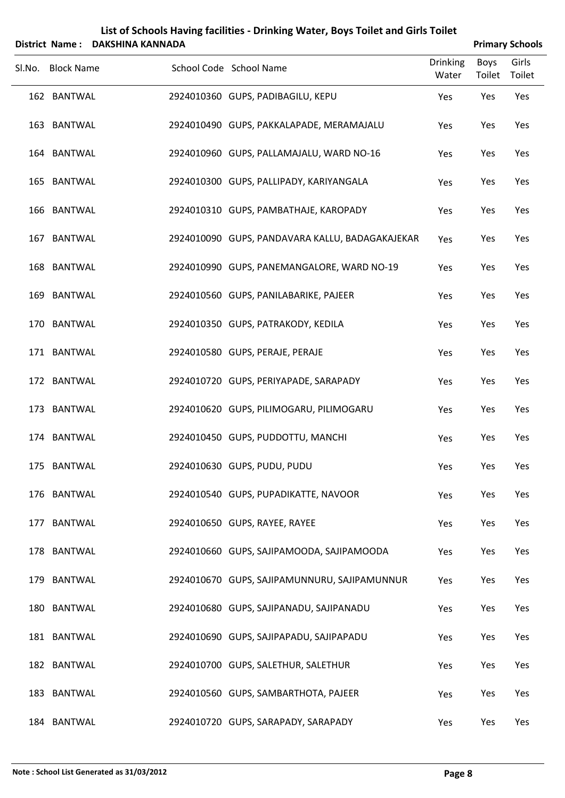|        | <b>District Name:</b> | <b>DAKSHINA KANNADA</b> |                                                 |                          |                | <b>Primary Schools</b> |
|--------|-----------------------|-------------------------|-------------------------------------------------|--------------------------|----------------|------------------------|
| SI.No. | <b>Block Name</b>     |                         | School Code School Name                         | <b>Drinking</b><br>Water | Boys<br>Toilet | Girls<br>Toilet        |
|        | 162 BANTWAL           |                         | 2924010360 GUPS, PADIBAGILU, KEPU               | Yes                      | Yes            | Yes                    |
|        | 163 BANTWAL           |                         | 2924010490 GUPS, PAKKALAPADE, MERAMAJALU        | Yes                      | Yes            | Yes                    |
|        | 164 BANTWAL           |                         | 2924010960 GUPS, PALLAMAJALU, WARD NO-16        | Yes                      | Yes            | Yes                    |
|        | 165 BANTWAL           |                         | 2924010300 GUPS, PALLIPADY, KARIYANGALA         | Yes                      | Yes            | Yes                    |
|        | 166 BANTWAL           |                         | 2924010310 GUPS, PAMBATHAJE, KAROPADY           | Yes                      | Yes            | Yes                    |
|        | 167 BANTWAL           |                         | 2924010090 GUPS, PANDAVARA KALLU, BADAGAKAJEKAR | Yes                      | Yes            | Yes                    |
|        | 168 BANTWAL           |                         | 2924010990 GUPS, PANEMANGALORE, WARD NO-19      | Yes                      | Yes            | Yes                    |
|        | 169 BANTWAL           |                         | 2924010560 GUPS, PANILABARIKE, PAJEER           | Yes                      | Yes            | Yes                    |
|        | 170 BANTWAL           |                         | 2924010350 GUPS, PATRAKODY, KEDILA              | Yes                      | Yes            | Yes                    |
|        | 171 BANTWAL           |                         | 2924010580 GUPS, PERAJE, PERAJE                 | Yes                      | Yes            | Yes                    |
|        | 172 BANTWAL           |                         | 2924010720 GUPS, PERIYAPADE, SARAPADY           | Yes                      | Yes            | Yes                    |
|        | 173 BANTWAL           |                         | 2924010620 GUPS, PILIMOGARU, PILIMOGARU         | Yes                      | Yes            | Yes                    |
|        | 174 BANTWAL           |                         | 2924010450 GUPS, PUDDOTTU, MANCHI               | Yes                      | Yes            | Yes                    |
|        | 175 BANTWAL           |                         | 2924010630 GUPS, PUDU, PUDU                     | Yes                      | Yes            | Yes                    |
|        | 176 BANTWAL           |                         | 2924010540 GUPS, PUPADIKATTE, NAVOOR            | Yes                      | Yes            | Yes                    |
|        | 177 BANTWAL           |                         | 2924010650 GUPS, RAYEE, RAYEE                   | Yes                      | Yes            | Yes                    |
|        | 178 BANTWAL           |                         | 2924010660 GUPS, SAJIPAMOODA, SAJIPAMOODA       | Yes                      | Yes            | Yes                    |
|        | 179 BANTWAL           |                         | 2924010670 GUPS, SAJIPAMUNNURU, SAJIPAMUNNUR    | Yes                      | Yes            | Yes                    |
|        | 180 BANTWAL           |                         | 2924010680 GUPS, SAJIPANADU, SAJIPANADU         | Yes                      | Yes            | Yes                    |
|        | 181 BANTWAL           |                         | 2924010690 GUPS, SAJIPAPADU, SAJIPAPADU         | Yes                      | Yes            | Yes                    |
|        | 182 BANTWAL           |                         | 2924010700 GUPS, SALETHUR, SALETHUR             | Yes                      | Yes            | Yes                    |
|        | 183 BANTWAL           |                         | 2924010560 GUPS, SAMBARTHOTA, PAJEER            | Yes                      | Yes            | Yes                    |
|        | 184 BANTWAL           |                         | 2924010720 GUPS, SARAPADY, SARAPADY             | Yes                      | Yes            | Yes                    |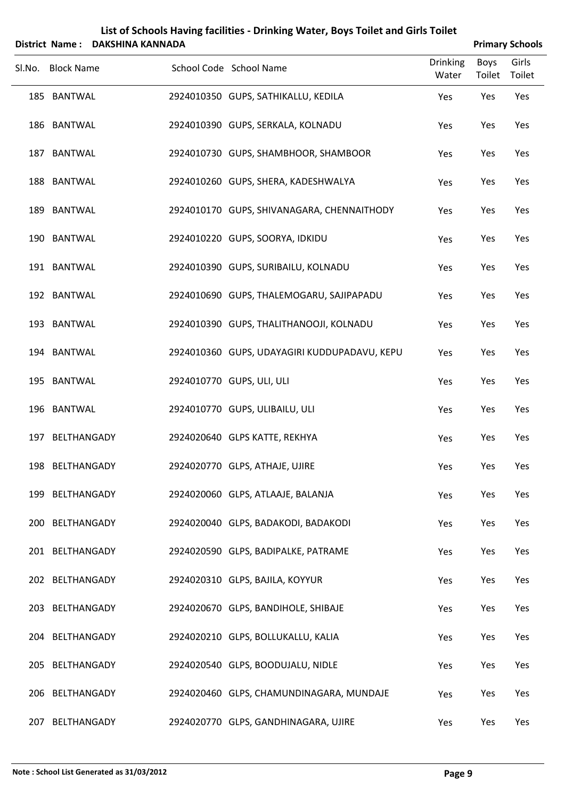|        | District Name:    | <b>DAKSHINA KANNADA</b> |                                              |                          |                       | <b>Primary Schools</b> |
|--------|-------------------|-------------------------|----------------------------------------------|--------------------------|-----------------------|------------------------|
| Sl.No. | <b>Block Name</b> |                         | School Code School Name                      | <b>Drinking</b><br>Water | <b>Boys</b><br>Toilet | Girls<br>Toilet        |
|        | 185 BANTWAL       |                         | 2924010350 GUPS, SATHIKALLU, KEDILA          | Yes                      | Yes                   | Yes                    |
|        | 186 BANTWAL       |                         | 2924010390 GUPS, SERKALA, KOLNADU            | Yes                      | Yes                   | Yes                    |
|        | 187 BANTWAL       |                         | 2924010730 GUPS, SHAMBHOOR, SHAMBOOR         | Yes                      | Yes                   | Yes                    |
|        | 188 BANTWAL       |                         | 2924010260 GUPS, SHERA, KADESHWALYA          | Yes                      | Yes                   | Yes                    |
|        | 189 BANTWAL       |                         | 2924010170 GUPS, SHIVANAGARA, CHENNAITHODY   | Yes                      | Yes                   | Yes                    |
|        | 190 BANTWAL       |                         | 2924010220 GUPS, SOORYA, IDKIDU              | Yes                      | Yes                   | Yes                    |
|        | 191 BANTWAL       |                         | 2924010390 GUPS, SURIBAILU, KOLNADU          | Yes                      | Yes                   | Yes                    |
|        | 192 BANTWAL       |                         | 2924010690 GUPS, THALEMOGARU, SAJIPAPADU     | Yes                      | Yes                   | Yes                    |
|        | 193 BANTWAL       |                         | 2924010390 GUPS, THALITHANOOJI, KOLNADU      | Yes                      | Yes                   | Yes                    |
|        | 194 BANTWAL       |                         | 2924010360 GUPS, UDAYAGIRI KUDDUPADAVU, KEPU | Yes                      | Yes                   | Yes                    |
|        | 195 BANTWAL       |                         | 2924010770 GUPS, ULI, ULI                    | Yes                      | Yes                   | Yes                    |
|        | 196 BANTWAL       |                         | 2924010770 GUPS, ULIBAILU, ULI               | Yes                      | Yes                   | Yes                    |
|        | 197 BELTHANGADY   |                         | 2924020640 GLPS KATTE, REKHYA                | Yes                      | Yes                   | Yes                    |
|        | 198 BELTHANGADY   |                         | 2924020770 GLPS, ATHAJE, UJIRE               | Yes                      | Yes                   | Yes                    |
|        | 199 BELTHANGADY   |                         | 2924020060 GLPS, ATLAAJE, BALANJA            | Yes                      | Yes                   | Yes                    |
|        | 200 BELTHANGADY   |                         | 2924020040 GLPS, BADAKODI, BADAKODI          | Yes                      | Yes                   | Yes                    |
|        | 201 BELTHANGADY   |                         | 2924020590 GLPS, BADIPALKE, PATRAME          | Yes                      | Yes                   | Yes                    |
|        | 202 BELTHANGADY   |                         | 2924020310 GLPS, BAJILA, KOYYUR              | Yes                      | Yes                   | Yes                    |
|        | 203 BELTHANGADY   |                         | 2924020670 GLPS, BANDIHOLE, SHIBAJE          | Yes                      | Yes                   | Yes                    |
|        | 204 BELTHANGADY   |                         | 2924020210 GLPS, BOLLUKALLU, KALIA           | Yes                      | Yes                   | Yes                    |
|        | 205 BELTHANGADY   |                         | 2924020540 GLPS, BOODUJALU, NIDLE            | Yes                      | Yes                   | Yes                    |
|        | 206 BELTHANGADY   |                         | 2924020460 GLPS, CHAMUNDINAGARA, MUNDAJE     | Yes                      | Yes                   | Yes                    |
|        | 207 BELTHANGADY   |                         | 2924020770 GLPS, GANDHINAGARA, UJIRE         | Yes                      | Yes                   | Yes                    |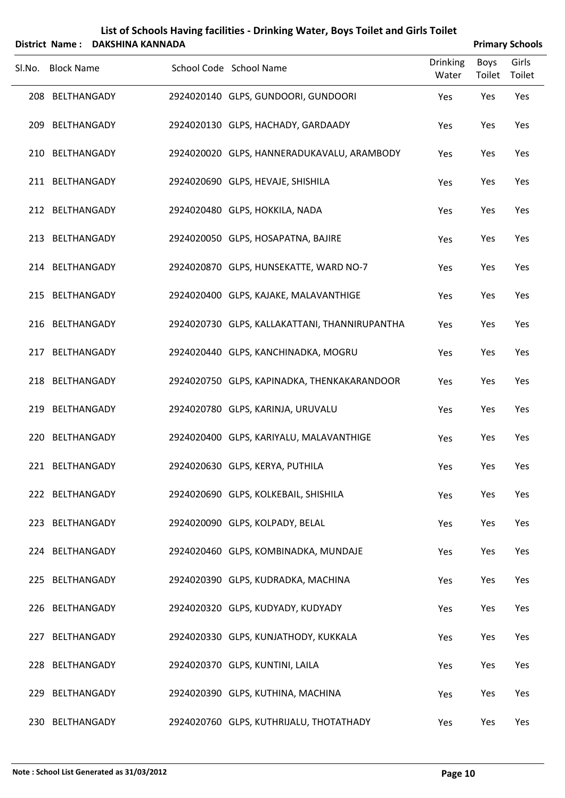| List of Schools Having facilities - Drinking Water, Boys Toilet and Girls Toilet |
|----------------------------------------------------------------------------------|
| $\mathbf{A}$                                                                     |

|        | <b>District Name:</b> | <b>DAKSHINA KANNADA</b> |                                               |                          |                | <b>Primary Schools</b> |
|--------|-----------------------|-------------------------|-----------------------------------------------|--------------------------|----------------|------------------------|
| Sl.No. | <b>Block Name</b>     |                         | School Code School Name                       | <b>Drinking</b><br>Water | Boys<br>Toilet | Girls<br>Toilet        |
|        | 208 BELTHANGADY       |                         | 2924020140 GLPS, GUNDOORI, GUNDOORI           | Yes                      | Yes            | Yes                    |
|        | 209 BELTHANGADY       |                         | 2924020130 GLPS, HACHADY, GARDAADY            | Yes                      | Yes            | Yes                    |
|        | 210 BELTHANGADY       |                         | 2924020020 GLPS, HANNERADUKAVALU, ARAMBODY    | Yes                      | Yes            | Yes                    |
|        | 211 BELTHANGADY       |                         | 2924020690 GLPS, HEVAJE, SHISHILA             | Yes                      | Yes            | Yes                    |
|        | 212 BELTHANGADY       |                         | 2924020480 GLPS, HOKKILA, NADA                | Yes                      | Yes            | Yes                    |
|        | 213 BELTHANGADY       |                         | 2924020050 GLPS, HOSAPATNA, BAJIRE            | Yes                      | Yes            | Yes                    |
|        | 214 BELTHANGADY       |                         | 2924020870 GLPS, HUNSEKATTE, WARD NO-7        | Yes                      | Yes            | Yes                    |
|        | 215 BELTHANGADY       |                         | 2924020400 GLPS, KAJAKE, MALAVANTHIGE         | Yes                      | Yes            | Yes                    |
|        | 216 BELTHANGADY       |                         | 2924020730 GLPS, KALLAKATTANI, THANNIRUPANTHA | Yes                      | Yes            | Yes                    |
|        | 217 BELTHANGADY       |                         | 2924020440 GLPS, KANCHINADKA, MOGRU           | Yes                      | Yes            | Yes                    |
|        | 218 BELTHANGADY       |                         | 2924020750 GLPS, KAPINADKA, THENKAKARANDOOR   | Yes                      | Yes            | Yes                    |
|        | 219 BELTHANGADY       |                         | 2924020780 GLPS, KARINJA, URUVALU             | Yes                      | Yes            | Yes                    |
|        | 220 BELTHANGADY       |                         | 2924020400 GLPS, KARIYALU, MALAVANTHIGE       | Yes                      | Yes            | Yes                    |
|        | 221 BELTHANGADY       |                         | 2924020630 GLPS, KERYA, PUTHILA               | Yes                      | Yes            | Yes                    |
|        | 222 BELTHANGADY       |                         | 2924020690 GLPS, KOLKEBAIL, SHISHILA          | Yes                      | Yes            | Yes                    |
|        | 223 BELTHANGADY       |                         | 2924020090 GLPS, KOLPADY, BELAL               | Yes                      | Yes            | Yes                    |
|        | 224 BELTHANGADY       |                         | 2924020460 GLPS, KOMBINADKA, MUNDAJE          | Yes                      | Yes            | Yes                    |
|        | 225 BELTHANGADY       |                         | 2924020390 GLPS, KUDRADKA, MACHINA            | Yes                      | Yes            | Yes                    |
|        | 226 BELTHANGADY       |                         | 2924020320 GLPS, KUDYADY, KUDYADY             | Yes                      | Yes            | Yes                    |
|        | 227 BELTHANGADY       |                         | 2924020330 GLPS, KUNJATHODY, KUKKALA          | Yes                      | Yes            | Yes                    |
|        | 228 BELTHANGADY       |                         | 2924020370 GLPS, KUNTINI, LAILA               | Yes                      | Yes            | Yes                    |
|        | 229 BELTHANGADY       |                         | 2924020390 GLPS, KUTHINA, MACHINA             | Yes                      | Yes            | Yes                    |
|        | 230 BELTHANGADY       |                         | 2924020760 GLPS, KUTHRIJALU, THOTATHADY       | Yes                      | Yes            | Yes                    |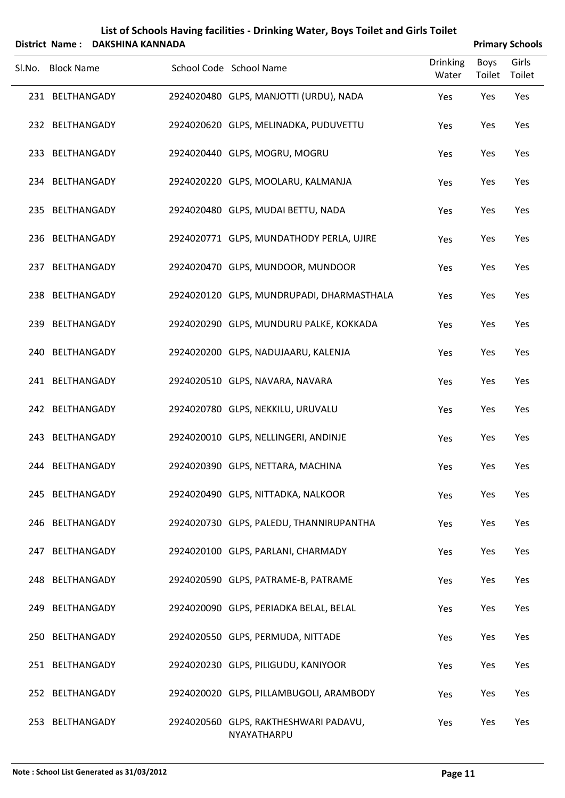|        | List of Schools Having facilities - Drinking Water, Boys Toilet and Girls Toilet<br><b>DAKSHINA KANNADA</b><br><b>Primary Schools</b><br>District Name: |  |  |                                           |                 |             |        |  |  |  |  |  |
|--------|---------------------------------------------------------------------------------------------------------------------------------------------------------|--|--|-------------------------------------------|-----------------|-------------|--------|--|--|--|--|--|
|        |                                                                                                                                                         |  |  |                                           | <b>Drinking</b> | <b>Boys</b> | Girls  |  |  |  |  |  |
| Sl.No. | <b>Block Name</b>                                                                                                                                       |  |  | School Code School Name                   | Water           | Toilet      | Toilet |  |  |  |  |  |
|        | 231 BELTHANGADY                                                                                                                                         |  |  | 2924020480 GLPS, MANJOTTI (URDU), NADA    | Yes             | Yes         | Yes    |  |  |  |  |  |
|        | 232 BELTHANGADY                                                                                                                                         |  |  | 2924020620 GLPS, MELINADKA, PUDUVETTU     | Yes             | Yes         | Yes    |  |  |  |  |  |
|        | 233 BELTHANGADY                                                                                                                                         |  |  | 2924020440 GLPS, MOGRU, MOGRU             | Yes             | Yes         | Yes    |  |  |  |  |  |
|        | 234 BELTHANGADY                                                                                                                                         |  |  | 2924020220 GLPS, MOOLARU, KALMANJA        | Yes             | Yes         | Yes    |  |  |  |  |  |
|        | 235 BELTHANGADY                                                                                                                                         |  |  | 2924020480 GLPS, MUDAI BETTU, NADA        | Yes             | Yes         | Yes    |  |  |  |  |  |
|        | 236 BELTHANGADY                                                                                                                                         |  |  | 2924020771 GLPS, MUNDATHODY PERLA, UJIRE  | Yes             | Yes         | Yes    |  |  |  |  |  |
|        | 237 BELTHANGADY                                                                                                                                         |  |  | 2924020470 GLPS, MUNDOOR, MUNDOOR         | Yes             | Yes         | Yes    |  |  |  |  |  |
|        | 238 BELTHANGADY                                                                                                                                         |  |  | 2924020120 GLPS, MUNDRUPADI, DHARMASTHALA | Yes             | Yes         | Yes    |  |  |  |  |  |
|        | 239 BELTHANGADY                                                                                                                                         |  |  | 2924020290 GLPS, MUNDURU PALKE, KOKKADA   | Yes             | Yes         | Yes    |  |  |  |  |  |
|        | 240 BELTHANGADY                                                                                                                                         |  |  | 2924020200 GLPS, NADUJAARU, KALENJA       | Yes             | Yes         | Yes    |  |  |  |  |  |
|        | 241 BELTHANGADY                                                                                                                                         |  |  | 2924020510 GLPS, NAVARA, NAVARA           | Yes             | Yes         | Yes    |  |  |  |  |  |
|        | 242 BELTHANGADY                                                                                                                                         |  |  | 2924020780 GLPS, NEKKILU, URUVALU         | Yes             | Yes         | Yes    |  |  |  |  |  |
|        | 243 BELTHANGADY                                                                                                                                         |  |  | 2924020010 GLPS, NELLINGERI, ANDINJE      | Yes             | Yes         | Yes    |  |  |  |  |  |
|        | 244 BELTHANGADY                                                                                                                                         |  |  | 2924020390 GLPS, NETTARA, MACHINA         | Yes             | Yes         | Yes    |  |  |  |  |  |
|        | 245 BELTHANGADY                                                                                                                                         |  |  | 2924020490 GLPS, NITTADKA, NALKOOR        | Yes             | Yes         | Yes    |  |  |  |  |  |
|        | 246 BELTHANGADY                                                                                                                                         |  |  | 2924020730 GLPS, PALEDU, THANNIRUPANTHA   | Yes             | Yes         | Yes    |  |  |  |  |  |
|        | 247 BELTHANGADY                                                                                                                                         |  |  | 2924020100 GLPS, PARLANI, CHARMADY        | Yes             | Yes         | Yes    |  |  |  |  |  |
|        | 248 BELTHANGADY                                                                                                                                         |  |  | 2924020590 GLPS, PATRAME-B, PATRAME       | Yes             | Yes         | Yes    |  |  |  |  |  |
|        | 249 BELTHANGADY                                                                                                                                         |  |  | 2924020090 GLPS, PERIADKA BELAL, BELAL    | Yes             | Yes         | Yes    |  |  |  |  |  |
|        | 250 BELTHANGADY                                                                                                                                         |  |  | 2924020550 GLPS, PERMUDA, NITTADE         | Yes             | Yes         | Yes    |  |  |  |  |  |
|        | 251 BELTHANGADY                                                                                                                                         |  |  | 2924020230 GLPS, PILIGUDU, KANIYOOR       | Yes             | Yes         | Yes    |  |  |  |  |  |
|        | 252 BELTHANGADY                                                                                                                                         |  |  | 2924020020 GLPS, PILLAMBUGOLI, ARAMBODY   | Yes             | Yes         | Yes    |  |  |  |  |  |
|        | 253 BELTHANGADY                                                                                                                                         |  |  | 2924020560 GLPS, RAKTHESHWARI PADAVU,     | Yes             | Yes         | Yes    |  |  |  |  |  |

NYAYATHARPU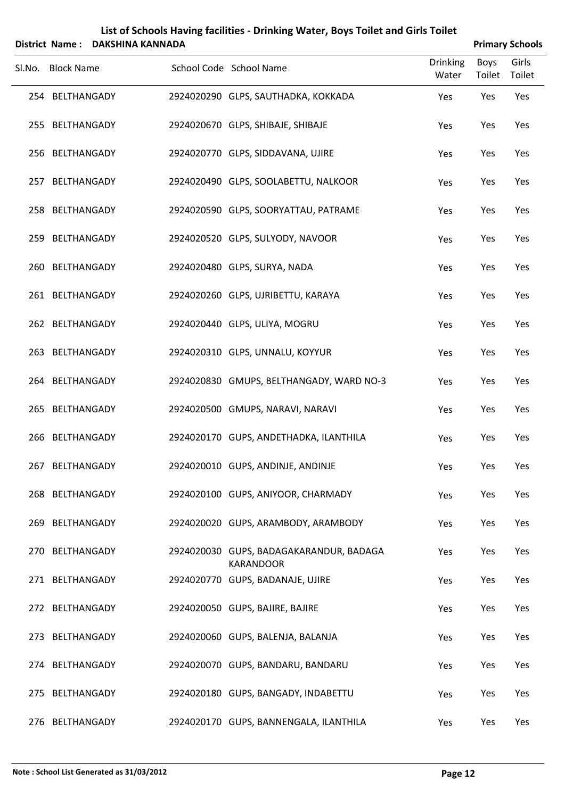|                   | District Name: DAKSHINA KANNADA | $\sim$                                                      |                          |                | <b>Primary Schools</b> |
|-------------------|---------------------------------|-------------------------------------------------------------|--------------------------|----------------|------------------------|
| Sl.No. Block Name |                                 | School Code School Name                                     | <b>Drinking</b><br>Water | Boys<br>Toilet | Girls<br>Toilet        |
| 254 BELTHANGADY   |                                 | 2924020290 GLPS, SAUTHADKA, KOKKADA                         | Yes                      | Yes            | Yes                    |
| 255 BELTHANGADY   |                                 | 2924020670 GLPS, SHIBAJE, SHIBAJE                           | Yes                      | Yes            | Yes                    |
| 256 BELTHANGADY   |                                 | 2924020770 GLPS, SIDDAVANA, UJIRE                           | Yes                      | Yes            | Yes                    |
| 257 BELTHANGADY   |                                 | 2924020490 GLPS, SOOLABETTU, NALKOOR                        | Yes                      | Yes            | Yes                    |
| 258 BELTHANGADY   |                                 | 2924020590 GLPS, SOORYATTAU, PATRAME                        | Yes                      | Yes            | Yes                    |
| 259 BELTHANGADY   |                                 | 2924020520 GLPS, SULYODY, NAVOOR                            | Yes                      | Yes            | Yes                    |
| 260 BELTHANGADY   |                                 | 2924020480 GLPS, SURYA, NADA                                | Yes                      | Yes            | Yes                    |
| 261 BELTHANGADY   |                                 | 2924020260 GLPS, UJRIBETTU, KARAYA                          | Yes                      | Yes            | Yes                    |
| 262 BELTHANGADY   |                                 | 2924020440 GLPS, ULIYA, MOGRU                               | Yes                      | Yes            | Yes                    |
| 263 BELTHANGADY   |                                 | 2924020310 GLPS, UNNALU, KOYYUR                             | Yes                      | Yes            | Yes                    |
| 264 BELTHANGADY   |                                 | 2924020830 GMUPS, BELTHANGADY, WARD NO-3                    | Yes                      | Yes            | Yes                    |
| 265 BELTHANGADY   |                                 | 2924020500 GMUPS, NARAVI, NARAVI                            | Yes                      | Yes            | Yes                    |
| 266 BELTHANGADY   |                                 | 2924020170 GUPS, ANDETHADKA, ILANTHILA                      | Yes                      | Yes            | Yes                    |
| 267 BELTHANGADY   |                                 | 2924020010 GUPS, ANDINJE, ANDINJE                           | Yes                      | Yes            | Yes                    |
| 268 BELTHANGADY   |                                 | 2924020100 GUPS, ANIYOOR, CHARMADY                          | Yes                      | Yes            | Yes                    |
| 269 BELTHANGADY   |                                 | 2924020020 GUPS, ARAMBODY, ARAMBODY                         | Yes                      | Yes            | Yes                    |
| 270 BELTHANGADY   |                                 | 2924020030 GUPS, BADAGAKARANDUR, BADAGA<br><b>KARANDOOR</b> | Yes                      | Yes            | Yes                    |
| 271 BELTHANGADY   |                                 | 2924020770 GUPS, BADANAJE, UJIRE                            | Yes                      | Yes            | Yes                    |
| 272 BELTHANGADY   |                                 | 2924020050 GUPS, BAJIRE, BAJIRE                             | Yes                      | Yes            | Yes                    |
| 273 BELTHANGADY   |                                 | 2924020060 GUPS, BALENJA, BALANJA                           | Yes                      | Yes            | Yes                    |
| 274 BELTHANGADY   |                                 | 2924020070 GUPS, BANDARU, BANDARU                           | Yes                      | Yes            | Yes                    |
| 275 BELTHANGADY   |                                 | 2924020180 GUPS, BANGADY, INDABETTU                         | Yes                      | Yes            | Yes                    |
| 276 BELTHANGADY   |                                 | 2924020170 GUPS, BANNENGALA, ILANTHILA                      | Yes                      | Yes            | Yes                    |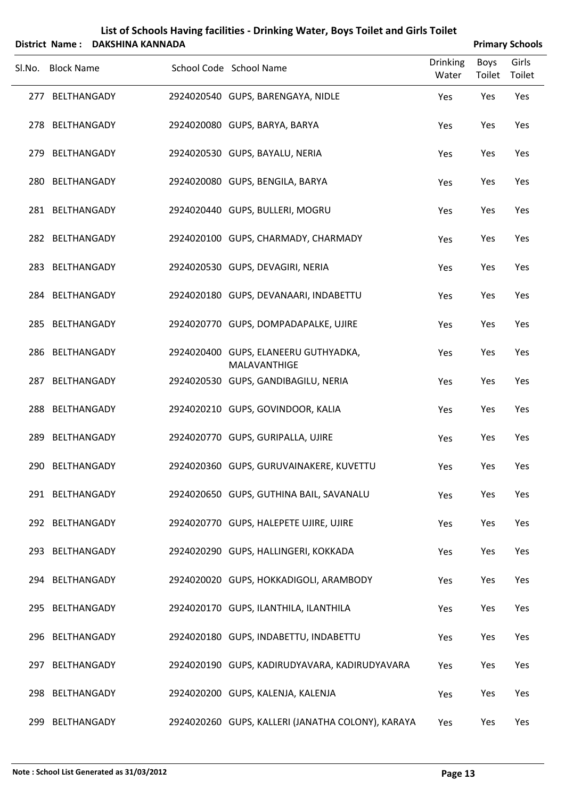| List of Schools Having facilities - Drinking Water, Boys Toilet and Girls Toilet<br><b>DAKSHINA KANNADA</b><br>District Name: |                   |  |  |                                                      |                          |                | <b>Primary Schools</b> |
|-------------------------------------------------------------------------------------------------------------------------------|-------------------|--|--|------------------------------------------------------|--------------------------|----------------|------------------------|
| Sl.No.                                                                                                                        | <b>Block Name</b> |  |  | School Code School Name                              | <b>Drinking</b><br>Water | Boys<br>Toilet | Girls<br>Toilet        |
|                                                                                                                               | 277 BELTHANGADY   |  |  | 2924020540 GUPS, BARENGAYA, NIDLE                    | Yes                      | Yes            | Yes                    |
|                                                                                                                               | 278 BELTHANGADY   |  |  | 2924020080 GUPS, BARYA, BARYA                        | Yes                      | Yes            | Yes                    |
| 279                                                                                                                           | BELTHANGADY       |  |  | 2924020530 GUPS, BAYALU, NERIA                       | Yes                      | Yes            | Yes                    |
|                                                                                                                               | 280 BELTHANGADY   |  |  | 2924020080 GUPS, BENGILA, BARYA                      | Yes                      | Yes            | Yes                    |
|                                                                                                                               | 281 BELTHANGADY   |  |  | 2924020440 GUPS, BULLERI, MOGRU                      | Yes                      | Yes            | Yes                    |
|                                                                                                                               | 282 BELTHANGADY   |  |  | 2924020100 GUPS, CHARMADY, CHARMADY                  | Yes                      | Yes            | Yes                    |
|                                                                                                                               | 283 BELTHANGADY   |  |  | 2924020530 GUPS, DEVAGIRI, NERIA                     | Yes                      | Yes            | Yes                    |
|                                                                                                                               | 284 BELTHANGADY   |  |  | 2924020180 GUPS, DEVANAARI, INDABETTU                | Yes                      | Yes            | Yes                    |
|                                                                                                                               | 285 BELTHANGADY   |  |  | 2924020770 GUPS, DOMPADAPALKE, UJIRE                 | Yes                      | Yes            | Yes                    |
|                                                                                                                               | 286 BELTHANGADY   |  |  | 2924020400 GUPS, ELANEERU GUTHYADKA,<br>MALAVANTHIGE | Yes                      | Yes            | Yes                    |
|                                                                                                                               | 287 BELTHANGADY   |  |  | 2924020530 GUPS, GANDIBAGILU, NERIA                  | Yes                      | Yes            | Yes                    |
|                                                                                                                               | 288 BELTHANGADY   |  |  | 2924020210 GUPS, GOVINDOOR, KALIA                    | Yes                      | Yes            | Yes                    |
|                                                                                                                               | 289 BELTHANGADY   |  |  | 2924020770 GUPS, GURIPALLA, UJIRE                    | Yes                      | Yes            | Yes                    |
|                                                                                                                               | 290 BELTHANGADY   |  |  | 2924020360 GUPS, GURUVAINAKERE, KUVETTU              | Yes                      | Yes            | Yes                    |
|                                                                                                                               | 291 BELTHANGADY   |  |  | 2924020650 GUPS, GUTHINA BAIL, SAVANALU              | Yes                      | Yes            | Yes                    |
|                                                                                                                               | 292 BELTHANGADY   |  |  | 2924020770 GUPS, HALEPETE UJIRE, UJIRE               | Yes                      | Yes            | Yes                    |
|                                                                                                                               | 293 BELTHANGADY   |  |  | 2924020290 GUPS, HALLINGERI, KOKKADA                 | Yes                      | Yes            | Yes                    |
|                                                                                                                               | 294 BELTHANGADY   |  |  | 2924020020 GUPS, HOKKADIGOLI, ARAMBODY               | Yes                      | Yes            | Yes                    |
|                                                                                                                               | 295 BELTHANGADY   |  |  | 2924020170 GUPS, ILANTHILA, ILANTHILA                | Yes                      | Yes            | Yes                    |
|                                                                                                                               | 296 BELTHANGADY   |  |  | 2924020180 GUPS, INDABETTU, INDABETTU                | Yes                      | Yes            | Yes                    |
|                                                                                                                               | 297 BELTHANGADY   |  |  | 2924020190 GUPS, KADIRUDYAVARA, KADIRUDYAVARA        | Yes                      | Yes            | Yes                    |
|                                                                                                                               | 298 BELTHANGADY   |  |  | 2924020200 GUPS, KALENJA, KALENJA                    | Yes                      | Yes            | Yes                    |
|                                                                                                                               | 299 BELTHANGADY   |  |  | 2924020260 GUPS, KALLERI (JANATHA COLONY), KARAYA    | Yes                      | Yes            | Yes                    |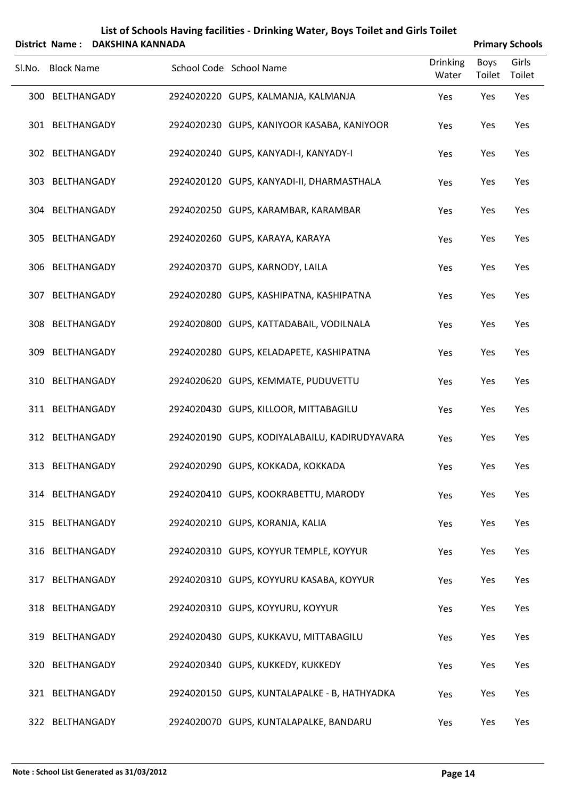| List of Schools Having facilities - Drinking Water, Boys Toilet and Girls Toilet |
|----------------------------------------------------------------------------------|
| $\mathbf{A}$ . The contract of $\mathbf{A}$ is a sequence of $\mathbf{A}$        |

|        | <b>District Name:</b> | <b>DAKSHINA KANNADA</b> |                                               |                          |                | <b>Primary Schools</b> |
|--------|-----------------------|-------------------------|-----------------------------------------------|--------------------------|----------------|------------------------|
| Sl.No. | <b>Block Name</b>     |                         | School Code School Name                       | <b>Drinking</b><br>Water | Boys<br>Toilet | Girls<br>Toilet        |
|        | 300 BELTHANGADY       |                         | 2924020220 GUPS, KALMANJA, KALMANJA           | Yes                      | Yes            | Yes                    |
|        | 301 BELTHANGADY       |                         | 2924020230 GUPS, KANIYOOR KASABA, KANIYOOR    | Yes                      | Yes            | Yes                    |
|        | 302 BELTHANGADY       |                         | 2924020240 GUPS, KANYADI-I, KANYADY-I         | Yes                      | Yes            | Yes                    |
|        | 303 BELTHANGADY       |                         | 2924020120 GUPS, KANYADI-II, DHARMASTHALA     | Yes                      | Yes            | Yes                    |
|        | 304 BELTHANGADY       |                         | 2924020250 GUPS, KARAMBAR, KARAMBAR           | Yes                      | Yes            | Yes                    |
|        | 305 BELTHANGADY       |                         | 2924020260 GUPS, KARAYA, KARAYA               | Yes                      | Yes            | Yes                    |
|        | 306 BELTHANGADY       |                         | 2924020370 GUPS, KARNODY, LAILA               | Yes                      | Yes            | Yes                    |
|        | 307 BELTHANGADY       |                         | 2924020280 GUPS, KASHIPATNA, KASHIPATNA       | Yes                      | Yes            | Yes                    |
|        | 308 BELTHANGADY       |                         | 2924020800 GUPS, KATTADABAIL, VODILNALA       | Yes                      | Yes            | Yes                    |
|        | 309 BELTHANGADY       |                         | 2924020280 GUPS, KELADAPETE, KASHIPATNA       | Yes                      | Yes            | Yes                    |
|        | 310 BELTHANGADY       |                         | 2924020620 GUPS, KEMMATE, PUDUVETTU           | Yes                      | Yes            | Yes                    |
|        | 311 BELTHANGADY       |                         | 2924020430 GUPS, KILLOOR, MITTABAGILU         | Yes                      | Yes            | Yes                    |
|        | 312 BELTHANGADY       |                         | 2924020190 GUPS, KODIYALABAILU, KADIRUDYAVARA | Yes                      | Yes            | Yes                    |
|        | 313 BELTHANGADY       |                         | 2924020290 GUPS, KOKKADA, KOKKADA             | Yes                      | Yes            | Yes                    |
|        | 314 BELTHANGADY       |                         | 2924020410 GUPS, KOOKRABETTU, MARODY          | Yes                      | Yes            | Yes                    |
|        | 315 BELTHANGADY       |                         | 2924020210 GUPS, KORANJA, KALIA               | Yes                      | Yes            | Yes                    |
|        | 316 BELTHANGADY       |                         | 2924020310 GUPS, KOYYUR TEMPLE, KOYYUR        | Yes                      | Yes            | Yes                    |
|        | 317 BELTHANGADY       |                         | 2924020310 GUPS, KOYYURU KASABA, KOYYUR       | Yes                      | Yes            | Yes                    |
|        | 318 BELTHANGADY       |                         | 2924020310 GUPS, KOYYURU, KOYYUR              | Yes                      | Yes            | Yes                    |
|        | 319 BELTHANGADY       |                         | 2924020430 GUPS, KUKKAVU, MITTABAGILU         | Yes                      | Yes            | Yes                    |
|        | 320 BELTHANGADY       |                         | 2924020340 GUPS, KUKKEDY, KUKKEDY             | Yes                      | Yes            | Yes                    |
|        | 321 BELTHANGADY       |                         | 2924020150 GUPS, KUNTALAPALKE - B, HATHYADKA  | Yes                      | Yes            | Yes                    |
|        | 322 BELTHANGADY       |                         | 2924020070 GUPS, KUNTALAPALKE, BANDARU        | Yes                      | Yes            | Yes                    |

 $\overline{a}$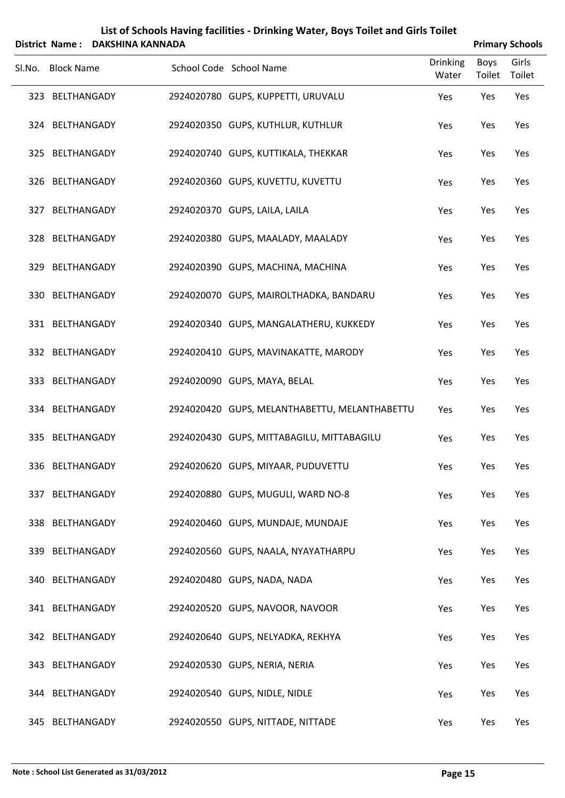| List of Schools Having facilities - Drinking Water, Boys Toilet and Girls Toilet<br><b>DAKSHINA KANNADA</b><br><b>Primary Schools</b><br>District Name: |                   |  |  |                                               |                          |                |                 |
|---------------------------------------------------------------------------------------------------------------------------------------------------------|-------------------|--|--|-----------------------------------------------|--------------------------|----------------|-----------------|
|                                                                                                                                                         | Sl.No. Block Name |  |  | School Code School Name                       | <b>Drinking</b><br>Water | Boys<br>Toilet | Girls<br>Toilet |
|                                                                                                                                                         | 323 BELTHANGADY   |  |  | 2924020780 GUPS, KUPPETTI, URUVALU            | Yes                      | Yes            | Yes             |
|                                                                                                                                                         | 324 BELTHANGADY   |  |  | 2924020350 GUPS, KUTHLUR, KUTHLUR             | Yes                      | Yes            | Yes             |
|                                                                                                                                                         | 325 BELTHANGADY   |  |  | 2924020740 GUPS, KUTTIKALA, THEKKAR           | Yes                      | Yes            | Yes             |
|                                                                                                                                                         | 326 BELTHANGADY   |  |  | 2924020360 GUPS, KUVETTU, KUVETTU             | Yes                      | Yes            | Yes             |
|                                                                                                                                                         | 327 BELTHANGADY   |  |  | 2924020370 GUPS, LAILA, LAILA                 | Yes                      | Yes            | Yes             |
|                                                                                                                                                         | 328 BELTHANGADY   |  |  | 2924020380 GUPS, MAALADY, MAALADY             | Yes                      | Yes            | Yes             |
|                                                                                                                                                         | 329 BELTHANGADY   |  |  | 2924020390 GUPS, MACHINA, MACHINA             | Yes                      | Yes            | Yes             |
|                                                                                                                                                         | 330 BELTHANGADY   |  |  | 2924020070 GUPS, MAIROLTHADKA, BANDARU        | Yes                      | Yes            | Yes             |
|                                                                                                                                                         | 331 BELTHANGADY   |  |  | 2924020340 GUPS, MANGALATHERU, KUKKEDY        | Yes                      | Yes            | Yes             |
|                                                                                                                                                         | 332 BELTHANGADY   |  |  | 2924020410 GUPS, MAVINAKATTE, MARODY          | Yes                      | Yes            | Yes             |
|                                                                                                                                                         | 333 BELTHANGADY   |  |  | 2924020090 GUPS, MAYA, BELAL                  | Yes                      | Yes            | Yes             |
|                                                                                                                                                         | 334 BELTHANGADY   |  |  | 2924020420 GUPS, MELANTHABETTU, MELANTHABETTU | Yes                      | Yes            | Yes             |
|                                                                                                                                                         | 335 BELTHANGADY   |  |  | 2924020430 GUPS, MITTABAGILU, MITTABAGILU     | Yes                      | Yes            | Yes             |
|                                                                                                                                                         | 336 BELTHANGADY   |  |  | 2924020620 GUPS, MIYAAR, PUDUVETTU            | Yes                      | Yes            | Yes             |
|                                                                                                                                                         | 337 BELTHANGADY   |  |  | 2924020880 GUPS, MUGULI, WARD NO-8            | Yes                      | Yes            | Yes             |
|                                                                                                                                                         | 338 BELTHANGADY   |  |  | 2924020460 GUPS, MUNDAJE, MUNDAJE             | Yes                      | Yes            | Yes             |
|                                                                                                                                                         | 339 BELTHANGADY   |  |  | 2924020560 GUPS, NAALA, NYAYATHARPU           | Yes                      | Yes            | Yes             |
|                                                                                                                                                         | 340 BELTHANGADY   |  |  | 2924020480 GUPS, NADA, NADA                   | Yes                      | Yes            | Yes             |
|                                                                                                                                                         | 341 BELTHANGADY   |  |  | 2924020520 GUPS, NAVOOR, NAVOOR               | Yes                      | Yes            | Yes             |
|                                                                                                                                                         | 342 BELTHANGADY   |  |  | 2924020640 GUPS, NELYADKA, REKHYA             | Yes                      | Yes            | Yes             |
|                                                                                                                                                         | 343 BELTHANGADY   |  |  | 2924020530 GUPS, NERIA, NERIA                 | Yes                      | Yes            | Yes             |
|                                                                                                                                                         | 344 BELTHANGADY   |  |  | 2924020540 GUPS, NIDLE, NIDLE                 | Yes                      | Yes            | Yes             |
|                                                                                                                                                         | 345 BELTHANGADY   |  |  | 2924020550 GUPS, NITTADE, NITTADE             | Yes                      | Yes            | Yes             |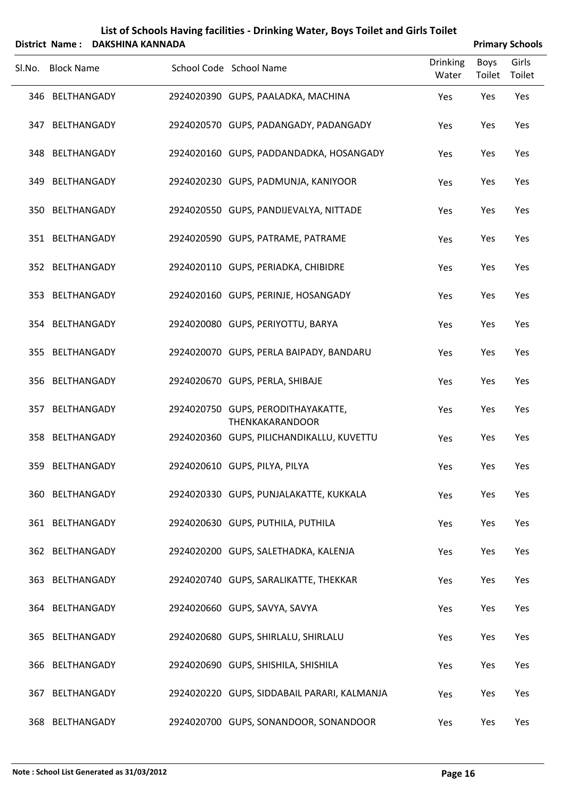| List of Schools Having facilities - Drinking Water, Boys Toilet and Girls Toilet           |
|--------------------------------------------------------------------------------------------|
| $\ldots$ . Never all $\blacksquare$ . All $\blacksquare$ . It is the set of $\blacksquare$ |

|        | District Name: DAKSHINA KANNADA |                                                              |                          |                | <b>Primary Schools</b> |
|--------|---------------------------------|--------------------------------------------------------------|--------------------------|----------------|------------------------|
| Sl.No. | <b>Block Name</b>               | School Code School Name                                      | <b>Drinking</b><br>Water | Boys<br>Toilet | Girls<br>Toilet        |
|        | 346 BELTHANGADY                 | 2924020390 GUPS, PAALADKA, MACHINA                           | Yes                      | Yes            | Yes                    |
|        | 347 BELTHANGADY                 | 2924020570 GUPS, PADANGADY, PADANGADY                        | Yes                      | Yes            | Yes                    |
|        | 348 BELTHANGADY                 | 2924020160 GUPS, PADDANDADKA, HOSANGADY                      | Yes                      | Yes            | Yes                    |
|        | 349 BELTHANGADY                 | 2924020230 GUPS, PADMUNJA, KANIYOOR                          | Yes                      | Yes            | Yes                    |
|        | 350 BELTHANGADY                 | 2924020550 GUPS, PANDIJEVALYA, NITTADE                       | Yes                      | Yes            | Yes                    |
|        | 351 BELTHANGADY                 | 2924020590 GUPS, PATRAME, PATRAME                            | Yes                      | Yes            | Yes                    |
|        | 352 BELTHANGADY                 | 2924020110 GUPS, PERIADKA, CHIBIDRE                          | Yes                      | Yes            | Yes                    |
|        | 353 BELTHANGADY                 | 2924020160 GUPS, PERINJE, HOSANGADY                          | Yes                      | Yes            | Yes                    |
|        | 354 BELTHANGADY                 | 2924020080 GUPS, PERIYOTTU, BARYA                            | Yes                      | Yes            | Yes                    |
|        | 355 BELTHANGADY                 | 2924020070 GUPS, PERLA BAIPADY, BANDARU                      | Yes                      | Yes            | Yes                    |
|        | 356 BELTHANGADY                 | 2924020670 GUPS, PERLA, SHIBAJE                              | Yes                      | Yes            | Yes                    |
|        | 357 BELTHANGADY                 | 2924020750 GUPS, PERODITHAYAKATTE,<br><b>THENKAKARANDOOR</b> | Yes                      | Yes            | Yes                    |
|        | 358 BELTHANGADY                 | 2924020360 GUPS, PILICHANDIKALLU, KUVETTU                    | Yes                      | Yes            | Yes                    |
|        | 359 BELTHANGADY                 | 2924020610 GUPS, PILYA, PILYA                                | Yes                      | Yes            | Yes                    |
|        | 360 BELTHANGADY                 | 2924020330 GUPS, PUNJALAKATTE, KUKKALA                       | Yes                      | Yes            | Yes                    |
|        | 361 BELTHANGADY                 | 2924020630 GUPS, PUTHILA, PUTHILA                            | Yes                      | Yes            | Yes                    |
|        | 362 BELTHANGADY                 | 2924020200 GUPS, SALETHADKA, KALENJA                         | Yes                      | Yes            | Yes                    |
|        | 363 BELTHANGADY                 | 2924020740 GUPS, SARALIKATTE, THEKKAR                        | Yes                      | Yes            | Yes                    |
|        | 364 BELTHANGADY                 | 2924020660 GUPS, SAVYA, SAVYA                                | Yes                      | Yes            | Yes                    |
|        | 365 BELTHANGADY                 | 2924020680 GUPS, SHIRLALU, SHIRLALU                          | Yes                      | Yes            | Yes                    |
|        | 366 BELTHANGADY                 | 2924020690 GUPS, SHISHILA, SHISHILA                          | Yes                      | Yes            | Yes                    |
|        | 367 BELTHANGADY                 | 2924020220 GUPS, SIDDABAIL PARARI, KALMANJA                  | Yes                      | Yes            | Yes                    |
|        | 368 BELTHANGADY                 | 2924020700 GUPS, SONANDOOR, SONANDOOR                        | Yes                      | Yes            | Yes                    |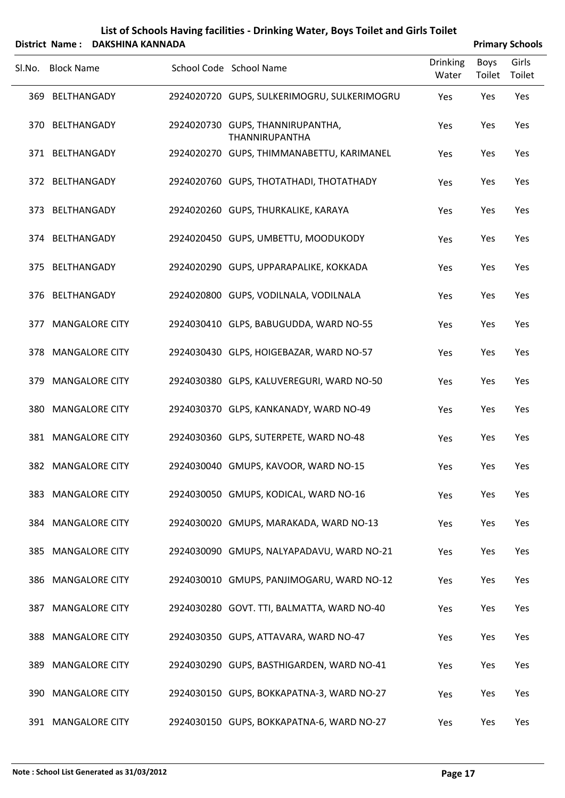|     | Sl.No. Block Name     | School Code School Name                            | <b>Drinking</b><br>Water | Boys<br>Toilet | Girls<br>Toilet |
|-----|-----------------------|----------------------------------------------------|--------------------------|----------------|-----------------|
| 369 | BELTHANGADY           | 2924020720 GUPS, SULKERIMOGRU, SULKERIMOGRU        | Yes                      | Yes            | Yes             |
|     | 370 BELTHANGADY       | 2924020730 GUPS, THANNIRUPANTHA,<br>THANNIRUPANTHA | Yes                      | Yes            | Yes             |
|     | 371 BELTHANGADY       | 2924020270 GUPS, THIMMANABETTU, KARIMANEL          | Yes                      | Yes            | Yes             |
|     | 372 BELTHANGADY       | 2924020760 GUPS, THOTATHADI, THOTATHADY            | Yes                      | Yes            | Yes             |
|     | 373 BELTHANGADY       | 2924020260 GUPS, THURKALIKE, KARAYA                | Yes                      | Yes            | Yes             |
|     | 374 BELTHANGADY       | 2924020450 GUPS, UMBETTU, MOODUKODY                | Yes                      | Yes            | Yes             |
|     | 375 BELTHANGADY       | 2924020290 GUPS, UPPARAPALIKE, KOKKADA             | Yes                      | Yes            | Yes             |
|     | 376 BELTHANGADY       | 2924020800 GUPS, VODILNALA, VODILNALA              | Yes                      | Yes            | Yes             |
| 377 | <b>MANGALORE CITY</b> | 2924030410 GLPS, BABUGUDDA, WARD NO-55             | Yes                      | Yes            | Yes             |
|     | 378 MANGALORE CITY    | 2924030430 GLPS, HOIGEBAZAR, WARD NO-57            | Yes                      | Yes            | Yes             |
| 379 | <b>MANGALORE CITY</b> | 2924030380 GLPS, KALUVEREGURI, WARD NO-50          | Yes                      | Yes            | Yes             |
| 380 | <b>MANGALORE CITY</b> | 2924030370 GLPS, KANKANADY, WARD NO-49             | Yes                      | Yes            | Yes             |
|     | 381 MANGALORE CITY    | 2924030360 GLPS, SUTERPETE, WARD NO-48             | Yes                      | Yes            | Yes             |
|     | 382 MANGALORE CITY    | 2924030040 GMUPS, KAVOOR, WARD NO-15               | Yes                      | Yes            | Yes             |
|     | 383 MANGALORE CITY    | 2924030050 GMUPS, KODICAL, WARD NO-16              | Yes                      | Yes            | Yes             |
| 384 | <b>MANGALORE CITY</b> | 2924030020 GMUPS, MARAKADA, WARD NO-13             | Yes                      | Yes            | Yes             |
| 385 | <b>MANGALORE CITY</b> | 2924030090 GMUPS, NALYAPADAVU, WARD NO-21          | Yes                      | Yes            | Yes             |
| 386 | <b>MANGALORE CITY</b> | 2924030010 GMUPS, PANJIMOGARU, WARD NO-12          | Yes                      | Yes            | Yes             |
| 387 | <b>MANGALORE CITY</b> | 2924030280 GOVT. TTI, BALMATTA, WARD NO-40         | Yes                      | Yes            | Yes             |
| 388 | <b>MANGALORE CITY</b> | 2924030350 GUPS, ATTAVARA, WARD NO-47              | Yes                      | Yes            | Yes             |
| 389 | <b>MANGALORE CITY</b> | 2924030290 GUPS, BASTHIGARDEN, WARD NO-41          | Yes                      | Yes            | Yes             |
| 390 | <b>MANGALORE CITY</b> | 2924030150 GUPS, BOKKAPATNA-3, WARD NO-27          | Yes                      | Yes            | Yes             |
|     | 391 MANGALORE CITY    | 2924030150 GUPS, BOKKAPATNA-6, WARD NO-27          | Yes                      | Yes            | Yes             |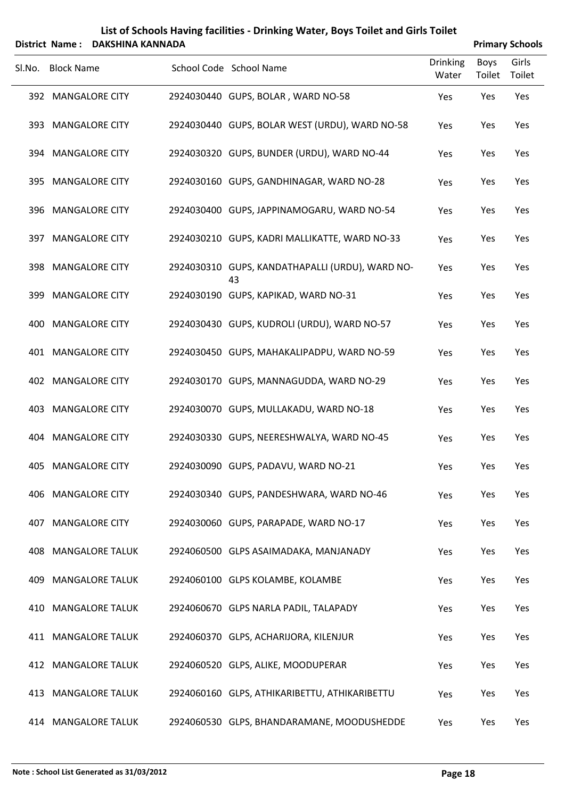|        |                    | District Name: DAKSHINA KANNADA |                                                       |                          |                       | <b>Primary Schools</b> |
|--------|--------------------|---------------------------------|-------------------------------------------------------|--------------------------|-----------------------|------------------------|
| Sl.No. | <b>Block Name</b>  |                                 | School Code School Name                               | <b>Drinking</b><br>Water | <b>Boys</b><br>Toilet | Girls<br>Toilet        |
|        | 392 MANGALORE CITY |                                 | 2924030440 GUPS, BOLAR, WARD NO-58                    | Yes                      | Yes                   | Yes                    |
|        | 393 MANGALORE CITY |                                 | 2924030440 GUPS, BOLAR WEST (URDU), WARD NO-58        | Yes                      | Yes                   | Yes                    |
|        | 394 MANGALORE CITY |                                 | 2924030320 GUPS, BUNDER (URDU), WARD NO-44            | Yes                      | Yes                   | Yes                    |
|        | 395 MANGALORE CITY |                                 | 2924030160 GUPS, GANDHINAGAR, WARD NO-28              | Yes                      | Yes                   | Yes                    |
| 396    |                    | <b>MANGALORE CITY</b>           | 2924030400 GUPS, JAPPINAMOGARU, WARD NO-54            | Yes                      | Yes                   | Yes                    |
|        | 397 MANGALORE CITY |                                 | 2924030210 GUPS, KADRI MALLIKATTE, WARD NO-33         | Yes                      | Yes                   | Yes                    |
| 398    |                    | <b>MANGALORE CITY</b>           | 2924030310 GUPS, KANDATHAPALLI (URDU), WARD NO-<br>43 | Yes                      | Yes                   | Yes                    |
| 399    |                    | <b>MANGALORE CITY</b>           | 2924030190 GUPS, KAPIKAD, WARD NO-31                  | Yes                      | Yes                   | Yes                    |
| 400    |                    | <b>MANGALORE CITY</b>           | 2924030430 GUPS, KUDROLI (URDU), WARD NO-57           | Yes                      | Yes                   | Yes                    |
|        | 401 MANGALORE CITY |                                 | 2924030450 GUPS, MAHAKALIPADPU, WARD NO-59            | Yes                      | Yes                   | Yes                    |
| 402    |                    | <b>MANGALORE CITY</b>           | 2924030170 GUPS, MANNAGUDDA, WARD NO-29               | Yes                      | Yes                   | Yes                    |
|        | 403 MANGALORE CITY |                                 | 2924030070 GUPS, MULLAKADU, WARD NO-18                | Yes                      | Yes                   | Yes                    |
| 404    |                    | <b>MANGALORE CITY</b>           | 2924030330 GUPS, NEERESHWALYA, WARD NO-45             | Yes                      | Yes                   | Yes                    |
|        |                    | 405 MANGALORE CITY              | 2924030090 GUPS, PADAVU, WARD NO-21                   | Yes                      | Yes                   | Yes                    |
| 406    |                    | <b>MANGALORE CITY</b>           | 2924030340 GUPS, PANDESHWARA, WARD NO-46              | Yes                      | Yes                   | Yes                    |
| 407    |                    | <b>MANGALORE CITY</b>           | 2924030060 GUPS, PARAPADE, WARD NO-17                 | Yes                      | Yes                   | Yes                    |
| 408    |                    | <b>MANGALORE TALUK</b>          | 2924060500 GLPS ASAIMADAKA, MANJANADY                 | Yes                      | Yes                   | Yes                    |
| 409    |                    | <b>MANGALORE TALUK</b>          | 2924060100 GLPS KOLAMBE, KOLAMBE                      | Yes                      | Yes                   | Yes                    |
| 410    |                    | <b>MANGALORE TALUK</b>          | 2924060670 GLPS NARLA PADIL, TALAPADY                 | Yes                      | Yes                   | Yes                    |
| 411    |                    | <b>MANGALORE TALUK</b>          | 2924060370 GLPS, ACHARIJORA, KILENJUR                 | Yes                      | Yes                   | Yes                    |

412 MANGALORE TALUK 2924060520 GLPS, ALIKE, MOODUPERAR Yes Yes Yes Yes MANGALORE TALUK 2924060160 GLPS, ATHIKARIBETTU, ATHIKARIBETTU Yes Yes Yes 414 MANGALORE TALUK 2924060530 GLPS, BHANDARAMANE, MOODUSHEDDE Yes Yes Yes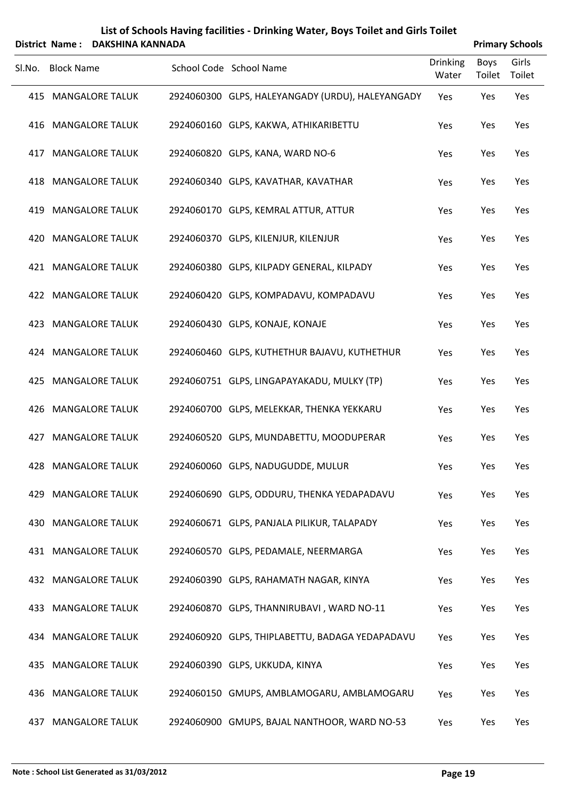|     | Sl.No. Block Name          | School Code School Name                          | <b>Drinking</b><br>Water | Boys<br>Toilet | Girls<br>Toilet |  |
|-----|----------------------------|--------------------------------------------------|--------------------------|----------------|-----------------|--|
|     | 415 MANGALORE TALUK        | 2924060300 GLPS, HALEYANGADY (URDU), HALEYANGADY | Yes                      | Yes            | Yes             |  |
|     | 416 MANGALORE TALUK        | 2924060160 GLPS, KAKWA, ATHIKARIBETTU            | Yes                      | Yes            | Yes             |  |
| 417 | <b>MANGALORE TALUK</b>     | 2924060820 GLPS, KANA, WARD NO-6                 | Yes                      | Yes            | Yes             |  |
|     | 418 MANGALORE TALUK        | 2924060340 GLPS, KAVATHAR, KAVATHAR              | Yes                      | Yes            | Yes             |  |
|     | 419 MANGALORE TALUK        | 2924060170 GLPS, KEMRAL ATTUR, ATTUR             | Yes                      | Yes            | Yes             |  |
|     | 420 MANGALORE TALUK        | 2924060370 GLPS, KILENJUR, KILENJUR              | Yes                      | Yes            | Yes             |  |
|     | 421 MANGALORE TALUK        | 2924060380 GLPS, KILPADY GENERAL, KILPADY        | Yes                      | Yes            | Yes             |  |
|     | 422 MANGALORE TALUK        | 2924060420 GLPS, KOMPADAVU, KOMPADAVU            | Yes                      | Yes            | Yes             |  |
|     | 423 MANGALORE TALUK        | 2924060430 GLPS, KONAJE, KONAJE                  | Yes                      | Yes            | Yes             |  |
|     | 424 MANGALORE TALUK        | 2924060460 GLPS, KUTHETHUR BAJAVU, KUTHETHUR     | Yes                      | Yes            | Yes             |  |
|     | 425 MANGALORE TALUK        | 2924060751 GLPS, LINGAPAYAKADU, MULKY (TP)       | Yes                      | Yes            | Yes             |  |
|     | 426 MANGALORE TALUK        | 2924060700 GLPS, MELEKKAR, THENKA YEKKARU        | Yes                      | Yes            | Yes             |  |
|     | 427 MANGALORE TALUK        | 2924060520 GLPS, MUNDABETTU, MOODUPERAR          | Yes                      | Yes            | Yes             |  |
|     | 428 MANGALORE TALUK        | 2924060060 GLPS, NADUGUDDE, MULUR                | Yes                      | Yes            | Yes             |  |
|     | 429 MANGALORE TALUK        | 2924060690 GLPS, ODDURU, THENKA YEDAPADAVU       | Yes                      | Yes            | Yes             |  |
|     | <b>430 MANGALORE TALUK</b> | 2924060671 GLPS, PANJALA PILIKUR, TALAPADY       | Yes                      | Yes            | Yes             |  |
|     | 431 MANGALORE TALUK        | 2924060570 GLPS, PEDAMALE, NEERMARGA             | Yes                      | Yes            | Yes             |  |
|     | <b>432 MANGALORE TALUK</b> | 2924060390 GLPS, RAHAMATH NAGAR, KINYA           | Yes                      | Yes            | Yes             |  |
|     | 433 MANGALORE TALUK        | 2924060870 GLPS, THANNIRUBAVI, WARD NO-11        | Yes                      | Yes            | Yes             |  |
|     | 434 MANGALORE TALUK        | 2924060920 GLPS, THIPLABETTU, BADAGA YEDAPADAVU  | Yes                      | Yes            | Yes             |  |
| 435 | <b>MANGALORE TALUK</b>     | 2924060390 GLPS, UKKUDA, KINYA                   | Yes                      | Yes            | Yes             |  |
|     | 436 MANGALORE TALUK        | 2924060150 GMUPS, AMBLAMOGARU, AMBLAMOGARU       | Yes                      | Yes            | Yes             |  |
| 437 | <b>MANGALORE TALUK</b>     | 2924060900 GMUPS, BAJAL NANTHOOR, WARD NO-53     | Yes                      | Yes            | Yes             |  |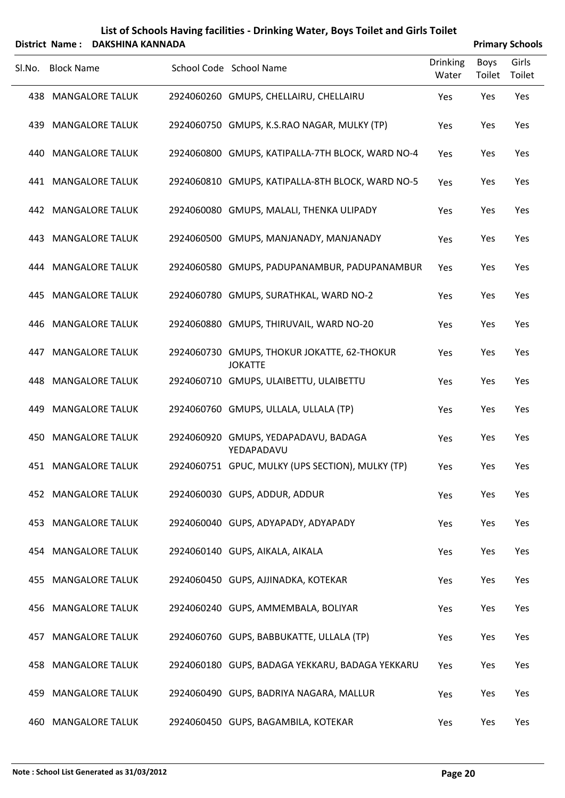|     | Sl.No. Block Name          | School Code School Name                                       | <b>Drinking</b><br>Water | Boys<br>Toilet | Girls<br>Toilet |
|-----|----------------------------|---------------------------------------------------------------|--------------------------|----------------|-----------------|
|     | <b>438 MANGALORE TALUK</b> | 2924060260 GMUPS, CHELLAIRU, CHELLAIRU                        | Yes                      | Yes            | Yes             |
|     | <b>439 MANGALORE TALUK</b> | 2924060750 GMUPS, K.S.RAO NAGAR, MULKY (TP)                   | Yes                      | Yes            | Yes             |
| 440 | <b>MANGALORE TALUK</b>     | 2924060800 GMUPS, KATIPALLA-7TH BLOCK, WARD NO-4              | Yes                      | Yes            | Yes             |
|     | <b>441 MANGALORE TALUK</b> | 2924060810 GMUPS, KATIPALLA-8TH BLOCK, WARD NO-5              | Yes                      | Yes            | Yes             |
|     | <b>442 MANGALORE TALUK</b> | 2924060080 GMUPS, MALALI, THENKA ULIPADY                      | Yes                      | Yes            | Yes             |
|     | <b>443 MANGALORE TALUK</b> | 2924060500 GMUPS, MANJANADY, MANJANADY                        | Yes                      | Yes            | Yes             |
|     | 444 MANGALORE TALUK        | 2924060580 GMUPS, PADUPANAMBUR, PADUPANAMBUR                  | Yes                      | Yes            | Yes             |
|     | 445 MANGALORE TALUK        | 2924060780 GMUPS, SURATHKAL, WARD NO-2                        | Yes                      | Yes            | Yes             |
|     | 446 MANGALORE TALUK        | 2924060880 GMUPS, THIRUVAIL, WARD NO-20                       | Yes                      | Yes            | Yes             |
|     | <b>447 MANGALORE TALUK</b> | 2924060730 GMUPS, THOKUR JOKATTE, 62-THOKUR<br><b>JOKATTE</b> | Yes                      | Yes            | Yes             |
|     | <b>448 MANGALORE TALUK</b> | 2924060710 GMUPS, ULAIBETTU, ULAIBETTU                        | Yes                      | Yes            | Yes             |
|     | 449 MANGALORE TALUK        | 2924060760 GMUPS, ULLALA, ULLALA (TP)                         | Yes                      | Yes            | Yes             |
|     | <b>450 MANGALORE TALUK</b> | 2924060920 GMUPS, YEDAPADAVU, BADAGA<br>YEDAPADAVU            | Yes                      | Yes            | Yes             |
|     | <b>451 MANGALORE TALUK</b> | 2924060751 GPUC, MULKY (UPS SECTION), MULKY (TP)              | Yes                      | Yes            | Yes             |
|     | 452 MANGALORE TALUK        | 2924060030 GUPS, ADDUR, ADDUR                                 | Yes                      | Yes            | Yes             |
|     | <b>453 MANGALORE TALUK</b> | 2924060040 GUPS, ADYAPADY, ADYAPADY                           | Yes                      | Yes            | Yes             |
|     | <b>454 MANGALORE TALUK</b> | 2924060140 GUPS, AIKALA, AIKALA                               | Yes                      | Yes            | Yes             |
| 455 | <b>MANGALORE TALUK</b>     | 2924060450 GUPS, AJJINADKA, KOTEKAR                           | Yes                      | Yes            | Yes             |
|     | <b>456 MANGALORE TALUK</b> | 2924060240 GUPS, AMMEMBALA, BOLIYAR                           | Yes                      | Yes            | Yes             |
| 457 | <b>MANGALORE TALUK</b>     | 2924060760 GUPS, BABBUKATTE, ULLALA (TP)                      | Yes                      | Yes            | Yes             |
|     | <b>458 MANGALORE TALUK</b> | 2924060180 GUPS, BADAGA YEKKARU, BADAGA YEKKARU               | Yes                      | Yes            | Yes             |
| 459 | <b>MANGALORE TALUK</b>     | 2924060490 GUPS, BADRIYA NAGARA, MALLUR                       | Yes                      | Yes            | Yes             |
|     | 460 MANGALORE TALUK        | 2924060450 GUPS, BAGAMBILA, KOTEKAR                           | Yes                      | Yes            | Yes             |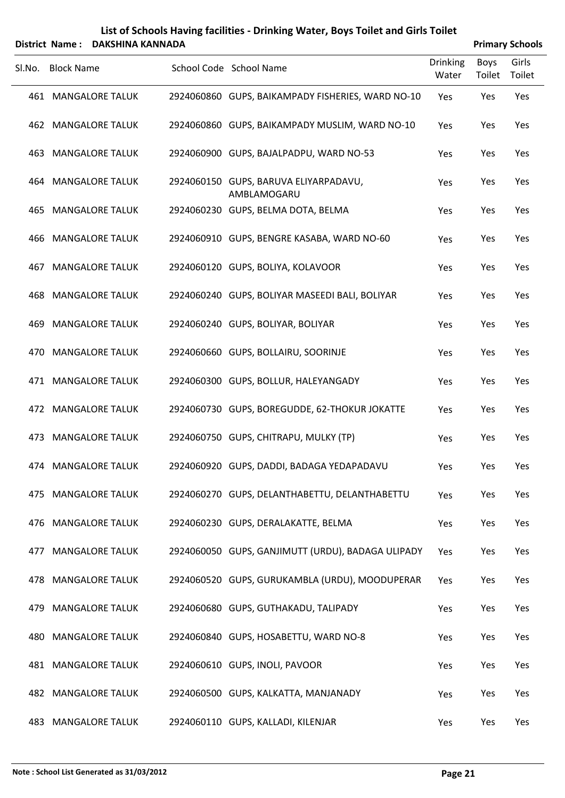| Sl.No. | <b>Block Name</b>          | School Code School Name                              | <b>Drinking</b><br>Water | Boys<br>Toilet | Girls<br>Toilet |
|--------|----------------------------|------------------------------------------------------|--------------------------|----------------|-----------------|
|        | <b>461 MANGALORE TALUK</b> | 2924060860 GUPS, BAIKAMPADY FISHERIES, WARD NO-10    | Yes                      | Yes            | Yes             |
|        | <b>462 MANGALORE TALUK</b> | 2924060860 GUPS, BAIKAMPADY MUSLIM, WARD NO-10       | Yes                      | Yes            | Yes             |
|        | <b>463 MANGALORE TALUK</b> | 2924060900 GUPS, BAJALPADPU, WARD NO-53              | Yes                      | Yes            | Yes             |
|        | 464 MANGALORE TALUK        | 2924060150 GUPS, BARUVA ELIYARPADAVU,<br>AMBLAMOGARU | Yes                      | Yes            | Yes             |
|        | <b>465 MANGALORE TALUK</b> | 2924060230 GUPS, BELMA DOTA, BELMA                   | Yes                      | Yes            | Yes             |
|        | 466 MANGALORE TALUK        | 2924060910 GUPS, BENGRE KASABA, WARD NO-60           | Yes                      | Yes            | Yes             |
|        | <b>467 MANGALORE TALUK</b> | 2924060120 GUPS, BOLIYA, KOLAVOOR                    | Yes                      | Yes            | Yes             |
|        | <b>468 MANGALORE TALUK</b> | 2924060240 GUPS, BOLIYAR MASEEDI BALI, BOLIYAR       | Yes                      | Yes            | Yes             |
|        | <b>469 MANGALORE TALUK</b> | 2924060240 GUPS, BOLIYAR, BOLIYAR                    | Yes                      | Yes            | Yes             |
|        | 470 MANGALORE TALUK        | 2924060660 GUPS, BOLLAIRU, SOORINJE                  | Yes                      | Yes            | Yes             |
|        | 471 MANGALORE TALUK        | 2924060300 GUPS, BOLLUR, HALEYANGADY                 | Yes                      | Yes            | Yes             |
|        | 472 MANGALORE TALUK        | 2924060730 GUPS, BOREGUDDE, 62-THOKUR JOKATTE        | Yes                      | Yes            | Yes             |
|        | 473 MANGALORE TALUK        | 2924060750 GUPS, CHITRAPU, MULKY (TP)                | Yes                      | Yes            | Yes             |
|        | 474 MANGALORE TALUK        | 2924060920 GUPS, DADDI, BADAGA YEDAPADAVU            | Yes                      | Yes            | Yes             |
|        | 475 MANGALORE TALUK        | 2924060270 GUPS, DELANTHABETTU, DELANTHABETTU        | Yes                      | Yes            | Yes             |
|        | 476 MANGALORE TALUK        | 2924060230 GUPS, DERALAKATTE, BELMA                  | Yes                      | Yes            | Yes             |
|        | 477 MANGALORE TALUK        | 2924060050 GUPS, GANJIMUTT (URDU), BADAGA ULIPADY    | Yes                      | Yes            | Yes             |
|        | 478 MANGALORE TALUK        | 2924060520 GUPS, GURUKAMBLA (URDU), MOODUPERAR       | Yes                      | Yes            | Yes             |
|        | 479 MANGALORE TALUK        | 2924060680 GUPS, GUTHAKADU, TALIPADY                 | Yes                      | Yes            | Yes             |
|        | <b>480 MANGALORE TALUK</b> | 2924060840 GUPS, HOSABETTU, WARD NO-8                | Yes                      | Yes            | Yes             |
|        | <b>481 MANGALORE TALUK</b> | 2924060610 GUPS, INOLI, PAVOOR                       | Yes                      | Yes            | Yes             |
|        | <b>482 MANGALORE TALUK</b> | 2924060500 GUPS, KALKATTA, MANJANADY                 | Yes                      | Yes            | Yes             |
|        |                            |                                                      |                          |                |                 |

483 MANGALORE TALUK 2924060110 GUPS, KALLADI, KILENJAR YES Yes Yes Yes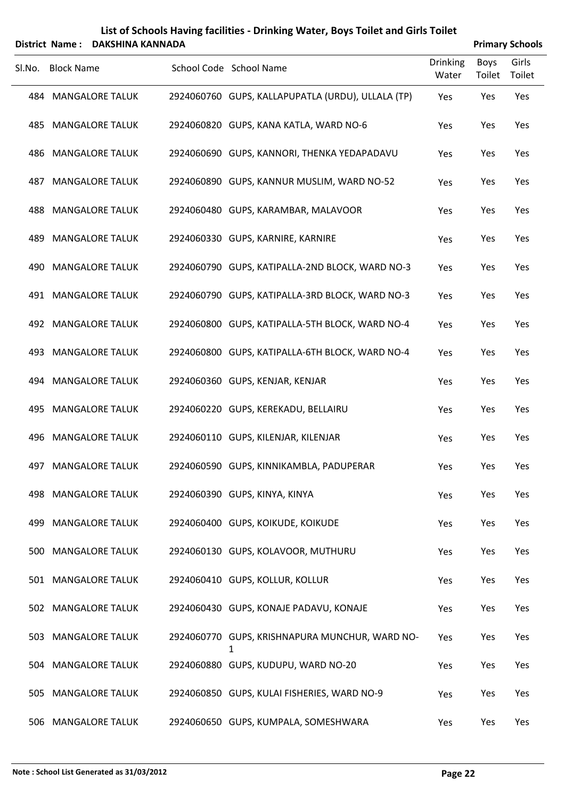| List of Schools Having facilities - Drinking Water, Boys Toilet and Girls Toilet |                        |
|----------------------------------------------------------------------------------|------------------------|
| District Name: DAKSHINA KANNADA                                                  | <b>Primary Schools</b> |

| Sl.No. | <b>Block Name</b>          | School Code School Name                           | <b>Drinking</b><br>Water | <b>Boys</b><br>Toilet | Girls<br>Toilet |  |
|--------|----------------------------|---------------------------------------------------|--------------------------|-----------------------|-----------------|--|
|        | 484 MANGALORE TALUK        | 2924060760 GUPS, KALLAPUPATLA (URDU), ULLALA (TP) | Yes                      | Yes                   | Yes             |  |
|        | <b>485 MANGALORE TALUK</b> | 2924060820 GUPS, KANA KATLA, WARD NO-6            | Yes                      | Yes                   | Yes             |  |
|        | 486 MANGALORE TALUK        | 2924060690 GUPS, KANNORI, THENKA YEDAPADAVU       | Yes                      | Yes                   | Yes             |  |
|        | <b>487 MANGALORE TALUK</b> | 2924060890 GUPS, KANNUR MUSLIM, WARD NO-52        | Yes                      | Yes                   | Yes             |  |
|        | <b>488 MANGALORE TALUK</b> | 2924060480 GUPS, KARAMBAR, MALAVOOR               | Yes                      | Yes                   | Yes             |  |
|        | <b>489 MANGALORE TALUK</b> | 2924060330 GUPS, KARNIRE, KARNIRE                 | Yes                      | Yes                   | Yes             |  |
|        | 490 MANGALORE TALUK        | 2924060790 GUPS, KATIPALLA-2ND BLOCK, WARD NO-3   | Yes                      | Yes                   | Yes             |  |
|        | 491 MANGALORE TALUK        | 2924060790 GUPS, KATIPALLA-3RD BLOCK, WARD NO-3   | Yes                      | Yes                   | Yes             |  |
|        | 492 MANGALORE TALUK        | 2924060800 GUPS, KATIPALLA-5TH BLOCK, WARD NO-4   | Yes                      | Yes                   | Yes             |  |
|        | 493 MANGALORE TALUK        | 2924060800 GUPS, KATIPALLA-6TH BLOCK, WARD NO-4   | Yes                      | Yes                   | Yes             |  |
|        | 494 MANGALORE TALUK        | 2924060360 GUPS, KENJAR, KENJAR                   | Yes                      | Yes                   | Yes             |  |
|        | 495 MANGALORE TALUK        | 2924060220 GUPS, KEREKADU, BELLAIRU               | Yes                      | Yes                   | Yes             |  |
|        | 496 MANGALORE TALUK        | 2924060110 GUPS, KILENJAR, KILENJAR               | Yes                      | Yes                   | Yes             |  |
|        | 497 MANGALORE TALUK        | 2924060590 GUPS, KINNIKAMBLA, PADUPERAR           | Yes                      | Yes                   | Yes             |  |
|        | 498 MANGALORE TALUK        | 2924060390 GUPS, KINYA, KINYA                     | Yes                      | Yes                   | Yes             |  |
|        | 499 MANGALORE TALUK        | 2924060400 GUPS, KOIKUDE, KOIKUDE                 | Yes                      | Yes                   | Yes             |  |
| 500    | <b>MANGALORE TALUK</b>     | 2924060130 GUPS, KOLAVOOR, MUTHURU                | Yes                      | Yes                   | Yes             |  |
|        | 501 MANGALORE TALUK        | 2924060410 GUPS, KOLLUR, KOLLUR                   | Yes                      | Yes                   | Yes             |  |
|        | 502 MANGALORE TALUK        | 2924060430 GUPS, KONAJE PADAVU, KONAJE            | Yes                      | Yes                   | Yes             |  |
|        | 503 MANGALORE TALUK        | 2924060770 GUPS, KRISHNAPURA MUNCHUR, WARD NO-    | Yes                      | Yes                   | Yes             |  |
|        | 504 MANGALORE TALUK        | 1<br>2924060880 GUPS, KUDUPU, WARD NO-20          | Yes                      | Yes                   | Yes             |  |
|        | 505 MANGALORE TALUK        | 2924060850 GUPS, KULAI FISHERIES, WARD NO-9       | Yes                      | Yes                   | Yes             |  |
|        | 506 MANGALORE TALUK        | 2924060650 GUPS, KUMPALA, SOMESHWARA              | Yes                      | Yes                   | Yes             |  |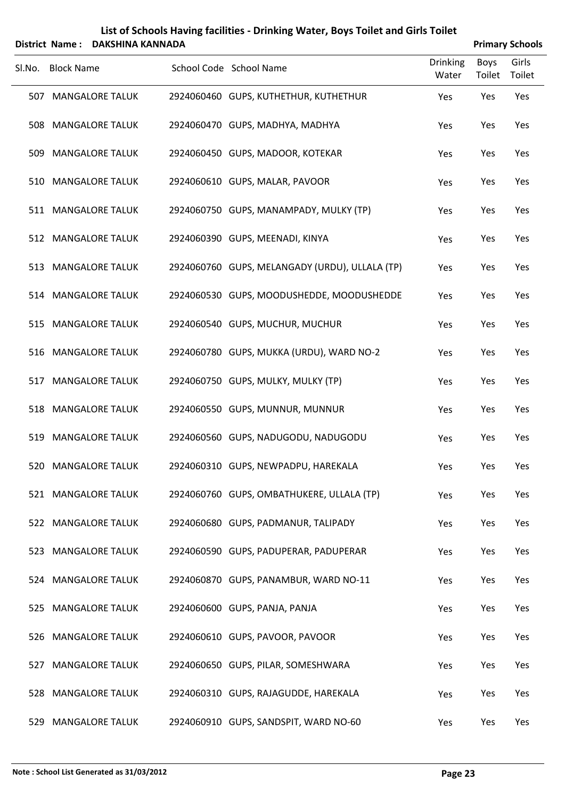| List of Schools Having facilities - Drinking Water, Boys Toilet and Girls Toilet |                        |
|----------------------------------------------------------------------------------|------------------------|
| District Name : DAKSHINA KANNADA                                                 | <b>Primary Schools</b> |

|        |                   | DISTRUT NAME : DANJHINA NANNADA |                                                |                          |                       | <b>Printlery SCHOOD</b> |
|--------|-------------------|---------------------------------|------------------------------------------------|--------------------------|-----------------------|-------------------------|
| Sl.No. | <b>Block Name</b> |                                 | School Code School Name                        | <b>Drinking</b><br>Water | <b>Boys</b><br>Toilet | Girls<br>Toilet         |
|        |                   | 507 MANGALORE TALUK             | 2924060460 GUPS, KUTHETHUR, KUTHETHUR          | Yes                      | Yes                   | Yes                     |
|        |                   | 508 MANGALORE TALUK             | 2924060470 GUPS, MADHYA, MADHYA                | Yes                      | Yes                   | Yes                     |
| 509    |                   | <b>MANGALORE TALUK</b>          | 2924060450 GUPS, MADOOR, KOTEKAR               | Yes                      | Yes                   | Yes                     |
|        |                   | 510 MANGALORE TALUK             | 2924060610 GUPS, MALAR, PAVOOR                 | Yes                      | Yes                   | Yes                     |
|        |                   | 511 MANGALORE TALUK             | 2924060750 GUPS, MANAMPADY, MULKY (TP)         | Yes                      | Yes                   | Yes                     |
|        |                   | 512 MANGALORE TALUK             | 2924060390 GUPS, MEENADI, KINYA                | Yes                      | Yes                   | Yes                     |
|        |                   | 513 MANGALORE TALUK             | 2924060760 GUPS, MELANGADY (URDU), ULLALA (TP) | Yes                      | Yes                   | Yes                     |
|        |                   | 514 MANGALORE TALUK             | 2924060530 GUPS, MOODUSHEDDE, MOODUSHEDDE      | Yes                      | Yes                   | Yes                     |
|        |                   | 515 MANGALORE TALUK             | 2924060540 GUPS, MUCHUR, MUCHUR                | Yes                      | Yes                   | Yes                     |
|        |                   | 516 MANGALORE TALUK             | 2924060780 GUPS, MUKKA (URDU), WARD NO-2       | Yes                      | Yes                   | Yes                     |
|        |                   | 517 MANGALORE TALUK             | 2924060750 GUPS, MULKY, MULKY (TP)             | Yes                      | Yes                   | Yes                     |
|        |                   | 518 MANGALORE TALUK             | 2924060550 GUPS, MUNNUR, MUNNUR                | Yes                      | Yes                   | Yes                     |
|        |                   | 519 MANGALORE TALUK             | 2924060560 GUPS, NADUGODU, NADUGODU            | Yes                      | Yes                   | Yes                     |
|        |                   | 520 MANGALORE TALUK             | 2924060310 GUPS, NEWPADPU, HAREKALA            | Yes                      | Yes                   | Yes                     |
|        |                   | 521 MANGALORE TALUK             | 2924060760 GUPS, OMBATHUKERE, ULLALA (TP)      | Yes                      | Yes                   | Yes                     |
|        |                   | 522 MANGALORE TALUK             | 2924060680 GUPS, PADMANUR, TALIPADY            | Yes                      | Yes                   | Yes                     |
|        |                   | 523 MANGALORE TALUK             | 2924060590 GUPS, PADUPERAR, PADUPERAR          | Yes                      | Yes                   | Yes                     |
|        |                   | 524 MANGALORE TALUK             | 2924060870 GUPS, PANAMBUR, WARD NO-11          | Yes                      | Yes                   | Yes                     |
|        |                   | 525 MANGALORE TALUK             | 2924060600 GUPS, PANJA, PANJA                  | Yes                      | Yes                   | Yes                     |
|        |                   | 526 MANGALORE TALUK             | 2924060610 GUPS, PAVOOR, PAVOOR                | Yes                      | Yes                   | Yes                     |
|        |                   | 527 MANGALORE TALUK             | 2924060650 GUPS, PILAR, SOMESHWARA             | Yes                      | Yes                   | Yes                     |
| 528    |                   | <b>MANGALORE TALUK</b>          | 2924060310 GUPS, RAJAGUDDE, HAREKALA           | Yes                      | Yes                   | Yes                     |
| 529    |                   | <b>MANGALORE TALUK</b>          | 2924060910 GUPS, SANDSPIT, WARD NO-60          | Yes                      | Yes                   | Yes                     |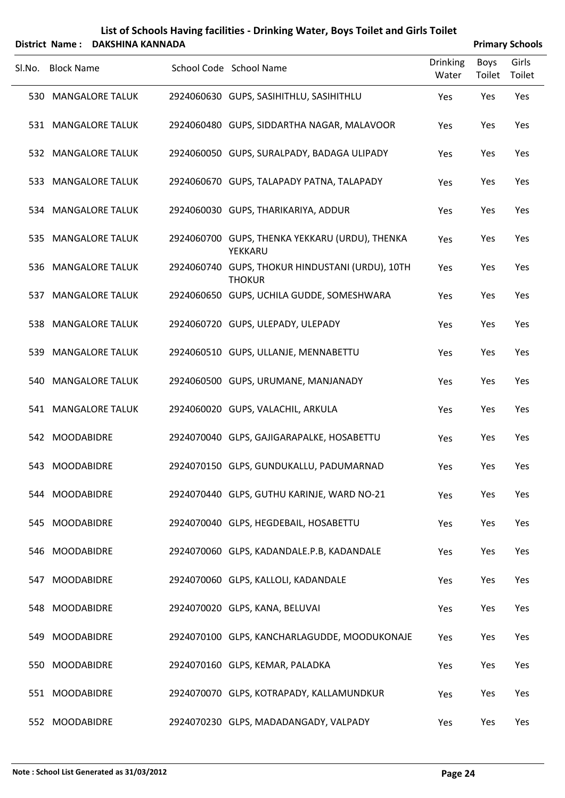|        |                   | District Name: DAKSHINA KANNADA |                                                                  |                          |                | <b>Primary Schools</b> |
|--------|-------------------|---------------------------------|------------------------------------------------------------------|--------------------------|----------------|------------------------|
| SI.No. | <b>Block Name</b> |                                 | School Code School Name                                          | <b>Drinking</b><br>Water | Boys<br>Toilet | Girls<br>Toilet        |
|        |                   | 530 MANGALORE TALUK             | 2924060630 GUPS, SASIHITHLU, SASIHITHLU                          | Yes                      | Yes            | Yes                    |
|        |                   | 531 MANGALORE TALUK             | 2924060480 GUPS, SIDDARTHA NAGAR, MALAVOOR                       | Yes                      | Yes            | Yes                    |
|        |                   | 532 MANGALORE TALUK             | 2924060050 GUPS, SURALPADY, BADAGA ULIPADY                       | Yes                      | Yes            | Yes                    |
| 533    |                   | <b>MANGALORE TALUK</b>          | 2924060670 GUPS, TALAPADY PATNA, TALAPADY                        | Yes                      | Yes            | Yes                    |
|        |                   | 534 MANGALORE TALUK             | 2924060030 GUPS, THARIKARIYA, ADDUR                              | Yes                      | Yes            | Yes                    |
| 535    |                   | <b>MANGALORE TALUK</b>          | 2924060700 GUPS, THENKA YEKKARU (URDU), THENKA<br>YEKKARU        | Yes                      | Yes            | Yes                    |
|        |                   | 536 MANGALORE TALUK             | 2924060740 GUPS, THOKUR HINDUSTANI (URDU), 10TH<br><b>THOKUR</b> | Yes                      | Yes            | Yes                    |
|        |                   | 537 MANGALORE TALUK             | 2924060650 GUPS, UCHILA GUDDE, SOMESHWARA                        | Yes                      | Yes            | Yes                    |
|        |                   | 538 MANGALORE TALUK             | 2924060720 GUPS, ULEPADY, ULEPADY                                | Yes                      | Yes            | Yes                    |
| 539    |                   | <b>MANGALORE TALUK</b>          | 2924060510 GUPS, ULLANJE, MENNABETTU                             | Yes                      | Yes            | Yes                    |
|        |                   | 540 MANGALORE TALUK             | 2924060500 GUPS, URUMANE, MANJANADY                              | Yes                      | Yes            | Yes                    |
|        |                   | 541 MANGALORE TALUK             | 2924060020 GUPS, VALACHIL, ARKULA                                | Yes                      | Yes            | Yes                    |
|        | 542 MOODABIDRE    |                                 | 2924070040 GLPS, GAJIGARAPALKE, HOSABETTU                        | Yes                      | Yes            | Yes                    |
|        | 543 MOODABIDRE    |                                 | 2924070150 GLPS, GUNDUKALLU, PADUMARNAD                          | Yes                      | Yes            | Yes                    |
|        | 544 MOODABIDRE    |                                 | 2924070440 GLPS, GUTHU KARINJE, WARD NO-21                       | Yes                      | Yes            | Yes                    |
|        | 545 MOODABIDRE    |                                 | 2924070040 GLPS, HEGDEBAIL, HOSABETTU                            | Yes                      | Yes            | Yes                    |
|        | 546 MOODABIDRE    |                                 | 2924070060 GLPS, KADANDALE.P.B, KADANDALE                        | Yes                      | Yes            | Yes                    |
|        | 547 MOODABIDRE    |                                 | 2924070060 GLPS, KALLOLI, KADANDALE                              | Yes                      | Yes            | Yes                    |
|        | 548 MOODABIDRE    |                                 | 2924070020 GLPS, KANA, BELUVAI                                   | Yes                      | Yes            | Yes                    |
|        | 549 MOODABIDRE    |                                 | 2924070100 GLPS, KANCHARLAGUDDE, MOODUKONAJE                     | Yes                      | Yes            | Yes                    |
|        | 550 MOODABIDRE    |                                 | 2924070160 GLPS, KEMAR, PALADKA                                  | Yes                      | Yes            | Yes                    |
|        | 551 MOODABIDRE    |                                 | 2924070070 GLPS, KOTRAPADY, KALLAMUNDKUR                         | Yes                      | Yes            | Yes                    |
|        | 552 MOODABIDRE    |                                 | 2924070230 GLPS, MADADANGADY, VALPADY                            | Yes                      | Yes            | Yes                    |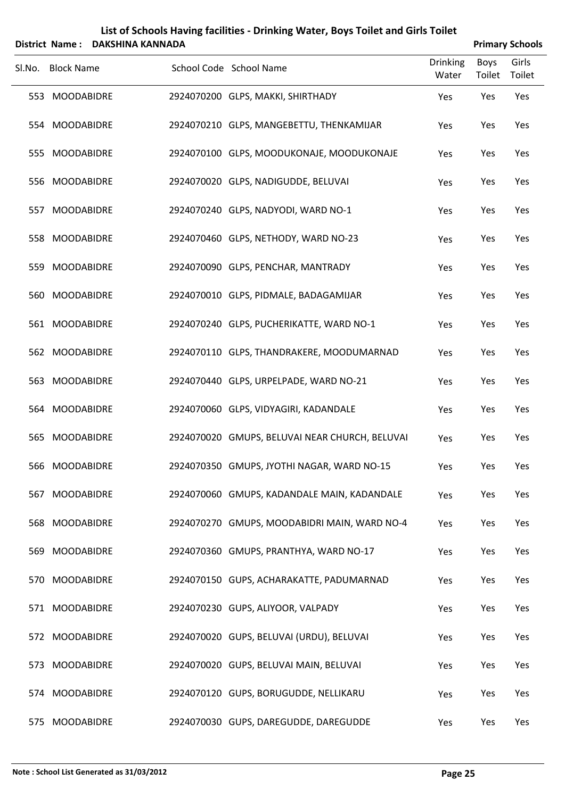| List of Schools Having facilities - Drinking Water, Boys Toilet and Girls Toilet |
|----------------------------------------------------------------------------------|
| $\lambda$                                                                        |

| District Name: DAKSHINA KANNADA |                   |  |                                                |                          |                | <b>Primary Schools</b> |
|---------------------------------|-------------------|--|------------------------------------------------|--------------------------|----------------|------------------------|
| Sl.No.                          | <b>Block Name</b> |  | School Code School Name                        | <b>Drinking</b><br>Water | Boys<br>Toilet | Girls<br>Toilet        |
|                                 | 553 MOODABIDRE    |  | 2924070200 GLPS, MAKKI, SHIRTHADY              | Yes                      | Yes            | Yes                    |
|                                 | 554 MOODABIDRE    |  | 2924070210 GLPS, MANGEBETTU, THENKAMIJAR       | Yes                      | Yes            | Yes                    |
|                                 | 555 MOODABIDRE    |  | 2924070100 GLPS, MOODUKONAJE, MOODUKONAJE      | Yes                      | Yes            | Yes                    |
|                                 | 556 MOODABIDRE    |  | 2924070020 GLPS, NADIGUDDE, BELUVAI            | Yes                      | Yes            | Yes                    |
|                                 | 557 MOODABIDRE    |  | 2924070240 GLPS, NADYODI, WARD NO-1            | Yes                      | Yes            | Yes                    |
|                                 | 558 MOODABIDRE    |  | 2924070460 GLPS, NETHODY, WARD NO-23           | Yes                      | Yes            | Yes                    |
|                                 | 559 MOODABIDRE    |  | 2924070090 GLPS, PENCHAR, MANTRADY             | Yes                      | Yes            | Yes                    |
|                                 | 560 MOODABIDRE    |  | 2924070010 GLPS, PIDMALE, BADAGAMIJAR          | Yes                      | Yes            | Yes                    |
|                                 | 561 MOODABIDRE    |  | 2924070240 GLPS, PUCHERIKATTE, WARD NO-1       | Yes                      | Yes            | Yes                    |
|                                 | 562 MOODABIDRE    |  | 2924070110 GLPS, THANDRAKERE, MOODUMARNAD      | Yes                      | Yes            | Yes                    |
|                                 | 563 MOODABIDRE    |  | 2924070440 GLPS, URPELPADE, WARD NO-21         | Yes                      | Yes            | Yes                    |
|                                 | 564 MOODABIDRE    |  | 2924070060 GLPS, VIDYAGIRI, KADANDALE          | Yes                      | Yes            | Yes                    |
|                                 | 565 MOODABIDRE    |  | 2924070020 GMUPS, BELUVAI NEAR CHURCH, BELUVAI | Yes                      | Yes            | Yes                    |
|                                 | 566 MOODABIDRE    |  | 2924070350 GMUPS, JYOTHI NAGAR, WARD NO-15     | Yes                      | Yes            | Yes                    |
| 567                             | <b>MOODABIDRE</b> |  | 2924070060 GMUPS, KADANDALE MAIN, KADANDALE    | Yes                      | Yes            | Yes                    |
|                                 | 568 MOODABIDRE    |  | 2924070270 GMUPS, MOODABIDRI MAIN, WARD NO-4   | Yes                      | Yes            | Yes                    |
| 569                             | MOODABIDRE        |  | 2924070360 GMUPS, PRANTHYA, WARD NO-17         | Yes                      | Yes            | Yes                    |
|                                 | 570 MOODABIDRE    |  | 2924070150 GUPS, ACHARAKATTE, PADUMARNAD       | Yes                      | Yes            | Yes                    |
|                                 | 571 MOODABIDRE    |  | 2924070230 GUPS, ALIYOOR, VALPADY              | Yes                      | Yes            | Yes                    |
|                                 | 572 MOODABIDRE    |  | 2924070020 GUPS, BELUVAI (URDU), BELUVAI       | Yes                      | Yes            | Yes                    |
| 573                             | MOODABIDRE        |  | 2924070020 GUPS, BELUVAI MAIN, BELUVAI         | Yes                      | Yes            | Yes                    |
|                                 | 574 MOODABIDRE    |  | 2924070120 GUPS, BORUGUDDE, NELLIKARU          | Yes                      | Yes            | Yes                    |
|                                 | 575 MOODABIDRE    |  | 2924070030 GUPS, DAREGUDDE, DAREGUDDE          | Yes                      | Yes            | Yes                    |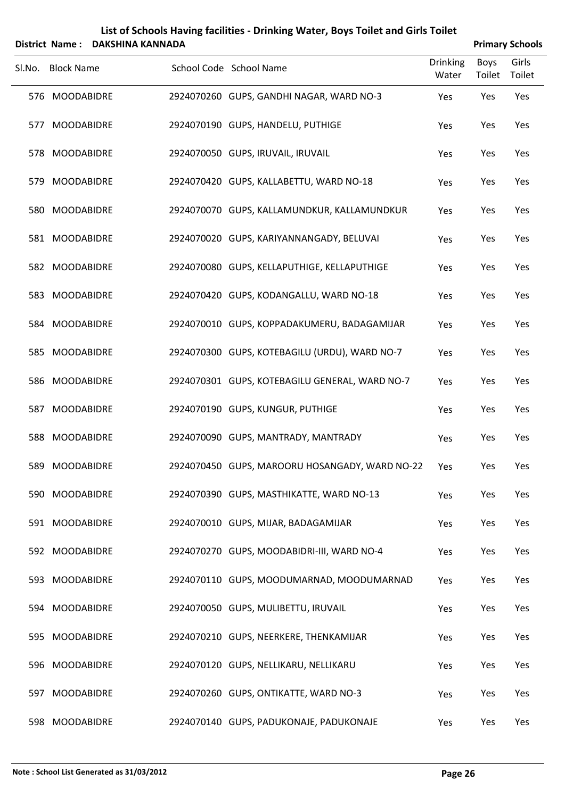| List of Schools Having facilities - Drinking Water, Boys Toilet and Girls Toilet |
|----------------------------------------------------------------------------------|
|                                                                                  |

|        | <b>District Name:</b> | <b>DAKSHINA KANNADA</b> |                                                |                          |                       | <b>Primary Schools</b> |
|--------|-----------------------|-------------------------|------------------------------------------------|--------------------------|-----------------------|------------------------|
| Sl.No. | <b>Block Name</b>     |                         | School Code School Name                        | <b>Drinking</b><br>Water | <b>Boys</b><br>Toilet | Girls<br>Toilet        |
|        | 576 MOODABIDRE        |                         | 2924070260 GUPS, GANDHI NAGAR, WARD NO-3       | Yes                      | Yes                   | Yes                    |
| 577    | <b>MOODABIDRE</b>     |                         | 2924070190 GUPS, HANDELU, PUTHIGE              | Yes                      | Yes                   | Yes                    |
|        | 578 MOODABIDRE        |                         | 2924070050 GUPS, IRUVAIL, IRUVAIL              | Yes                      | Yes                   | Yes                    |
| 579    | <b>MOODABIDRE</b>     |                         | 2924070420 GUPS, KALLABETTU, WARD NO-18        | Yes                      | Yes                   | Yes                    |
|        | 580 MOODABIDRE        |                         | 2924070070 GUPS, KALLAMUNDKUR, KALLAMUNDKUR    | Yes                      | Yes                   | Yes                    |
|        | 581 MOODABIDRE        |                         | 2924070020 GUPS, KARIYANNANGADY, BELUVAI       | Yes                      | Yes                   | Yes                    |
|        | 582 MOODABIDRE        |                         | 2924070080 GUPS, KELLAPUTHIGE, KELLAPUTHIGE    | Yes                      | Yes                   | Yes                    |
|        | 583 MOODABIDRE        |                         | 2924070420 GUPS, KODANGALLU, WARD NO-18        | Yes                      | Yes                   | Yes                    |
|        | 584 MOODABIDRE        |                         | 2924070010 GUPS, KOPPADAKUMERU, BADAGAMIJAR    | Yes                      | Yes                   | Yes                    |
|        | 585 MOODABIDRE        |                         | 2924070300 GUPS, KOTEBAGILU (URDU), WARD NO-7  | Yes                      | Yes                   | Yes                    |
|        | 586 MOODABIDRE        |                         | 2924070301 GUPS, KOTEBAGILU GENERAL, WARD NO-7 | Yes                      | Yes                   | Yes                    |
| 587    | <b>MOODABIDRE</b>     |                         | 2924070190 GUPS, KUNGUR, PUTHIGE               | Yes                      | Yes                   | Yes                    |
|        | 588 MOODABIDRE        |                         | 2924070090 GUPS, MANTRADY, MANTRADY            | Yes                      | Yes                   | Yes                    |
|        | 589 MOODABIDRE        |                         | 2924070450 GUPS, MAROORU HOSANGADY, WARD NO-22 | Yes                      | Yes                   | Yes                    |
|        | 590 MOODABIDRE        |                         | 2924070390 GUPS, MASTHIKATTE, WARD NO-13       | Yes                      | Yes                   | Yes                    |
|        | 591 MOODABIDRE        |                         | 2924070010 GUPS, MIJAR, BADAGAMIJAR            | Yes                      | Yes                   | Yes                    |
|        | 592 MOODABIDRE        |                         | 2924070270 GUPS, MOODABIDRI-III, WARD NO-4     | Yes                      | Yes                   | Yes                    |
|        | 593 MOODABIDRE        |                         | 2924070110 GUPS, MOODUMARNAD, MOODUMARNAD      | Yes                      | Yes                   | Yes                    |
|        | 594 MOODABIDRE        |                         | 2924070050 GUPS, MULIBETTU, IRUVAIL            | Yes                      | Yes                   | Yes                    |
|        | 595 MOODABIDRE        |                         | 2924070210 GUPS, NEERKERE, THENKAMIJAR         | Yes                      | Yes                   | Yes                    |
| 596    | <b>MOODABIDRE</b>     |                         | 2924070120 GUPS, NELLIKARU, NELLIKARU          | Yes                      | Yes                   | Yes                    |
|        | 597 MOODABIDRE        |                         | 2924070260 GUPS, ONTIKATTE, WARD NO-3          | Yes                      | Yes                   | Yes                    |
|        | 598 MOODABIDRE        |                         | 2924070140 GUPS, PADUKONAJE, PADUKONAJE        | Yes                      | Yes                   | Yes                    |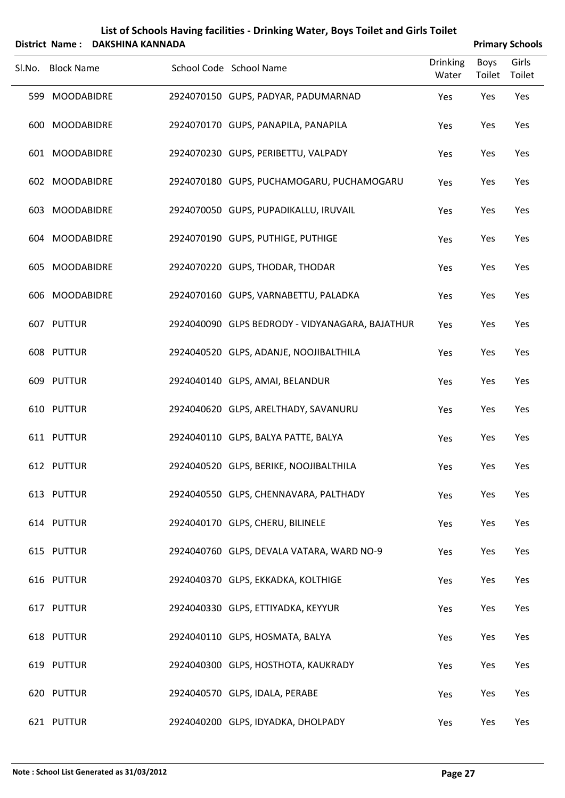| List of Schools Having facilities - Drinking Water, Boys Toilet and Girls Toilet         |
|------------------------------------------------------------------------------------------|
| $\mathbf{A}$ . The set of $\mathbf{A}$ is a set of $\mathbf{A}$ is a set of $\mathbf{A}$ |

| District Name: DAKSHINA KANNADA |  | <b>Primary Schools</b>                          |                          |                |                 |  |
|---------------------------------|--|-------------------------------------------------|--------------------------|----------------|-----------------|--|
| Sl.No. Block Name               |  | School Code School Name                         | <b>Drinking</b><br>Water | Boys<br>Toilet | Girls<br>Toilet |  |
| 599 MOODABIDRE                  |  | 2924070150 GUPS, PADYAR, PADUMARNAD             | Yes                      | Yes            | Yes             |  |
| 600 MOODABIDRE                  |  | 2924070170 GUPS, PANAPILA, PANAPILA             | Yes                      | Yes            | Yes             |  |
| 601 MOODABIDRE                  |  | 2924070230 GUPS, PERIBETTU, VALPADY             | Yes                      | Yes            | Yes             |  |
| 602 MOODABIDRE                  |  | 2924070180 GUPS, PUCHAMOGARU, PUCHAMOGARU       | Yes                      | Yes            | Yes             |  |
| 603 MOODABIDRE                  |  | 2924070050 GUPS, PUPADIKALLU, IRUVAIL           | Yes                      | Yes            | Yes             |  |
| 604 MOODABIDRE                  |  | 2924070190 GUPS, PUTHIGE, PUTHIGE               | Yes                      | Yes            | Yes             |  |
| 605 MOODABIDRE                  |  | 2924070220 GUPS, THODAR, THODAR                 | Yes                      | Yes            | Yes             |  |
| 606 MOODABIDRE                  |  | 2924070160 GUPS, VARNABETTU, PALADKA            | Yes                      | Yes            | Yes             |  |
| 607 PUTTUR                      |  | 2924040090 GLPS BEDRODY - VIDYANAGARA, BAJATHUR | Yes                      | Yes            | Yes             |  |
| 608 PUTTUR                      |  | 2924040520 GLPS, ADANJE, NOOJIBALTHILA          | Yes                      | Yes            | Yes             |  |
| 609 PUTTUR                      |  | 2924040140 GLPS, AMAI, BELANDUR                 | Yes                      | Yes            | Yes             |  |
| 610 PUTTUR                      |  | 2924040620 GLPS, ARELTHADY, SAVANURU            | Yes                      | Yes            | Yes             |  |
| 611 PUTTUR                      |  | 2924040110 GLPS, BALYA PATTE, BALYA             | Yes                      | Yes            | Yes             |  |
| 612 PUTTUR                      |  | 2924040520 GLPS, BERIKE, NOOJIBALTHILA          | Yes                      | Yes            | Yes             |  |
| 613 PUTTUR                      |  | 2924040550 GLPS, CHENNAVARA, PALTHADY           | Yes                      | Yes            | Yes             |  |
| 614 PUTTUR                      |  | 2924040170 GLPS, CHERU, BILINELE                | Yes                      | Yes            | Yes             |  |
| 615 PUTTUR                      |  | 2924040760 GLPS, DEVALA VATARA, WARD NO-9       | Yes                      | Yes            | Yes             |  |
| 616 PUTTUR                      |  | 2924040370 GLPS, EKKADKA, KOLTHIGE              | Yes                      | Yes            | Yes             |  |
| 617 PUTTUR                      |  | 2924040330 GLPS, ETTIYADKA, KEYYUR              | Yes                      | Yes            | Yes             |  |
| 618 PUTTUR                      |  | 2924040110 GLPS, HOSMATA, BALYA                 | Yes                      | Yes            | Yes             |  |
| 619 PUTTUR                      |  | 2924040300 GLPS, HOSTHOTA, KAUKRADY             | Yes                      | Yes            | Yes             |  |
| 620 PUTTUR                      |  | 2924040570 GLPS, IDALA, PERABE                  | Yes                      | Yes            | Yes             |  |
| 621 PUTTUR                      |  | 2924040200 GLPS, IDYADKA, DHOLPADY              | Yes                      | Yes            | Yes             |  |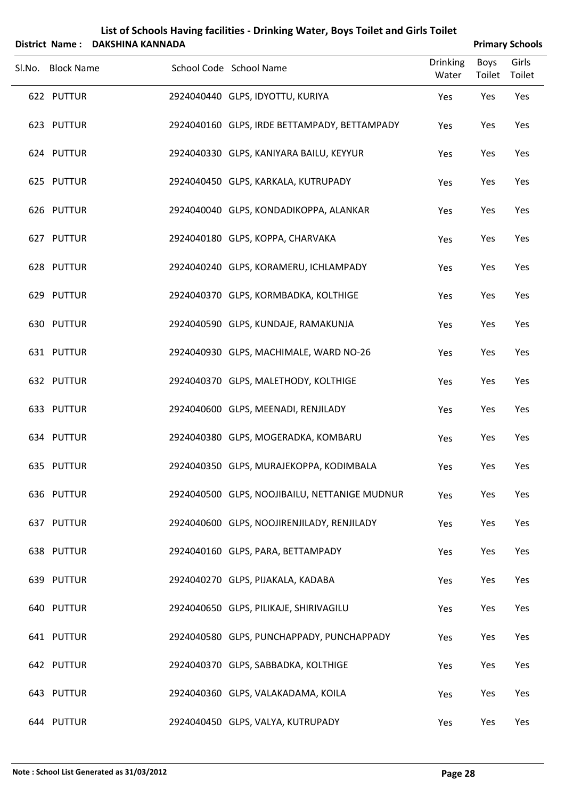|        | <b>District Name:</b> | <b>DAKSHINA KANNADA</b> |                                               |                          |                       | <b>Primary Schools</b> |
|--------|-----------------------|-------------------------|-----------------------------------------------|--------------------------|-----------------------|------------------------|
| Sl.No. | <b>Block Name</b>     |                         | School Code School Name                       | <b>Drinking</b><br>Water | <b>Boys</b><br>Toilet | Girls<br>Toilet        |
|        | 622 PUTTUR            |                         | 2924040440 GLPS, IDYOTTU, KURIYA              | Yes                      | Yes                   | Yes                    |
|        | 623 PUTTUR            |                         | 2924040160 GLPS, IRDE BETTAMPADY, BETTAMPADY  | Yes                      | Yes                   | Yes                    |
|        | 624 PUTTUR            |                         | 2924040330 GLPS, KANIYARA BAILU, KEYYUR       | Yes                      | Yes                   | Yes                    |
|        | 625 PUTTUR            |                         | 2924040450 GLPS, KARKALA, KUTRUPADY           | Yes                      | Yes                   | Yes                    |
|        | 626 PUTTUR            |                         | 2924040040 GLPS, KONDADIKOPPA, ALANKAR        | Yes                      | Yes                   | Yes                    |
|        | 627 PUTTUR            |                         | 2924040180 GLPS, KOPPA, CHARVAKA              | Yes                      | Yes                   | Yes                    |
|        | 628 PUTTUR            |                         | 2924040240 GLPS, KORAMERU, ICHLAMPADY         | Yes                      | Yes                   | Yes                    |
|        | 629 PUTTUR            |                         | 2924040370 GLPS, KORMBADKA, KOLTHIGE          | Yes                      | Yes                   | Yes                    |
|        | 630 PUTTUR            |                         | 2924040590 GLPS, KUNDAJE, RAMAKUNJA           | Yes                      | Yes                   | Yes                    |
|        | 631 PUTTUR            |                         | 2924040930 GLPS, MACHIMALE, WARD NO-26        | Yes                      | Yes                   | Yes                    |
|        | 632 PUTTUR            |                         | 2924040370 GLPS, MALETHODY, KOLTHIGE          | Yes                      | Yes                   | Yes                    |
|        | 633 PUTTUR            |                         | 2924040600 GLPS, MEENADI, RENJILADY           | Yes                      | Yes                   | Yes                    |
|        | 634 PUTTUR            |                         | 2924040380 GLPS, MOGERADKA, KOMBARU           | Yes                      | Yes                   | Yes                    |
|        | 635 PUTTUR            |                         | 2924040350 GLPS, MURAJEKOPPA, KODIMBALA       | Yes                      | Yes                   | Yes                    |
|        | 636 PUTTUR            |                         | 2924040500 GLPS, NOOJIBAILU, NETTANIGE MUDNUR | Yes                      | Yes                   | Yes                    |
|        | 637 PUTTUR            |                         | 2924040600 GLPS, NOOJIRENJILADY, RENJILADY    | Yes                      | Yes                   | Yes                    |
|        | 638 PUTTUR            |                         | 2924040160 GLPS, PARA, BETTAMPADY             | Yes                      | Yes                   | Yes                    |
|        | 639 PUTTUR            |                         | 2924040270 GLPS, PIJAKALA, KADABA             | Yes                      | Yes                   | Yes                    |
|        | 640 PUTTUR            |                         | 2924040650 GLPS, PILIKAJE, SHIRIVAGILU        | Yes                      | Yes                   | Yes                    |
|        | 641 PUTTUR            |                         | 2924040580 GLPS, PUNCHAPPADY, PUNCHAPPADY     | Yes                      | Yes                   | Yes                    |
|        | 642 PUTTUR            |                         | 2924040370 GLPS, SABBADKA, KOLTHIGE           | Yes                      | Yes                   | Yes                    |
|        | 643 PUTTUR            |                         | 2924040360 GLPS, VALAKADAMA, KOILA            | Yes                      | Yes                   | Yes                    |
|        | 644 PUTTUR            |                         | 2924040450 GLPS, VALYA, KUTRUPADY             | Yes                      | Yes                   | Yes                    |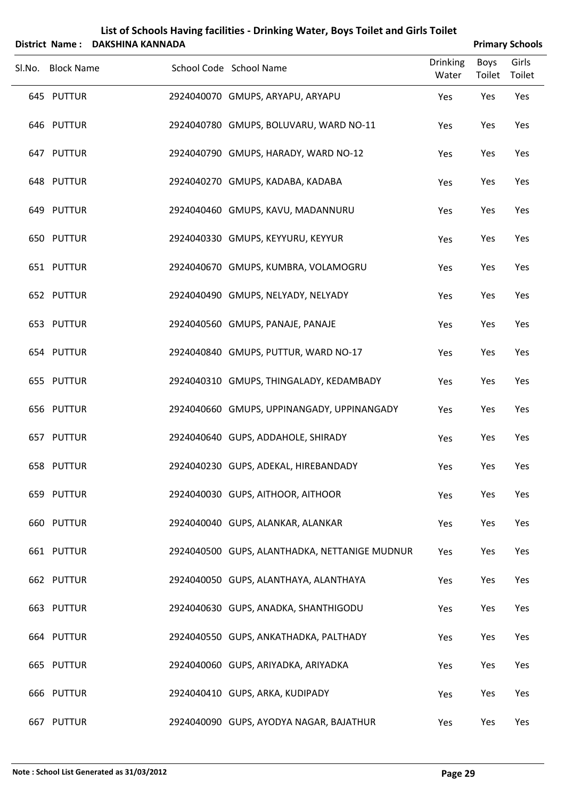|        | <b>District Name:</b> | <b>DAKSHINA KANNADA</b> |                                               |                          |                       | <b>Primary Schools</b> |
|--------|-----------------------|-------------------------|-----------------------------------------------|--------------------------|-----------------------|------------------------|
| Sl.No. | <b>Block Name</b>     |                         | School Code School Name                       | <b>Drinking</b><br>Water | <b>Boys</b><br>Toilet | Girls<br>Toilet        |
|        | 645 PUTTUR            |                         | 2924040070 GMUPS, ARYAPU, ARYAPU              | Yes                      | Yes                   | Yes                    |
|        | 646 PUTTUR            |                         | 2924040780 GMUPS, BOLUVARU, WARD NO-11        | Yes                      | Yes                   | Yes                    |
|        | 647 PUTTUR            |                         | 2924040790 GMUPS, HARADY, WARD NO-12          | Yes                      | Yes                   | Yes                    |
|        | 648 PUTTUR            |                         | 2924040270 GMUPS, KADABA, KADABA              | Yes                      | Yes                   | Yes                    |
|        | 649 PUTTUR            |                         | 2924040460 GMUPS, KAVU, MADANNURU             | Yes                      | Yes                   | Yes                    |
|        | 650 PUTTUR            |                         | 2924040330 GMUPS, KEYYURU, KEYYUR             | Yes                      | Yes                   | Yes                    |
|        | 651 PUTTUR            |                         | 2924040670 GMUPS, KUMBRA, VOLAMOGRU           | Yes                      | Yes                   | Yes                    |
|        | 652 PUTTUR            |                         | 2924040490 GMUPS, NELYADY, NELYADY            | Yes                      | Yes                   | Yes                    |
|        | 653 PUTTUR            |                         | 2924040560 GMUPS, PANAJE, PANAJE              | Yes                      | Yes                   | Yes                    |
|        | 654 PUTTUR            |                         | 2924040840 GMUPS, PUTTUR, WARD NO-17          | Yes                      | Yes                   | Yes                    |
|        | 655 PUTTUR            |                         | 2924040310 GMUPS, THINGALADY, KEDAMBADY       | Yes                      | Yes                   | Yes                    |
|        | 656 PUTTUR            |                         | 2924040660 GMUPS, UPPINANGADY, UPPINANGADY    | Yes                      | Yes                   | Yes                    |
|        | 657 PUTTUR            |                         | 2924040640 GUPS, ADDAHOLE, SHIRADY            | Yes                      | Yes                   | Yes                    |
|        | 658 PUTTUR            |                         | 2924040230 GUPS, ADEKAL, HIREBANDADY          | Yes                      | Yes                   | Yes                    |
|        | 659 PUTTUR            |                         | 2924040030 GUPS, AITHOOR, AITHOOR             | Yes                      | Yes                   | Yes                    |
|        | 660 PUTTUR            |                         | 2924040040 GUPS, ALANKAR, ALANKAR             | Yes                      | Yes                   | Yes                    |
|        | 661 PUTTUR            |                         | 2924040500 GUPS, ALANTHADKA, NETTANIGE MUDNUR | Yes                      | Yes                   | Yes                    |
|        | 662 PUTTUR            |                         | 2924040050 GUPS, ALANTHAYA, ALANTHAYA         | Yes                      | Yes                   | Yes                    |
|        | 663 PUTTUR            |                         | 2924040630 GUPS, ANADKA, SHANTHIGODU          | Yes                      | Yes                   | Yes                    |
|        | 664 PUTTUR            |                         | 2924040550 GUPS, ANKATHADKA, PALTHADY         | Yes                      | Yes                   | Yes                    |
|        | 665 PUTTUR            |                         | 2924040060 GUPS, ARIYADKA, ARIYADKA           | Yes                      | Yes                   | Yes                    |
|        | 666 PUTTUR            |                         | 2924040410 GUPS, ARKA, KUDIPADY               | Yes                      | Yes                   | Yes                    |
|        | 667 PUTTUR            |                         | 2924040090 GUPS, AYODYA NAGAR, BAJATHUR       | Yes                      | Yes                   | Yes                    |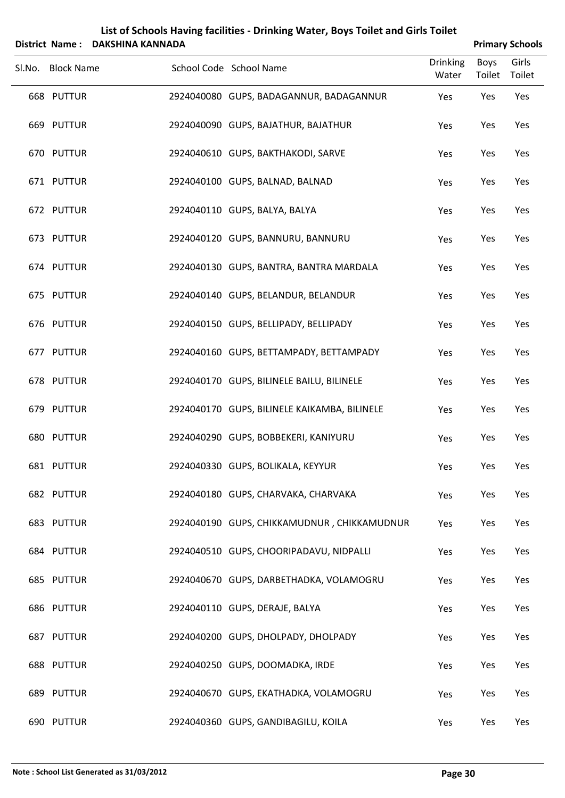|        | District Name:    | DAKSHINA KANNADA |                                              | <b>Primary Schools</b>   |                       |                 |
|--------|-------------------|------------------|----------------------------------------------|--------------------------|-----------------------|-----------------|
| Sl.No. | <b>Block Name</b> |                  | School Code School Name                      | <b>Drinking</b><br>Water | <b>Boys</b><br>Toilet | Girls<br>Toilet |
|        | 668 PUTTUR        |                  | 2924040080 GUPS, BADAGANNUR, BADAGANNUR      | Yes                      | Yes                   | Yes             |
|        | 669 PUTTUR        |                  | 2924040090 GUPS, BAJATHUR, BAJATHUR          | Yes                      | Yes                   | Yes             |
|        | 670 PUTTUR        |                  | 2924040610 GUPS, BAKTHAKODI, SARVE           | Yes                      | Yes                   | Yes             |
|        | 671 PUTTUR        |                  | 2924040100 GUPS, BALNAD, BALNAD              | Yes                      | Yes                   | Yes             |
|        | 672 PUTTUR        |                  | 2924040110 GUPS, BALYA, BALYA                | Yes                      | Yes                   | Yes             |
|        | 673 PUTTUR        |                  | 2924040120 GUPS, BANNURU, BANNURU            | Yes                      | Yes                   | Yes             |
|        | 674 PUTTUR        |                  | 2924040130 GUPS, BANTRA, BANTRA MARDALA      | Yes                      | Yes                   | Yes             |
|        | 675 PUTTUR        |                  | 2924040140 GUPS, BELANDUR, BELANDUR          | Yes                      | Yes                   | Yes             |
|        | 676 PUTTUR        |                  | 2924040150 GUPS, BELLIPADY, BELLIPADY        | Yes                      | Yes                   | Yes             |
|        | 677 PUTTUR        |                  | 2924040160 GUPS, BETTAMPADY, BETTAMPADY      | Yes                      | Yes                   | Yes             |
|        | 678 PUTTUR        |                  | 2924040170 GUPS, BILINELE BAILU, BILINELE    | Yes                      | Yes                   | Yes             |
|        | 679 PUTTUR        |                  | 2924040170 GUPS, BILINELE KAIKAMBA, BILINELE | Yes                      | Yes                   | Yes             |
|        | 680 PUTTUR        |                  | 2924040290 GUPS, BOBBEKERI, KANIYURU         | Yes                      | Yes                   | Yes             |
|        | 681 PUTTUR        |                  | 2924040330 GUPS, BOLIKALA, KEYYUR            | Yes                      | Yes                   | Yes             |
|        | 682 PUTTUR        |                  | 2924040180 GUPS, CHARVAKA, CHARVAKA          | Yes                      | Yes                   | Yes             |
|        | 683 PUTTUR        |                  | 2924040190 GUPS, CHIKKAMUDNUR, CHIKKAMUDNUR  | Yes                      | Yes                   | Yes             |
|        | 684 PUTTUR        |                  | 2924040510 GUPS, CHOORIPADAVU, NIDPALLI      | Yes                      | Yes                   | Yes             |
|        | 685 PUTTUR        |                  | 2924040670 GUPS, DARBETHADKA, VOLAMOGRU      | Yes                      | Yes                   | Yes             |
|        | 686 PUTTUR        |                  | 2924040110 GUPS, DERAJE, BALYA               | Yes                      | Yes                   | Yes             |
|        | 687 PUTTUR        |                  | 2924040200 GUPS, DHOLPADY, DHOLPADY          | Yes                      | Yes                   | Yes             |
|        | 688 PUTTUR        |                  | 2924040250 GUPS, DOOMADKA, IRDE              | Yes                      | Yes                   | Yes             |
|        | 689 PUTTUR        |                  | 2924040670 GUPS, EKATHADKA, VOLAMOGRU        | Yes                      | Yes                   | Yes             |
|        | 690 PUTTUR        |                  | 2924040360 GUPS, GANDIBAGILU, KOILA          | Yes                      | Yes                   | Yes             |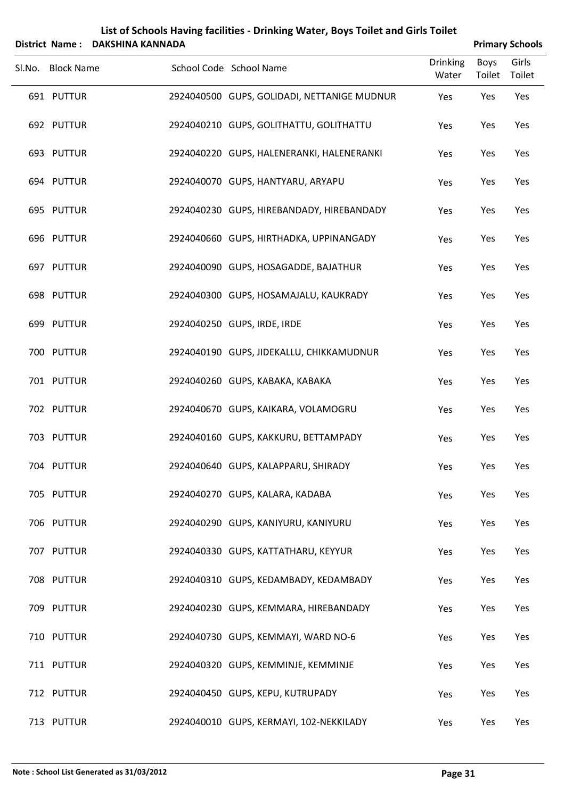|        | <b>District Name:</b> | List of Schools Having facilities - Drinking Water, Boys Toilet and Girls Toilet<br><b>DAKSHINA KANNADA</b> |                                                     | <b>Primary Schools</b> |                 |  |
|--------|-----------------------|-------------------------------------------------------------------------------------------------------------|-----------------------------------------------------|------------------------|-----------------|--|
| SI.No. | <b>Block Name</b>     |                                                                                                             | <b>Drinking</b><br>School Code School Name<br>Water | <b>Boys</b><br>Toilet  | Girls<br>Toilet |  |
|        | 691 PUTTUR            |                                                                                                             | 2924040500 GUPS, GOLIDADI, NETTANIGE MUDNUR<br>Yes  | Yes                    | Yes             |  |
|        | 692 PUTTUR            |                                                                                                             | 2924040210 GUPS, GOLITHATTU, GOLITHATTU<br>Yes      | Yes                    | Yes             |  |
|        | 693 PUTTUR            |                                                                                                             | 2924040220 GUPS, HALENERANKI, HALENERANKI<br>Yes    | Yes                    | Yes             |  |
|        | 694 PUTTUR            |                                                                                                             | 2924040070 GUPS, HANTYARU, ARYAPU<br>Yes            | Yes                    | Yes             |  |
|        | 695 PUTTUR            |                                                                                                             | 2924040230 GUPS, HIREBANDADY, HIREBANDADY<br>Yes    | Yes                    | Yes             |  |
|        | 696 PUTTUR            |                                                                                                             | 2924040660 GUPS, HIRTHADKA, UPPINANGADY<br>Yes      | Yes                    | Yes             |  |
|        | 697 PUTTUR            |                                                                                                             | 2924040090 GUPS, HOSAGADDE, BAJATHUR<br>Yes         | Yes                    | Yes             |  |
|        | 698 PUTTUR            |                                                                                                             | 2924040300 GUPS, HOSAMAJALU, KAUKRADY<br>Yes        | Yes                    | Yes             |  |
|        | 699 PUTTUR            |                                                                                                             | 2924040250 GUPS, IRDE, IRDE<br>Yes                  | Yes                    | Yes             |  |
|        | 700 PUTTUR            |                                                                                                             | 2924040190 GUPS, JIDEKALLU, CHIKKAMUDNUR<br>Yes     | Yes                    | Yes             |  |
|        | 701 PUTTUR            |                                                                                                             | 2924040260 GUPS, KABAKA, KABAKA<br>Yes              | Yes                    | Yes             |  |
|        | 702 PUTTUR            |                                                                                                             | 2924040670 GUPS, KAIKARA, VOLAMOGRU<br>Yes          | Yes                    | Yes             |  |
|        | 703 PUTTUR            |                                                                                                             | 2924040160 GUPS, KAKKURU, BETTAMPADY<br>Yes         | Yes                    | Yes             |  |
|        | 704 PUTTUR            |                                                                                                             | 2924040640 GUPS, KALAPPARU, SHIRADY<br>Yes          | Yes                    | Yes             |  |
|        | 705 PUTTUR            |                                                                                                             | 2924040270 GUPS, KALARA, KADABA<br>Yes              | Yes                    | Yes             |  |
|        | 706 PUTTUR            |                                                                                                             | 2924040290 GUPS, KANIYURU, KANIYURU<br>Yes          | Yes                    | Yes             |  |
|        | 707 PUTTUR            |                                                                                                             | 2924040330 GUPS, KATTATHARU, KEYYUR<br>Yes          | Yes                    | Yes             |  |
|        | 708 PUTTUR            |                                                                                                             | 2924040310 GUPS, KEDAMBADY, KEDAMBADY<br>Yes        | Yes                    | Yes             |  |
|        | 709 PUTTUR            |                                                                                                             | 2924040230 GUPS, KEMMARA, HIREBANDADY<br>Yes        | Yes                    | Yes             |  |
|        | 710 PUTTUR            |                                                                                                             | 2924040730 GUPS, KEMMAYI, WARD NO-6<br>Yes          | Yes                    | Yes             |  |
|        | 711 PUTTUR            |                                                                                                             | 2924040320 GUPS, KEMMINJE, KEMMINJE<br>Yes          | Yes                    | Yes             |  |
|        | 712 PUTTUR            |                                                                                                             | 2924040450 GUPS, KEPU, KUTRUPADY<br>Yes             | Yes                    | Yes             |  |
|        | 713 PUTTUR            |                                                                                                             | 2924040010 GUPS, KERMAYI, 102-NEKKILADY<br>Yes      | Yes                    | Yes             |  |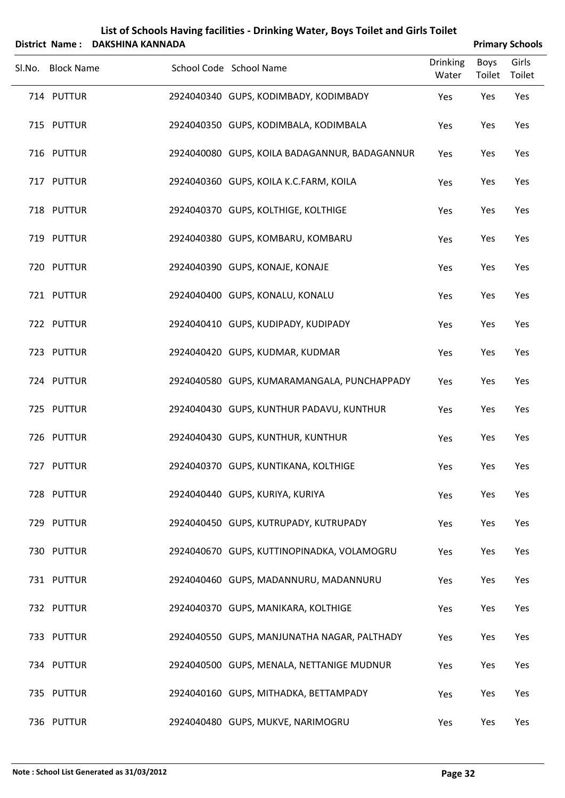|        |                   | District Name: DAKSHINA KANNADA |                                               |                          |                | <b>Primary Schools</b> |
|--------|-------------------|---------------------------------|-----------------------------------------------|--------------------------|----------------|------------------------|
| Sl.No. | <b>Block Name</b> |                                 | School Code School Name                       | <b>Drinking</b><br>Water | Boys<br>Toilet | Girls<br>Toilet        |
|        | 714 PUTTUR        |                                 | 2924040340 GUPS, KODIMBADY, KODIMBADY         | Yes                      | Yes            | Yes                    |
|        | 715 PUTTUR        |                                 | 2924040350 GUPS, KODIMBALA, KODIMBALA         | Yes                      | Yes            | Yes                    |
|        | 716 PUTTUR        |                                 | 2924040080 GUPS, KOILA BADAGANNUR, BADAGANNUR | Yes                      | Yes            | Yes                    |
|        | 717 PUTTUR        |                                 | 2924040360 GUPS, KOILA K.C.FARM, KOILA        | Yes                      | Yes            | Yes                    |
|        | 718 PUTTUR        |                                 | 2924040370 GUPS, KOLTHIGE, KOLTHIGE           | Yes                      | Yes            | Yes                    |
|        | 719 PUTTUR        |                                 | 2924040380 GUPS, KOMBARU, KOMBARU             | Yes                      | Yes            | Yes                    |
|        | 720 PUTTUR        |                                 | 2924040390 GUPS, KONAJE, KONAJE               | Yes                      | Yes            | Yes                    |
|        | 721 PUTTUR        |                                 | 2924040400 GUPS, KONALU, KONALU               | Yes                      | Yes            | Yes                    |
|        | 722 PUTTUR        |                                 | 2924040410 GUPS, KUDIPADY, KUDIPADY           | Yes                      | Yes            | Yes                    |
|        | 723 PUTTUR        |                                 | 2924040420 GUPS, KUDMAR, KUDMAR               | Yes                      | Yes            | Yes                    |
|        | 724 PUTTUR        |                                 | 2924040580 GUPS, KUMARAMANGALA, PUNCHAPPADY   | Yes                      | Yes            | Yes                    |
|        | 725 PUTTUR        |                                 | 2924040430 GUPS, KUNTHUR PADAVU, KUNTHUR      | Yes                      | Yes            | Yes                    |
|        | 726 PUTTUR        |                                 | 2924040430 GUPS, KUNTHUR, KUNTHUR             | Yes                      | Yes            | Yes                    |
|        | 727 PUTTUR        |                                 | 2924040370 GUPS, KUNTIKANA, KOLTHIGE          | Yes                      | Yes            | Yes                    |
|        | 728 PUTTUR        |                                 | 2924040440 GUPS, KURIYA, KURIYA               | Yes                      | Yes            | Yes                    |
|        | 729 PUTTUR        |                                 | 2924040450 GUPS, KUTRUPADY, KUTRUPADY         | Yes                      | Yes            | Yes                    |
|        | 730 PUTTUR        |                                 | 2924040670 GUPS, KUTTINOPINADKA, VOLAMOGRU    | Yes                      | Yes            | Yes                    |
|        | 731 PUTTUR        |                                 | 2924040460 GUPS, MADANNURU, MADANNURU         | Yes                      | Yes            | Yes                    |
|        | 732 PUTTUR        |                                 | 2924040370 GUPS, MANIKARA, KOLTHIGE           | Yes                      | Yes            | Yes                    |
|        | 733 PUTTUR        |                                 | 2924040550 GUPS, MANJUNATHA NAGAR, PALTHADY   | Yes                      | Yes            | Yes                    |
|        | 734 PUTTUR        |                                 | 2924040500 GUPS, MENALA, NETTANIGE MUDNUR     | Yes                      | Yes            | Yes                    |
|        | 735 PUTTUR        |                                 | 2924040160 GUPS, MITHADKA, BETTAMPADY         | Yes                      | Yes            | Yes                    |
|        | 736 PUTTUR        |                                 | 2924040480 GUPS, MUKVE, NARIMOGRU             | Yes                      | Yes            | Yes                    |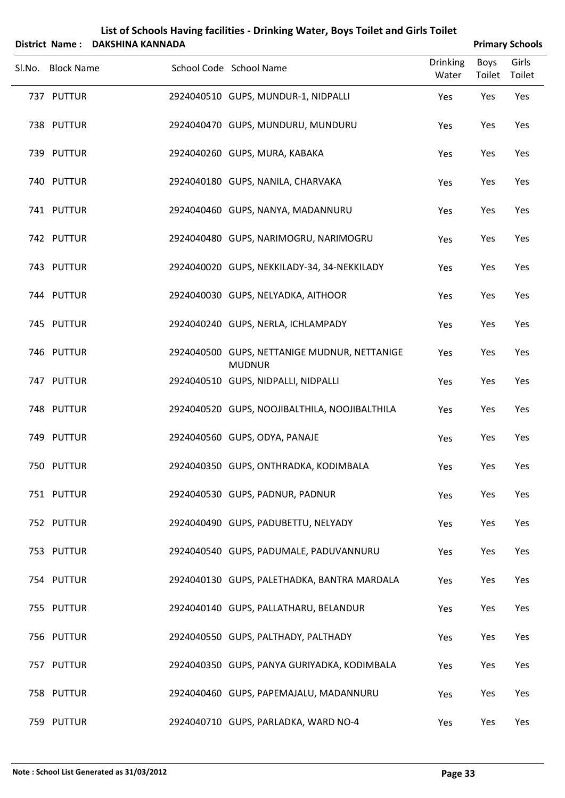|        |                   | District Name: DAKSHINA KANNADA |                                                               |                          |                       | <b>Primary Schools</b> |
|--------|-------------------|---------------------------------|---------------------------------------------------------------|--------------------------|-----------------------|------------------------|
| Sl.No. | <b>Block Name</b> |                                 | School Code School Name                                       | <b>Drinking</b><br>Water | <b>Boys</b><br>Toilet | Girls<br>Toilet        |
|        | 737 PUTTUR        |                                 | 2924040510 GUPS, MUNDUR-1, NIDPALLI                           | Yes                      | Yes                   | Yes                    |
|        | 738 PUTTUR        |                                 | 2924040470 GUPS, MUNDURU, MUNDURU                             | Yes                      | Yes                   | Yes                    |
|        | 739 PUTTUR        |                                 | 2924040260 GUPS, MURA, KABAKA                                 | Yes                      | Yes                   | Yes                    |
|        | 740 PUTTUR        |                                 | 2924040180 GUPS, NANILA, CHARVAKA                             | Yes                      | Yes                   | Yes                    |
|        | 741 PUTTUR        |                                 | 2924040460 GUPS, NANYA, MADANNURU                             | Yes                      | Yes                   | Yes                    |
|        | 742 PUTTUR        |                                 | 2924040480 GUPS, NARIMOGRU, NARIMOGRU                         | Yes                      | Yes                   | Yes                    |
|        | 743 PUTTUR        |                                 | 2924040020 GUPS, NEKKILADY-34, 34-NEKKILADY                   | Yes                      | Yes                   | Yes                    |
|        | 744 PUTTUR        |                                 | 2924040030 GUPS, NELYADKA, AITHOOR                            | Yes                      | Yes                   | Yes                    |
|        | 745 PUTTUR        |                                 | 2924040240 GUPS, NERLA, ICHLAMPADY                            | Yes                      | Yes                   | Yes                    |
|        | 746 PUTTUR        |                                 | 2924040500 GUPS, NETTANIGE MUDNUR, NETTANIGE<br><b>MUDNUR</b> | Yes                      | Yes                   | Yes                    |
|        | 747 PUTTUR        |                                 | 2924040510 GUPS, NIDPALLI, NIDPALLI                           | Yes                      | Yes                   | Yes                    |
|        | 748 PUTTUR        |                                 | 2924040520 GUPS, NOOJIBALTHILA, NOOJIBALTHILA                 | Yes                      | Yes                   | Yes                    |
|        | 749 PUTTUR        |                                 | 2924040560 GUPS, ODYA, PANAJE                                 | Yes                      | Yes                   | Yes                    |
|        | 750 PUTTUR        |                                 | 2924040350 GUPS, ONTHRADKA, KODIMBALA                         | Yes                      | Yes                   | Yes                    |
|        | 751 PUTTUR        |                                 | 2924040530 GUPS, PADNUR, PADNUR                               | Yes                      | Yes                   | Yes                    |
|        | 752 PUTTUR        |                                 | 2924040490 GUPS, PADUBETTU, NELYADY                           | Yes                      | Yes                   | Yes                    |
|        | 753 PUTTUR        |                                 | 2924040540 GUPS, PADUMALE, PADUVANNURU                        | Yes                      | Yes                   | Yes                    |
|        | 754 PUTTUR        |                                 | 2924040130 GUPS, PALETHADKA, BANTRA MARDALA                   | Yes                      | Yes                   | Yes                    |
|        | 755 PUTTUR        |                                 | 2924040140 GUPS, PALLATHARU, BELANDUR                         | Yes                      | Yes                   | Yes                    |
|        | 756 PUTTUR        |                                 | 2924040550 GUPS, PALTHADY, PALTHADY                           | Yes                      | Yes                   | Yes                    |
|        | 757 PUTTUR        |                                 | 2924040350 GUPS, PANYA GURIYADKA, KODIMBALA                   | Yes                      | Yes                   | Yes                    |
|        | 758 PUTTUR        |                                 | 2924040460 GUPS, PAPEMAJALU, MADANNURU                        | Yes                      | Yes                   | Yes                    |
|        | 759 PUTTUR        |                                 | 2924040710 GUPS, PARLADKA, WARD NO-4                          | Yes                      | Yes                   | Yes                    |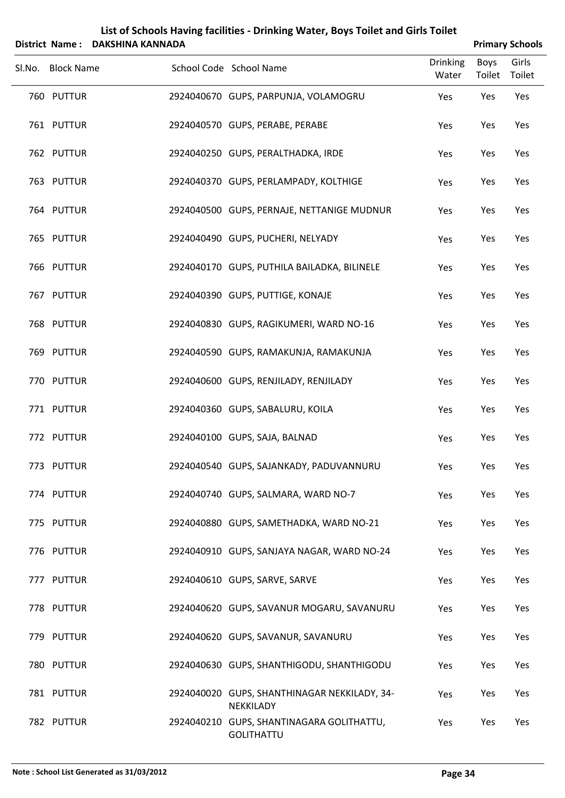|                   | District Name: DAKSHINA KANNADA |                                                           |                          |                       | <b>Primary Schools</b> |
|-------------------|---------------------------------|-----------------------------------------------------------|--------------------------|-----------------------|------------------------|
| Sl.No. Block Name |                                 | School Code School Name                                   | <b>Drinking</b><br>Water | <b>Boys</b><br>Toilet | Girls<br>Toilet        |
| 760 PUTTUR        |                                 | 2924040670 GUPS, PARPUNJA, VOLAMOGRU                      | Yes                      | Yes                   | Yes                    |
| 761 PUTTUR        |                                 | 2924040570 GUPS, PERABE, PERABE                           | Yes                      | Yes                   | Yes                    |
| 762 PUTTUR        |                                 | 2924040250 GUPS, PERALTHADKA, IRDE                        | Yes                      | Yes                   | Yes                    |
| 763 PUTTUR        |                                 | 2924040370 GUPS, PERLAMPADY, KOLTHIGE                     | Yes                      | Yes                   | Yes                    |
| 764 PUTTUR        |                                 | 2924040500 GUPS, PERNAJE, NETTANIGE MUDNUR                | Yes                      | Yes                   | Yes                    |
| 765 PUTTUR        |                                 | 2924040490 GUPS, PUCHERI, NELYADY                         | Yes                      | Yes                   | Yes                    |
| 766 PUTTUR        |                                 | 2924040170 GUPS, PUTHILA BAILADKA, BILINELE               | Yes                      | Yes                   | Yes                    |
| 767 PUTTUR        |                                 | 2924040390 GUPS, PUTTIGE, KONAJE                          | Yes                      | Yes                   | Yes                    |
| 768 PUTTUR        |                                 | 2924040830 GUPS, RAGIKUMERI, WARD NO-16                   | Yes                      | Yes                   | Yes                    |
| 769 PUTTUR        |                                 | 2924040590 GUPS, RAMAKUNJA, RAMAKUNJA                     | Yes                      | Yes                   | Yes                    |
| 770 PUTTUR        |                                 | 2924040600 GUPS, RENJILADY, RENJILADY                     | Yes                      | Yes                   | Yes                    |
| 771 PUTTUR        |                                 | 2924040360 GUPS, SABALURU, KOILA                          | Yes                      | Yes                   | Yes                    |
| 772 PUTTUR        |                                 | 2924040100 GUPS, SAJA, BALNAD                             | Yes                      | Yes                   | Yes                    |
| 773 PUTTUR        |                                 | 2924040540 GUPS, SAJANKADY, PADUVANNURU                   | Yes                      | Yes                   | Yes                    |
| 774 PUTTUR        |                                 | 2924040740 GUPS, SALMARA, WARD NO-7                       | Yes                      | Yes                   | Yes                    |
| 775 PUTTUR        |                                 | 2924040880 GUPS, SAMETHADKA, WARD NO-21                   | Yes                      | Yes                   | Yes                    |
| 776 PUTTUR        |                                 | 2924040910 GUPS, SANJAYA NAGAR, WARD NO-24                | Yes                      | Yes                   | Yes                    |
| 777 PUTTUR        |                                 | 2924040610 GUPS, SARVE, SARVE                             | Yes                      | Yes                   | Yes                    |
| 778 PUTTUR        |                                 | 2924040620 GUPS, SAVANUR MOGARU, SAVANURU                 | Yes                      | Yes                   | Yes                    |
| 779 PUTTUR        |                                 | 2924040620 GUPS, SAVANUR, SAVANURU                        | Yes                      | Yes                   | Yes                    |
| 780 PUTTUR        |                                 | 2924040630 GUPS, SHANTHIGODU, SHANTHIGODU                 | Yes                      | Yes                   | Yes                    |
| 781 PUTTUR        |                                 | 2924040020 GUPS, SHANTHINAGAR NEKKILADY, 34-<br>NEKKILADY | Yes                      | Yes                   | Yes                    |
| 782 PUTTUR        |                                 | 2924040210 GUPS, SHANTINAGARA GOLITHATTU,<br>GOLITHATTU   | Yes                      | Yes                   | Yes                    |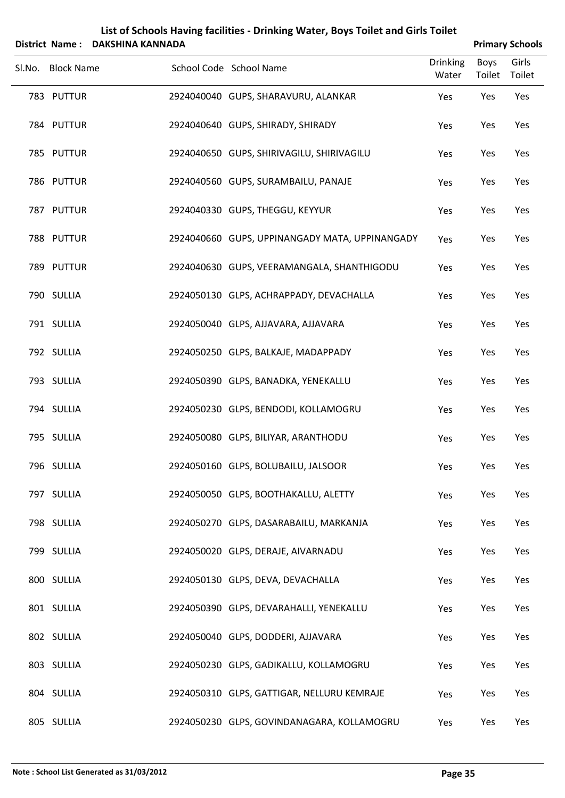|        |                   | District Name: DAKSHINA KANNADA |                                                |                          |                       | <b>Primary Schools</b> |
|--------|-------------------|---------------------------------|------------------------------------------------|--------------------------|-----------------------|------------------------|
| Sl.No. | <b>Block Name</b> |                                 | School Code School Name                        | <b>Drinking</b><br>Water | <b>Boys</b><br>Toilet | Girls<br>Toilet        |
|        | 783 PUTTUR        |                                 | 2924040040 GUPS, SHARAVURU, ALANKAR            | Yes                      | Yes                   | Yes                    |
|        | 784 PUTTUR        |                                 | 2924040640 GUPS, SHIRADY, SHIRADY              | Yes                      | Yes                   | Yes                    |
|        | 785 PUTTUR        |                                 | 2924040650 GUPS, SHIRIVAGILU, SHIRIVAGILU      | Yes                      | Yes                   | Yes                    |
|        | 786 PUTTUR        |                                 | 2924040560 GUPS, SURAMBAILU, PANAJE            | Yes                      | Yes                   | Yes                    |
|        | 787 PUTTUR        |                                 | 2924040330 GUPS, THEGGU, KEYYUR                | Yes                      | Yes                   | Yes                    |
|        | 788 PUTTUR        |                                 | 2924040660 GUPS, UPPINANGADY MATA, UPPINANGADY | Yes                      | Yes                   | Yes                    |
|        | 789 PUTTUR        |                                 | 2924040630 GUPS, VEERAMANGALA, SHANTHIGODU     | Yes                      | Yes                   | Yes                    |
|        | 790 SULLIA        |                                 | 2924050130 GLPS, ACHRAPPADY, DEVACHALLA        | Yes                      | Yes                   | Yes                    |
|        | 791 SULLIA        |                                 | 2924050040 GLPS, AJJAVARA, AJJAVARA            | Yes                      | Yes                   | Yes                    |
|        | 792 SULLIA        |                                 | 2924050250 GLPS, BALKAJE, MADAPPADY            | Yes                      | Yes                   | Yes                    |
|        | 793 SULLIA        |                                 | 2924050390 GLPS, BANADKA, YENEKALLU            | Yes                      | Yes                   | Yes                    |
|        | 794 SULLIA        |                                 | 2924050230 GLPS, BENDODI, KOLLAMOGRU           | Yes                      | Yes                   | Yes                    |
|        | 795 SULLIA        |                                 | 2924050080 GLPS, BILIYAR, ARANTHODU            | Yes                      | Yes                   | Yes                    |
|        | 796 SULLIA        |                                 | 2924050160 GLPS, BOLUBAILU, JALSOOR            | Yes                      | Yes                   | Yes                    |
|        | 797 SULLIA        |                                 | 2924050050 GLPS, BOOTHAKALLU, ALETTY           | Yes                      | Yes                   | Yes                    |
|        | 798 SULLIA        |                                 | 2924050270 GLPS, DASARABAILU, MARKANJA         | Yes                      | Yes                   | Yes                    |
|        | 799 SULLIA        |                                 | 2924050020 GLPS, DERAJE, AIVARNADU             | Yes                      | Yes                   | Yes                    |
|        | 800 SULLIA        |                                 | 2924050130 GLPS, DEVA, DEVACHALLA              | Yes                      | Yes                   | Yes                    |
|        | 801 SULLIA        |                                 | 2924050390 GLPS, DEVARAHALLI, YENEKALLU        | Yes                      | Yes                   | Yes                    |
|        | 802 SULLIA        |                                 | 2924050040 GLPS, DODDERI, AJJAVARA             | Yes                      | Yes                   | Yes                    |
|        | 803 SULLIA        |                                 | 2924050230 GLPS, GADIKALLU, KOLLAMOGRU         | Yes                      | Yes                   | Yes                    |
|        | 804 SULLIA        |                                 | 2924050310 GLPS, GATTIGAR, NELLURU KEMRAJE     | Yes                      | Yes                   | Yes                    |
|        | 805 SULLIA        |                                 | 2924050230 GLPS, GOVINDANAGARA, KOLLAMOGRU     | Yes                      | Yes                   | Yes                    |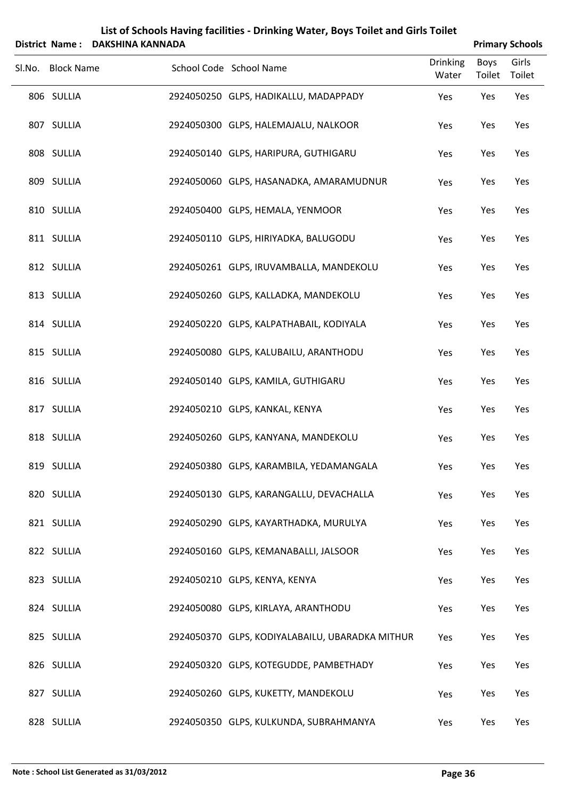| <b>District Name:</b> | DAKSHINA KANNADA |                                                 |                          |                       | <b>Primary Schools</b> |
|-----------------------|------------------|-------------------------------------------------|--------------------------|-----------------------|------------------------|
| Sl.No. Block Name     |                  | School Code School Name                         | <b>Drinking</b><br>Water | <b>Boys</b><br>Toilet | Girls<br>Toilet        |
| 806 SULLIA            |                  | 2924050250 GLPS, HADIKALLU, MADAPPADY           | Yes                      | Yes                   | Yes                    |
| 807 SULLIA            |                  | 2924050300 GLPS, HALEMAJALU, NALKOOR            | Yes                      | Yes                   | Yes                    |
| 808 SULLIA            |                  | 2924050140 GLPS, HARIPURA, GUTHIGARU            | Yes                      | Yes                   | Yes                    |
| 809 SULLIA            |                  | 2924050060 GLPS, HASANADKA, AMARAMUDNUR         | Yes                      | Yes                   | Yes                    |
| 810 SULLIA            |                  | 2924050400 GLPS, HEMALA, YENMOOR                | Yes                      | Yes                   | Yes                    |
| 811 SULLIA            |                  | 2924050110 GLPS, HIRIYADKA, BALUGODU            | Yes                      | Yes                   | Yes                    |
| 812 SULLIA            |                  | 2924050261 GLPS, IRUVAMBALLA, MANDEKOLU         | Yes                      | Yes                   | Yes                    |
| 813 SULLIA            |                  | 2924050260 GLPS, KALLADKA, MANDEKOLU            | Yes                      | Yes                   | Yes                    |
| 814 SULLIA            |                  | 2924050220 GLPS, KALPATHABAIL, KODIYALA         | Yes                      | Yes                   | Yes                    |
| 815 SULLIA            |                  | 2924050080 GLPS, KALUBAILU, ARANTHODU           | Yes                      | Yes                   | Yes                    |
| 816 SULLIA            |                  | 2924050140 GLPS, KAMILA, GUTHIGARU              | Yes                      | Yes                   | Yes                    |
| 817 SULLIA            |                  | 2924050210 GLPS, KANKAL, KENYA                  | Yes                      | Yes                   | Yes                    |
| 818 SULLIA            |                  | 2924050260 GLPS, KANYANA, MANDEKOLU             | Yes                      | Yes                   | Yes                    |
| 819 SULLIA            |                  | 2924050380 GLPS, KARAMBILA, YEDAMANGALA         | Yes                      | Yes                   | Yes                    |
| 820 SULLIA            |                  | 2924050130 GLPS, KARANGALLU, DEVACHALLA         | Yes                      | Yes                   | Yes                    |
| 821 SULLIA            |                  | 2924050290 GLPS, KAYARTHADKA, MURULYA           | Yes                      | Yes                   | Yes                    |
| 822 SULLIA            |                  | 2924050160 GLPS, KEMANABALLI, JALSOOR           | Yes                      | Yes                   | Yes                    |
| 823 SULLIA            |                  | 2924050210 GLPS, KENYA, KENYA                   | Yes                      | Yes                   | Yes                    |
| 824 SULLIA            |                  | 2924050080 GLPS, KIRLAYA, ARANTHODU             | Yes                      | Yes                   | Yes                    |
| 825 SULLIA            |                  | 2924050370 GLPS, KODIYALABAILU, UBARADKA MITHUR | Yes                      | Yes                   | Yes                    |
| 826 SULLIA            |                  | 2924050320 GLPS, KOTEGUDDE, PAMBETHADY          | Yes                      | Yes                   | Yes                    |
| 827 SULLIA            |                  | 2924050260 GLPS, KUKETTY, MANDEKOLU             | Yes                      | Yes                   | Yes                    |
| 828 SULLIA            |                  | 2924050350 GLPS, KULKUNDA, SUBRAHMANYA          | Yes                      | Yes                   | Yes                    |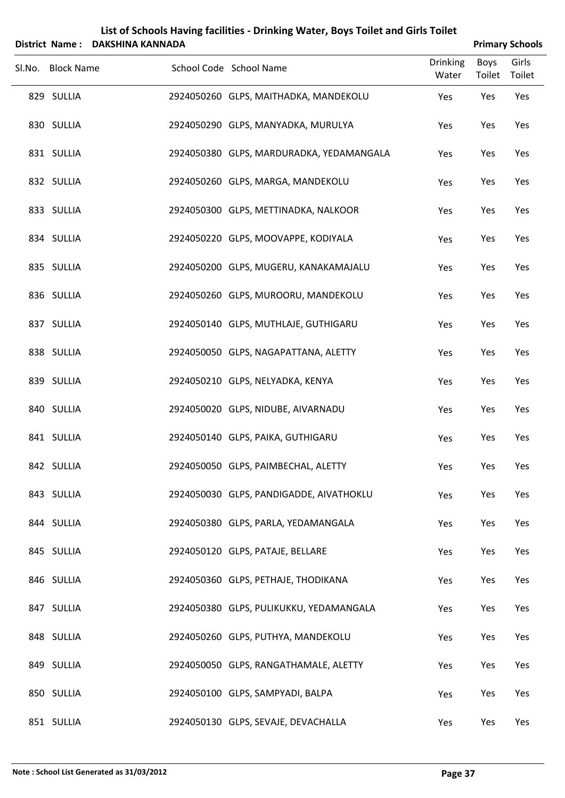|        |                   | District Name: DAKSHINA KANNADA |                                          |                          |                       | <b>Primary Schools</b> |
|--------|-------------------|---------------------------------|------------------------------------------|--------------------------|-----------------------|------------------------|
| Sl.No. | <b>Block Name</b> |                                 | School Code School Name                  | <b>Drinking</b><br>Water | <b>Boys</b><br>Toilet | Girls<br>Toilet        |
|        | 829 SULLIA        |                                 | 2924050260 GLPS, MAITHADKA, MANDEKOLU    | Yes                      | Yes                   | Yes                    |
|        | 830 SULLIA        |                                 | 2924050290 GLPS, MANYADKA, MURULYA       | Yes                      | Yes                   | Yes                    |
|        | 831 SULLIA        |                                 | 2924050380 GLPS, MARDURADKA, YEDAMANGALA | Yes                      | Yes                   | Yes                    |
|        | 832 SULLIA        |                                 | 2924050260 GLPS, MARGA, MANDEKOLU        | Yes                      | Yes                   | Yes                    |
|        | 833 SULLIA        |                                 | 2924050300 GLPS, METTINADKA, NALKOOR     | Yes                      | Yes                   | Yes                    |
|        | 834 SULLIA        |                                 | 2924050220 GLPS, MOOVAPPE, KODIYALA      | Yes                      | Yes                   | Yes                    |
|        | 835 SULLIA        |                                 | 2924050200 GLPS, MUGERU, KANAKAMAJALU    | Yes                      | Yes                   | Yes                    |
|        | 836 SULLIA        |                                 | 2924050260 GLPS, MUROORU, MANDEKOLU      | Yes                      | Yes                   | Yes                    |
|        | 837 SULLIA        |                                 | 2924050140 GLPS, MUTHLAJE, GUTHIGARU     | Yes                      | Yes                   | Yes                    |
|        | 838 SULLIA        |                                 | 2924050050 GLPS, NAGAPATTANA, ALETTY     | Yes                      | Yes                   | Yes                    |
|        | 839 SULLIA        |                                 | 2924050210 GLPS, NELYADKA, KENYA         | Yes                      | Yes                   | Yes                    |
|        | 840 SULLIA        |                                 | 2924050020 GLPS, NIDUBE, AIVARNADU       | Yes                      | Yes                   | Yes                    |
|        | 841 SULLIA        |                                 | 2924050140 GLPS, PAIKA, GUTHIGARU        | Yes                      | Yes                   | Yes                    |
|        | 842 SULLIA        |                                 | 2924050050 GLPS, PAIMBECHAL, ALETTY      | Yes                      | Yes                   | Yes                    |
|        | 843 SULLIA        |                                 | 2924050030 GLPS, PANDIGADDE, AIVATHOKLU  | Yes                      | Yes                   | Yes                    |
|        | 844 SULLIA        |                                 | 2924050380 GLPS, PARLA, YEDAMANGALA      | Yes                      | Yes                   | Yes                    |
|        | 845 SULLIA        |                                 | 2924050120 GLPS, PATAJE, BELLARE         | Yes                      | Yes                   | Yes                    |
|        | 846 SULLIA        |                                 | 2924050360 GLPS, PETHAJE, THODIKANA      | Yes                      | Yes                   | Yes                    |
|        | 847 SULLIA        |                                 | 2924050380 GLPS, PULIKUKKU, YEDAMANGALA  | Yes                      | Yes                   | Yes                    |
|        | 848 SULLIA        |                                 | 2924050260 GLPS, PUTHYA, MANDEKOLU       | Yes                      | Yes                   | Yes                    |
|        | 849 SULLIA        |                                 | 2924050050 GLPS, RANGATHAMALE, ALETTY    | Yes                      | Yes                   | Yes                    |
|        | 850 SULLIA        |                                 | 2924050100 GLPS, SAMPYADI, BALPA         | Yes                      | Yes                   | Yes                    |
|        | 851 SULLIA        |                                 | 2924050130 GLPS, SEVAJE, DEVACHALLA      | Yes                      | Yes                   | Yes                    |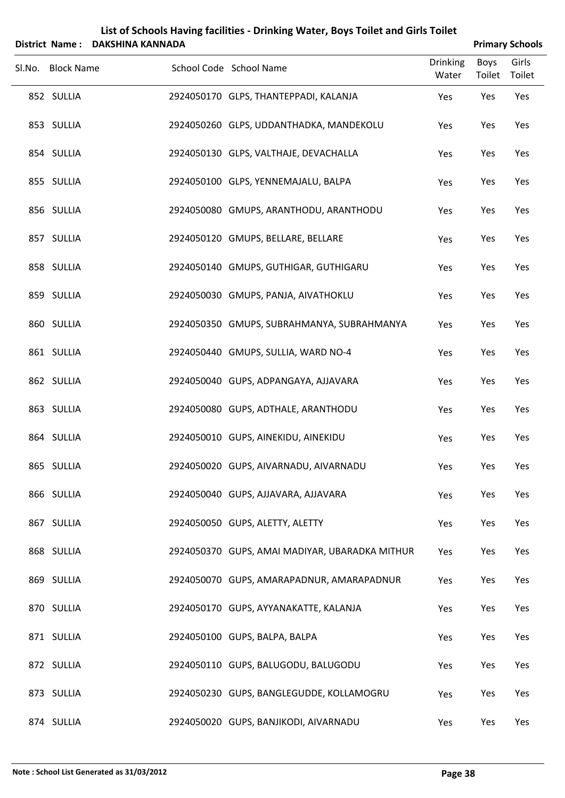|        | <b>District Name:</b> | <b>DAKSHINA KANNADA</b> |                                                |                          |                       | <b>Primary Schools</b> |
|--------|-----------------------|-------------------------|------------------------------------------------|--------------------------|-----------------------|------------------------|
| Sl.No. | <b>Block Name</b>     |                         | School Code School Name                        | <b>Drinking</b><br>Water | <b>Boys</b><br>Toilet | Girls<br>Toilet        |
|        | 852 SULLIA            |                         | 2924050170 GLPS, THANTEPPADI, KALANJA          | Yes                      | Yes                   | Yes                    |
|        | 853 SULLIA            |                         | 2924050260 GLPS, UDDANTHADKA, MANDEKOLU        | Yes                      | Yes                   | Yes                    |
|        | 854 SULLIA            |                         | 2924050130 GLPS, VALTHAJE, DEVACHALLA          | Yes                      | Yes                   | Yes                    |
|        | 855 SULLIA            |                         | 2924050100 GLPS, YENNEMAJALU, BALPA            | Yes                      | Yes                   | Yes                    |
|        | 856 SULLIA            |                         | 2924050080 GMUPS, ARANTHODU, ARANTHODU         | Yes                      | Yes                   | Yes                    |
|        | 857 SULLIA            |                         | 2924050120 GMUPS, BELLARE, BELLARE             | Yes                      | Yes                   | Yes                    |
|        | 858 SULLIA            |                         | 2924050140 GMUPS, GUTHIGAR, GUTHIGARU          | Yes                      | Yes                   | Yes                    |
|        | 859 SULLIA            |                         | 2924050030 GMUPS, PANJA, AIVATHOKLU            | Yes                      | Yes                   | Yes                    |
|        | 860 SULLIA            |                         | 2924050350 GMUPS, SUBRAHMANYA, SUBRAHMANYA     | Yes                      | Yes                   | Yes                    |
|        | 861 SULLIA            |                         | 2924050440 GMUPS, SULLIA, WARD NO-4            | Yes                      | Yes                   | Yes                    |
|        | 862 SULLIA            |                         | 2924050040 GUPS, ADPANGAYA, AJJAVARA           | Yes                      | Yes                   | Yes                    |
|        | 863 SULLIA            |                         | 2924050080 GUPS, ADTHALE, ARANTHODU            | Yes                      | Yes                   | Yes                    |
|        | 864 SULLIA            |                         | 2924050010 GUPS, AINEKIDU, AINEKIDU            | Yes                      | Yes                   | Yes                    |
|        | 865 SULLIA            |                         | 2924050020 GUPS, AIVARNADU, AIVARNADU          | Yes                      | Yes                   | Yes                    |
|        | 866 SULLIA            |                         | 2924050040 GUPS, AJJAVARA, AJJAVARA            | Yes                      | Yes                   | Yes                    |
|        | 867 SULLIA            |                         | 2924050050 GUPS, ALETTY, ALETTY                | Yes                      | Yes                   | Yes                    |
|        | 868 SULLIA            |                         | 2924050370 GUPS, AMAI MADIYAR, UBARADKA MITHUR | Yes                      | Yes                   | Yes                    |
|        | 869 SULLIA            |                         | 2924050070 GUPS, AMARAPADNUR, AMARAPADNUR      | Yes                      | Yes                   | Yes                    |
|        | 870 SULLIA            |                         | 2924050170 GUPS, AYYANAKATTE, KALANJA          | Yes                      | Yes                   | Yes                    |
|        | 871 SULLIA            |                         | 2924050100 GUPS, BALPA, BALPA                  | Yes                      | Yes                   | Yes                    |
|        | 872 SULLIA            |                         | 2924050110 GUPS, BALUGODU, BALUGODU            | Yes                      | Yes                   | Yes                    |
|        | 873 SULLIA            |                         | 2924050230 GUPS, BANGLEGUDDE, KOLLAMOGRU       | Yes                      | Yes                   | Yes                    |
|        | 874 SULLIA            |                         | 2924050020 GUPS, BANJIKODI, AIVARNADU          | Yes                      | Yes                   | Yes                    |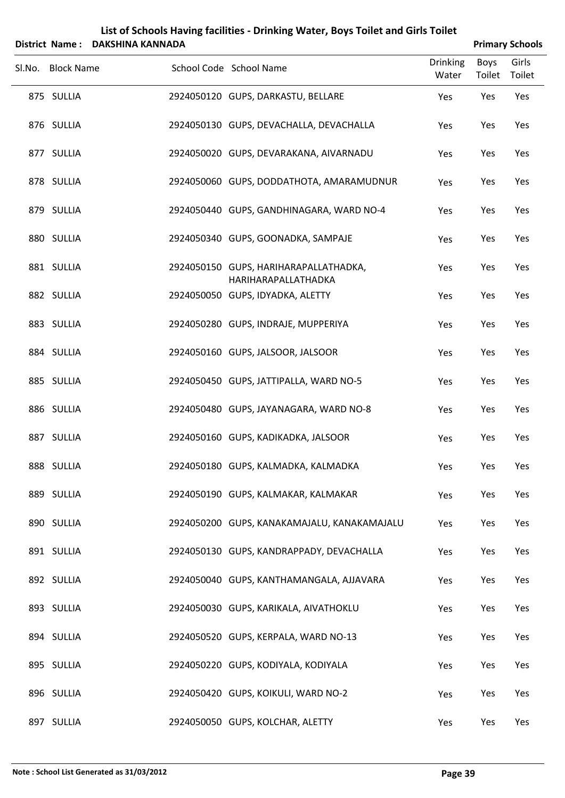|                   | District Name: DAKSHINA KANNADA |                                                              |                          |                | <b>Primary Schools</b> |
|-------------------|---------------------------------|--------------------------------------------------------------|--------------------------|----------------|------------------------|
| Sl.No. Block Name |                                 | School Code School Name                                      | <b>Drinking</b><br>Water | Boys<br>Toilet | Girls<br>Toilet        |
| 875 SULLIA        |                                 | 2924050120 GUPS, DARKASTU, BELLARE                           | Yes                      | Yes            | Yes                    |
| 876 SULLIA        |                                 | 2924050130 GUPS, DEVACHALLA, DEVACHALLA                      | Yes                      | Yes            | Yes                    |
| 877 SULLIA        |                                 | 2924050020 GUPS, DEVARAKANA, AIVARNADU                       | Yes                      | Yes            | Yes                    |
| 878 SULLIA        |                                 | 2924050060 GUPS, DODDATHOTA, AMARAMUDNUR                     | Yes                      | Yes            | Yes                    |
| 879 SULLIA        |                                 | 2924050440 GUPS, GANDHINAGARA, WARD NO-4                     | Yes                      | Yes            | Yes                    |
| 880 SULLIA        |                                 | 2924050340 GUPS, GOONADKA, SAMPAJE                           | Yes                      | Yes            | Yes                    |
| 881 SULLIA        |                                 | 2924050150 GUPS, HARIHARAPALLATHADKA,<br>HARIHARAPALLATHADKA | Yes                      | Yes            | Yes                    |
| 882 SULLIA        |                                 | 2924050050 GUPS, IDYADKA, ALETTY                             | Yes                      | Yes            | Yes                    |
| 883 SULLIA        |                                 | 2924050280 GUPS, INDRAJE, MUPPERIYA                          | Yes                      | Yes            | Yes                    |
| 884 SULLIA        |                                 | 2924050160 GUPS, JALSOOR, JALSOOR                            | Yes                      | Yes            | Yes                    |
| 885 SULLIA        |                                 | 2924050450 GUPS, JATTIPALLA, WARD NO-5                       | Yes                      | Yes            | Yes                    |
| 886 SULLIA        |                                 | 2924050480 GUPS, JAYANAGARA, WARD NO-8                       | Yes                      | Yes            | Yes                    |
| 887 SULLIA        |                                 | 2924050160 GUPS, KADIKADKA, JALSOOR                          | Yes                      | Yes            | Yes                    |
| 888 SULLIA        |                                 | 2924050180 GUPS, KALMADKA, KALMADKA                          | Yes                      | Yes            | Yes                    |
| 889 SULLIA        |                                 | 2924050190 GUPS, KALMAKAR, KALMAKAR                          | Yes                      | Yes            | Yes                    |
| 890 SULLIA        |                                 | 2924050200 GUPS, KANAKAMAJALU, KANAKAMAJALU                  | Yes                      | Yes            | Yes                    |
| 891 SULLIA        |                                 | 2924050130 GUPS, KANDRAPPADY, DEVACHALLA                     | Yes                      | Yes            | Yes                    |
| 892 SULLIA        |                                 | 2924050040 GUPS, KANTHAMANGALA, AJJAVARA                     | Yes                      | Yes            | Yes                    |
| 893 SULLIA        |                                 | 2924050030 GUPS, KARIKALA, AIVATHOKLU                        | Yes                      | Yes            | Yes                    |
| 894 SULLIA        |                                 | 2924050520 GUPS, KERPALA, WARD NO-13                         | Yes                      | Yes            | Yes                    |
| 895 SULLIA        |                                 | 2924050220 GUPS, KODIYALA, KODIYALA                          | Yes                      | Yes            | Yes                    |
| 896 SULLIA        |                                 | 2924050420 GUPS, KOIKULI, WARD NO-2                          | Yes                      | Yes            | Yes                    |
| 897 SULLIA        |                                 | 2924050050 GUPS, KOLCHAR, ALETTY                             | Yes                      | Yes            | Yes                    |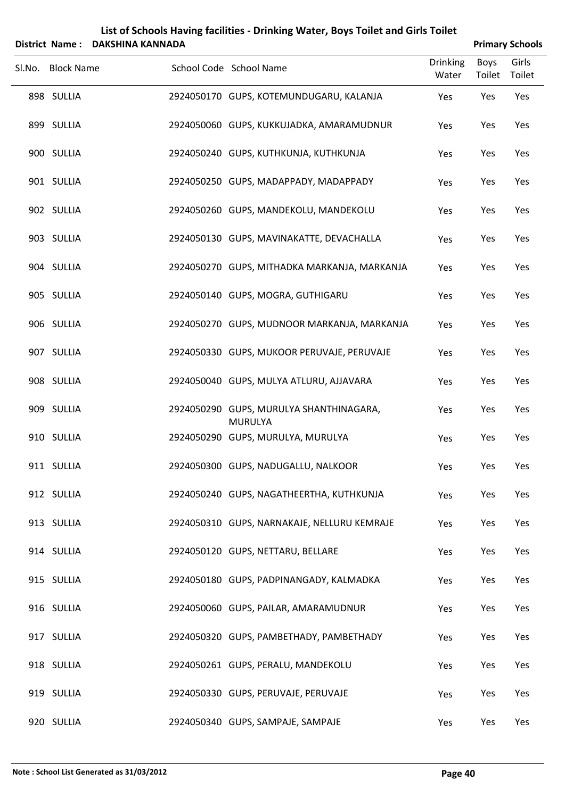|                   | District Name: DAKSHINA KANNADA | List of Schools Having facilities - Drinking Water, Boys Toilet and Girls Toilet |                          |                       |                 |  |
|-------------------|---------------------------------|----------------------------------------------------------------------------------|--------------------------|-----------------------|-----------------|--|
| Sl.No. Block Name |                                 | School Code School Name                                                          | <b>Drinking</b><br>Water | <b>Boys</b><br>Toilet | Girls<br>Toilet |  |
| 898 SULLIA        |                                 | 2924050170 GUPS, KOTEMUNDUGARU, KALANJA                                          | Yes                      | Yes                   | Yes             |  |
| 899 SULLIA        |                                 | 2924050060 GUPS, KUKKUJADKA, AMARAMUDNUR                                         | Yes                      | Yes                   | Yes             |  |
| 900 SULLIA        |                                 | 2924050240 GUPS, KUTHKUNJA, KUTHKUNJA                                            | Yes                      | Yes                   | Yes             |  |
| 901 SULLIA        |                                 | 2924050250 GUPS, MADAPPADY, MADAPPADY                                            | Yes                      | Yes                   | Yes             |  |
| 902 SULLIA        |                                 | 2924050260 GUPS, MANDEKOLU, MANDEKOLU                                            | Yes                      | Yes                   | Yes             |  |
| 903 SULLIA        |                                 | 2924050130 GUPS, MAVINAKATTE, DEVACHALLA                                         | Yes                      | Yes                   | Yes             |  |
| 904 SULLIA        |                                 | 2924050270 GUPS, MITHADKA MARKANJA, MARKANJA                                     | Yes                      | Yes                   | Yes             |  |
| 905 SULLIA        |                                 | 2924050140 GUPS, MOGRA, GUTHIGARU                                                | Yes                      | Yes                   | Yes             |  |
| 906 SULLIA        |                                 | 2924050270 GUPS, MUDNOOR MARKANJA, MARKANJA                                      | Yes                      | Yes                   | Yes             |  |
| 907 SULLIA        |                                 | 2924050330 GUPS, MUKOOR PERUVAJE, PERUVAJE                                       | Yes                      | Yes                   | Yes             |  |
| 908 SULLIA        |                                 | 2924050040 GUPS, MULYA ATLURU, AJJAVARA                                          | Yes                      | Yes                   | Yes             |  |
| 909 SULLIA        |                                 | 2924050290 GUPS, MURULYA SHANTHINAGARA,<br><b>MURULYA</b>                        | Yes                      | Yes                   | Yes             |  |
| 910 SULLIA        |                                 | 2924050290 GUPS, MURULYA, MURULYA                                                | Yes                      | Yes                   | Yes             |  |
| 911 SULLIA        |                                 | 2924050300 GUPS, NADUGALLU, NALKOOR                                              | Yes                      | Yes                   | Yes             |  |
| 912 SULLIA        |                                 | 2924050240 GUPS, NAGATHEERTHA, KUTHKUNJA                                         | Yes                      | Yes                   | Yes             |  |
| 913 SULLIA        |                                 | 2924050310 GUPS, NARNAKAJE, NELLURU KEMRAJE                                      | Yes                      | Yes                   | Yes             |  |
| 914 SULLIA        |                                 | 2924050120 GUPS, NETTARU, BELLARE                                                | Yes                      | Yes                   | Yes             |  |
| 915 SULLIA        |                                 | 2924050180 GUPS, PADPINANGADY, KALMADKA                                          | Yes                      | Yes                   | Yes             |  |
| 916 SULLIA        |                                 | 2924050060 GUPS, PAILAR, AMARAMUDNUR                                             | Yes                      | Yes                   | Yes             |  |
| 917 SULLIA        |                                 | 2924050320 GUPS, PAMBETHADY, PAMBETHADY                                          | Yes                      | Yes                   | Yes             |  |
| 918 SULLIA        |                                 | 2924050261 GUPS, PERALU, MANDEKOLU                                               | Yes                      | Yes                   | Yes             |  |
| 919 SULLIA        |                                 | 2924050330 GUPS, PERUVAJE, PERUVAJE                                              | Yes                      | Yes                   | Yes             |  |
| 920 SULLIA        |                                 | 2924050340 GUPS, SAMPAJE, SAMPAJE                                                | Yes                      | Yes                   | Yes             |  |